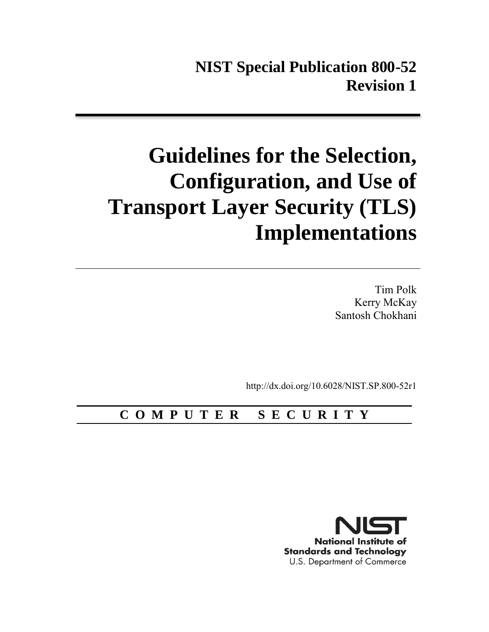# **Guidelines for the Selection, Configuration, and Use of Transport Layer Security (TLS) Implementations**

Tim Polk Kerry McKay Santosh Chokhani

http://dx.doi.org/10.6028/NIST.SP.800-52r1

### **C O M P U T E R S E C U R I T Y**

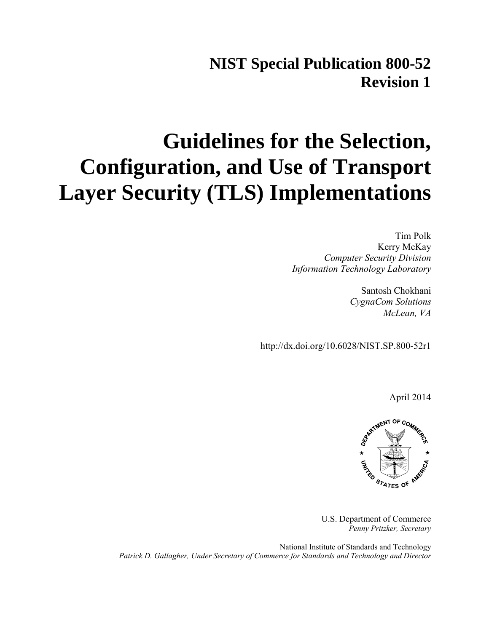# **NIST Special Publication 800-52 Revision 1**

# **Guidelines for the Selection, Configuration, and Use of Transport Layer Security (TLS) Implementations**

Tim Polk Kerry McKay *Computer Security Division Information Technology Laboratory* 

> Santosh Chokhani *CygnaCom Solutions McLean, VA*

http://dx.doi.org/10.6028/NIST.SP.800-52r1

April 2014



U.S. Department of Commerce *Penny Pritzker, Secretary*

National Institute of Standards and Technology *Patrick D. Gallagher, Under Secretary of Commerce for Standards and Technology and Director*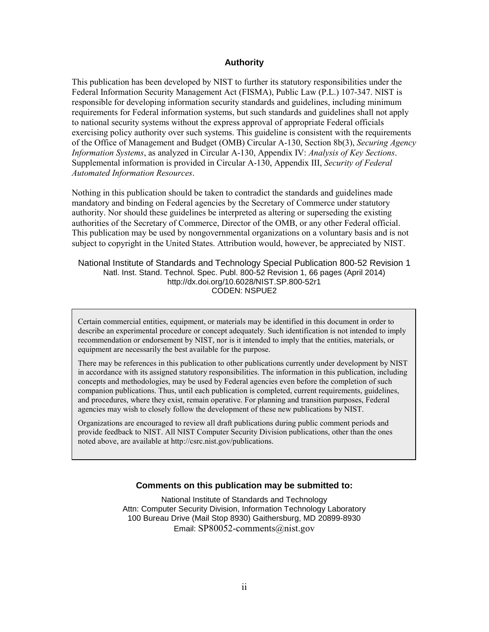#### **Authority**

This publication has been developed by NIST to further its statutory responsibilities under the Federal Information Security Management Act (FISMA), Public Law (P.L.) 107-347. NIST is responsible for developing information security standards and guidelines, including minimum requirements for Federal information systems, but such standards and guidelines shall not apply to national security systems without the express approval of appropriate Federal officials exercising policy authority over such systems. This guideline is consistent with the requirements of the Office of Management and Budget (OMB) Circular A-130, Section 8b(3), *Securing Agency Information Systems*, as analyzed in Circular A-130, Appendix IV: *Analysis of Key Sections*. Supplemental information is provided in Circular A-130, Appendix III, *Security of Federal Automated Information Resources*.

Nothing in this publication should be taken to contradict the standards and guidelines made mandatory and binding on Federal agencies by the Secretary of Commerce under statutory authority. Nor should these guidelines be interpreted as altering or superseding the existing authorities of the Secretary of Commerce, Director of the OMB, or any other Federal official. This publication may be used by nongovernmental organizations on a voluntary basis and is not subject to copyright in the United States. Attribution would, however, be appreciated by NIST.

National Institute of Standards and Technology Special Publication 800-52 Revision 1 Natl. Inst. Stand. Technol. Spec. Publ. 800-52 Revision 1, 66 pages (April 2014) http://dx.doi.org/10.6028/NIST.SP.800-52r1 CODEN: NSPUE2

 Certain commercial entities, equipment, or materials may be identified in this document in order to describe an experimental procedure or concept adequately. Such identification is not intended to imply recommendation or endorsement by NIST, nor is it intended to imply that the entities, materials, or equipment are necessarily the best available for the purpose.

There may be references in this publication to other publications currently under development by NIST in accordance with its assigned statutory responsibilities. The information in this publication, including concepts and methodologies, may be used by Federal agencies even before the completion of such companion publications. Thus, until each publication is completed, current requirements, guidelines, and procedures, where they exist, remain operative. For planning and transition purposes, Federal agencies may wish to closely follow the development of these new publications by NIST.

Organizations are encouraged to review all draft publications during public comment periods and provide feedback to NIST. All NIST Computer Security Division publications, other than the ones noted above, are available at http://csrc.nist.gov/publications.

#### **Comments on this publication may be submitted to:**

National Institute of Standards and Technology Attn: Computer Security Division, Information Technology Laboratory 100 Bureau Drive (Mail Stop 8930) Gaithersburg, MD 20899-8930 Email: SP80052-comments@nist.gov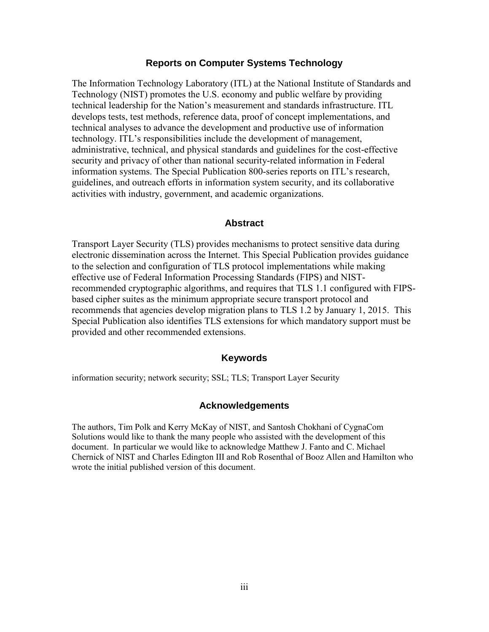#### **Reports on Computer Systems Technology**

The Information Technology Laboratory (ITL) at the National Institute of Standards and Technology (NIST) promotes the U.S. economy and public welfare by providing technical leadership for the Nation's measurement and standards infrastructure. ITL develops tests, test methods, reference data, proof of concept implementations, and technical analyses to advance the development and productive use of information technology. ITL's responsibilities include the development of management, administrative, technical, and physical standards and guidelines for the cost-effective security and privacy of other than national security-related information in Federal information systems. The Special Publication 800-series reports on ITL's research, guidelines, and outreach efforts in information system security, and its collaborative activities with industry, government, and academic organizations.

#### **Abstract**

Transport Layer Security (TLS) provides mechanisms to protect sensitive data during electronic dissemination across the Internet. This Special Publication provides guidance to the selection and configuration of TLS protocol implementations while making effective use of Federal Information Processing Standards (FIPS) and NISTrecommended cryptographic algorithms, and requires that TLS 1.1 configured with FIPSbased cipher suites as the minimum appropriate secure transport protocol and recommends that agencies develop migration plans to TLS 1.2 by January 1, 2015. This Special Publication also identifies TLS extensions for which mandatory support must be provided and other recommended extensions.

#### **Keywords**

information security; network security; SSL; TLS; Transport Layer Security

#### **Acknowledgements**

The authors, Tim Polk and Kerry McKay of NIST, and Santosh Chokhani of CygnaCom Solutions would like to thank the many people who assisted with the development of this document. In particular we would like to acknowledge Matthew J. Fanto and C. Michael Chernick of NIST and Charles Edington III and Rob Rosenthal of Booz Allen and Hamilton who wrote the initial published version of this document.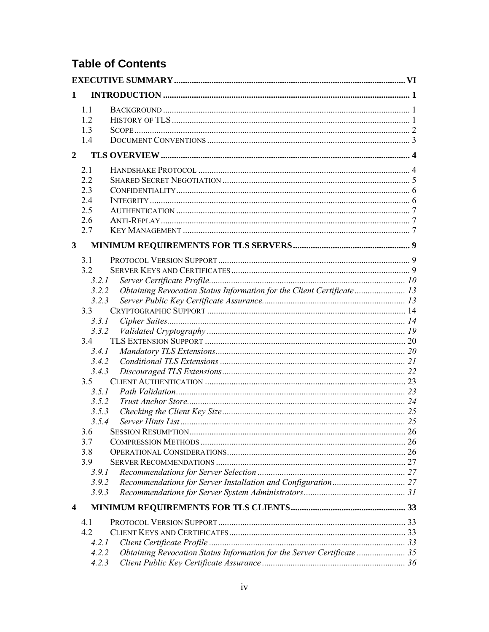### **Table of Contents**

| 1                       |                |                                                                        |  |
|-------------------------|----------------|------------------------------------------------------------------------|--|
|                         | 1.1            |                                                                        |  |
|                         | 12             |                                                                        |  |
|                         | 1.3            |                                                                        |  |
|                         | 1.4            |                                                                        |  |
| $\overline{2}$          |                |                                                                        |  |
|                         | 2.1            |                                                                        |  |
|                         | 2.2            |                                                                        |  |
|                         | 2.3            |                                                                        |  |
|                         | 2.4            |                                                                        |  |
|                         | 2.5            |                                                                        |  |
|                         | 2.6            |                                                                        |  |
|                         | 2.7            |                                                                        |  |
| $\mathbf{3}$            |                |                                                                        |  |
|                         | 3.1            |                                                                        |  |
|                         | 3.2            |                                                                        |  |
|                         | 3.2.1          |                                                                        |  |
|                         | 3.2.2          | Obtaining Revocation Status Information for the Client Certificate 13  |  |
|                         | 3.2.3          |                                                                        |  |
|                         | 3.3            |                                                                        |  |
|                         | 3.3.1          |                                                                        |  |
|                         | 3.3.2          |                                                                        |  |
|                         | 3.4            |                                                                        |  |
|                         | 3.4.1          |                                                                        |  |
|                         | 3.4.2          |                                                                        |  |
|                         | 3.4.3          |                                                                        |  |
|                         | 3.5            |                                                                        |  |
|                         | 3.5.1          |                                                                        |  |
|                         | 3.5.2          |                                                                        |  |
|                         | 3.5.3          |                                                                        |  |
|                         | 3.5.4          |                                                                        |  |
|                         | 3.6            | <b>SESSION RESUMPTION</b>                                              |  |
|                         | 3.7            |                                                                        |  |
|                         | 3.8            |                                                                        |  |
|                         | 3.9            |                                                                        |  |
|                         | 3.9.1<br>3.9.2 |                                                                        |  |
|                         | 3.9.3          |                                                                        |  |
|                         |                |                                                                        |  |
| $\overline{\mathbf{4}}$ |                |                                                                        |  |
|                         | 4.1<br>42      |                                                                        |  |
|                         | 4.2.1          |                                                                        |  |
|                         | 4.2.2          | Obtaining Revocation Status Information for the Server Certificate  35 |  |
|                         | 4.2.3          |                                                                        |  |
|                         |                |                                                                        |  |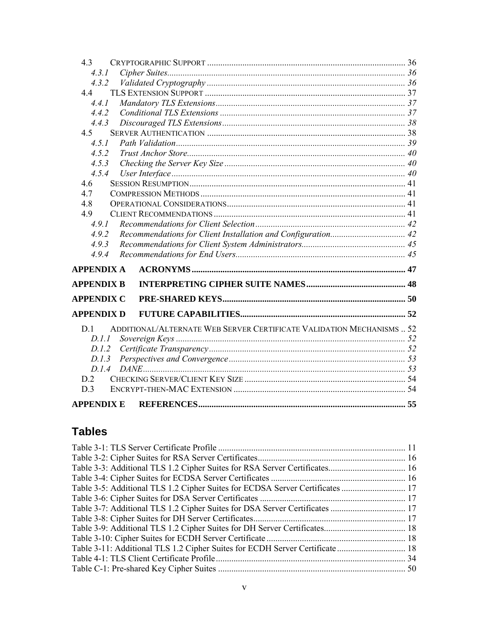| 4.3               |                                                                       |  |
|-------------------|-----------------------------------------------------------------------|--|
| 4.3.1             |                                                                       |  |
| 4.3.2             |                                                                       |  |
| 4.4               |                                                                       |  |
| 4.4.1             |                                                                       |  |
| 4.4.2             |                                                                       |  |
| 4.4.3             |                                                                       |  |
| 4.5               |                                                                       |  |
| 4.5.1             |                                                                       |  |
| 4.5.2             |                                                                       |  |
| 4.5.3             |                                                                       |  |
| 4.5.4             |                                                                       |  |
| 4.6               |                                                                       |  |
| 47                |                                                                       |  |
| 4.8               |                                                                       |  |
| 4.9               |                                                                       |  |
| 4.9.1             |                                                                       |  |
| 4.9.2             |                                                                       |  |
| 4.9.3             |                                                                       |  |
| 4.9.4             |                                                                       |  |
| <b>APPENDIX A</b> |                                                                       |  |
| <b>APPENDIX B</b> |                                                                       |  |
| <b>APPENDIX C</b> |                                                                       |  |
| <b>APPENDIX D</b> |                                                                       |  |
| D <sub>1</sub>    | ADDITIONAL/ALTERNATE WEB SERVER CERTIFICATE VALIDATION MECHANISMS  52 |  |
| D.I.I             |                                                                       |  |
| D.1.2             |                                                                       |  |
| D.1.3             |                                                                       |  |
| D.1.4             |                                                                       |  |
| D <sub>2</sub>    |                                                                       |  |
| D.3               |                                                                       |  |
| <b>APPENDIX E</b> |                                                                       |  |

### **Tables**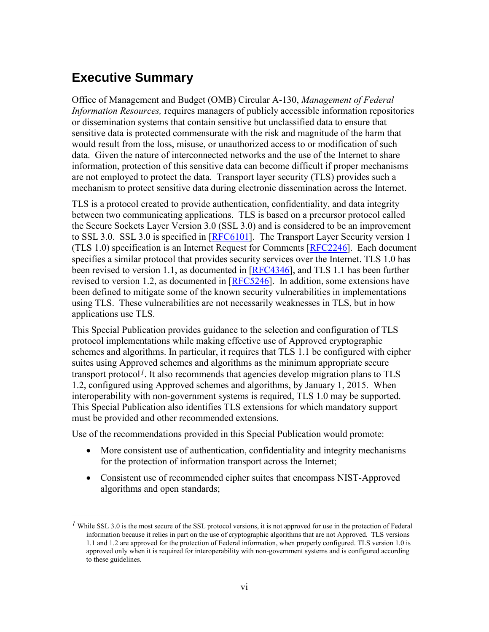### <span id="page-6-0"></span>**Executive Summary**

 $\overline{a}$ 

Office of Management and Budget (OMB) Circular A-130, *Management of Federal Information Resources,* requires managers of publicly accessible information repositories or dissemination systems that contain sensitive but unclassified data to ensure that sensitive data is protected commensurate with the risk and magnitude of the harm that would result from the loss, misuse, or unauthorized access to or modification of such data. Given the nature of interconnected networks and the use of the Internet to share information, protection of this sensitive data can become difficult if proper mechanisms are not employed to protect the data. Transport layer security (TLS) provides such a mechanism to protect sensitive data during electronic dissemination across the Internet.

TLS is a protocol created to provide authentication, confidentiality, and data integrity between two communicating applications. TLS is based on a precursor protocol called the Secure Sockets Layer Version 3.0 (SSL 3.0) and is considered to be an improvement to SSL 3.0. SSL 3.0 is specified in [\[RFC6101\]](#page-65-0). The Transport Layer Security version 1 (TLS 1.0) specification is an Internet Request for Comments [\[RFC2246\]](#page-63-0). Each document specifies a similar protocol that provides security services over the Internet. TLS 1.0 has been revised to version 1.1, as documented in [\[RFC4346\]](#page-64-0), and TLS 1.1 has been further revised to version 1.2, as documented in [\[RFC5246\]](#page-64-1). In addition, some extensions have been defined to mitigate some of the known security vulnerabilities in implementations using TLS. These vulnerabilities are not necessarily weaknesses in TLS, but in how applications use TLS.

This Special Publication provides guidance to the selection and configuration of TLS protocol implementations while making effective use of Approved cryptographic schemes and algorithms. In particular, it requires that TLS 1.1 be configured with cipher suites using Approved schemes and algorithms as the minimum appropriate secure transport protocol*[1](#page-6-1)*. It also recommends that agencies develop migration plans to TLS 1.2, configured using Approved schemes and algorithms, by January 1, 2015. When interoperability with non-government systems is required, TLS 1.0 may be supported. This Special Publication also identifies TLS extensions for which mandatory support must be provided and other recommended extensions.

Use of the recommendations provided in this Special Publication would promote:

- More consistent use of authentication, confidentiality and integrity mechanisms for the protection of information transport across the Internet;
- Consistent use of recommended cipher suites that encompass NIST-Approved algorithms and open standards;

<span id="page-6-1"></span><sup>&</sup>lt;sup>*1*</sup> While SSL 3.0 is the most secure of the SSL protocol versions, it is not approved for use in the protection of Federal information because it relies in part on the use of cryptographic algorithms that are not Approved. TLS versions 1.1 and 1.2 are approved for the protection of Federal information, when properly configured. TLS version 1.0 is approved only when it is required for interoperability with non-government systems and is configured according to these guidelines.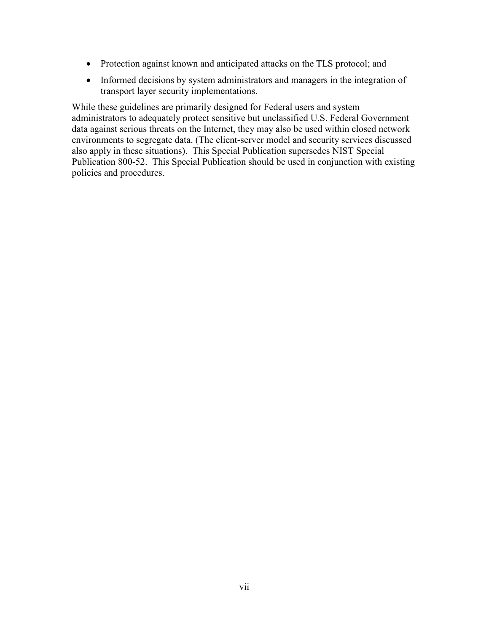- Protection against known and anticipated attacks on the TLS protocol; and
- Informed decisions by system administrators and managers in the integration of transport layer security implementations.

While these guidelines are primarily designed for Federal users and system administrators to adequately protect sensitive but unclassified U.S. Federal Government data against serious threats on the Internet, they may also be used within closed network environments to segregate data. (The client-server model and security services discussed also apply in these situations). This Special Publication supersedes NIST Special Publication 800-52. This Special Publication should be used in conjunction with existing policies and procedures.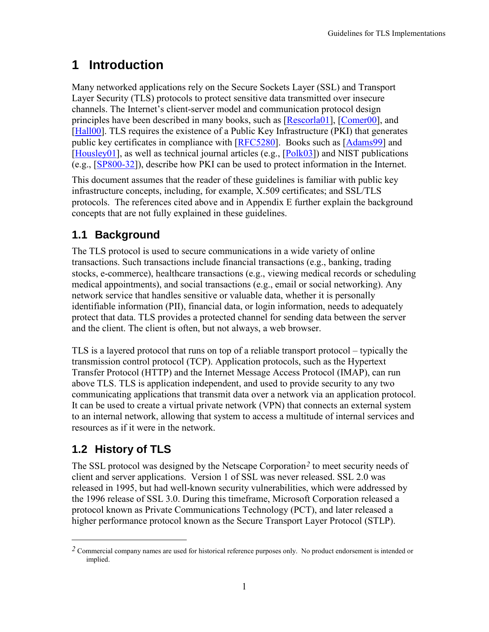# <span id="page-8-0"></span>**1 Introduction**

Many networked applications rely on the Secure Sockets Layer (SSL) and Transport Layer Security (TLS) protocols to protect sensitive data transmitted over insecure channels. The Internet's client-server model and communication protocol design principles have been described in many books, such as [\[Rescorla01\]](#page-63-1), [\[Comer00\]](#page-62-1), and [\[Hall00\]](#page-63-2). TLS requires the existence of a Public Key Infrastructure (PKI) that generates public key certificates in compliance with [\[RFC5280\]](#page-64-2). Books such as [\[Adams99\]](#page-62-2) and [\[Housley01\]](#page-63-3), as well as technical journal articles (e.g., [\[Polk03\]](#page-63-4)) and NIST publications (e.g., [\[SP800-32\]](#page-66-0)), describe how PKI can be used to protect information in the Internet.

This document assumes that the reader of these guidelines is familiar with public key infrastructure concepts, including, for example, X.509 certificates; and SSL/TLS protocols. The references cited above and in [Appendix E](#page-62-0) further explain the background concepts that are not fully explained in these guidelines.

### <span id="page-8-1"></span>**1.1 Background**

The TLS protocol is used to secure communications in a wide variety of online transactions. Such transactions include financial transactions (e.g., banking, trading stocks, e-commerce), healthcare transactions (e.g., viewing medical records or scheduling medical appointments), and social transactions (e.g., email or social networking). Any network service that handles sensitive or valuable data, whether it is personally identifiable information (PII), financial data, or login information, needs to adequately protect that data. TLS provides a protected channel for sending data between the server and the client. The client is often, but not always, a web browser.

TLS is a layered protocol that runs on top of a reliable transport protocol – typically the transmission control protocol (TCP). Application protocols, such as the Hypertext Transfer Protocol (HTTP) and the Internet Message Access Protocol (IMAP), can run above TLS. TLS is application independent, and used to provide security to any two communicating applications that transmit data over a network via an application protocol. It can be used to create a virtual private network (VPN) that connects an external system to an internal network, allowing that system to access a multitude of internal services and resources as if it were in the network.

### <span id="page-8-2"></span>**1.2 History of TLS**

 $\overline{a}$ 

The SSL protocol was designed by the Netscape Corporation*[2](#page-8-3)* to meet security needs of client and server applications. Version 1 of SSL was never released. SSL 2.0 was released in 1995, but had well-known security vulnerabilities, which were addressed by the 1996 release of SSL 3.0. During this timeframe, Microsoft Corporation released a protocol known as Private Communications Technology (PCT), and later released a higher performance protocol known as the Secure Transport Layer Protocol (STLP).

<span id="page-8-3"></span>*<sup>2</sup>* Commercial company names are used for historical reference purposes only. No product endorsement is intended or implied.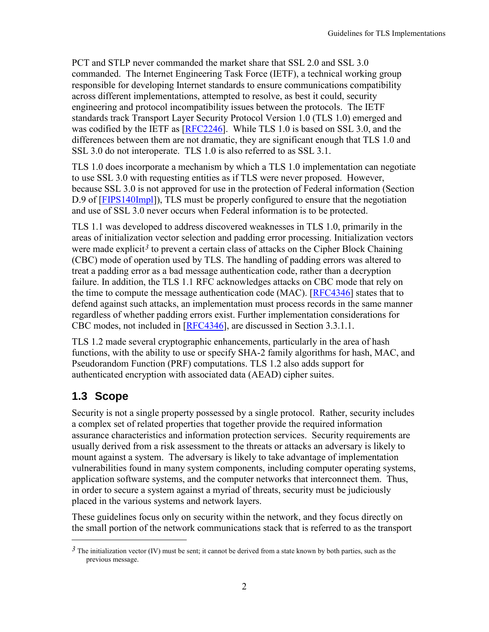PCT and STLP never commanded the market share that SSL 2.0 and SSL 3.0 commanded. The Internet Engineering Task Force (IETF), a technical working group responsible for developing Internet standards to ensure communications compatibility across different implementations, attempted to resolve, as best it could, security engineering and protocol incompatibility issues between the protocols. The IETF standards track Transport Layer Security Protocol Version 1.0 (TLS 1.0) emerged and was codified by the IETF as [\[RFC2246\]](#page-63-0). While TLS 1.0 is based on SSL 3.0, and the differences between them are not dramatic, they are significant enough that TLS 1.0 and SSL 3.0 do not interoperate. TLS 1.0 is also referred to as SSL 3.1.

TLS 1.0 does incorporate a mechanism by which a TLS 1.0 implementation can negotiate to use SSL 3.0 with requesting entities as if TLS were never proposed. However, because SSL 3.0 is not approved for use in the protection of Federal information (Section D.9 of [\[FIPS140Impl\]](#page-62-3)), TLS must be properly configured to ensure that the negotiation and use of SSL 3.0 never occurs when Federal information is to be protected.

TLS 1.1 was developed to address discovered weaknesses in TLS 1.0, primarily in the areas of initialization vector selection and padding error processing. Initialization vectors were made explicit*[3](#page-9-1)* to prevent a certain class of attacks on the Cipher Block Chaining (CBC) mode of operation used by TLS. The handling of padding errors was altered to treat a padding error as a bad message authentication code, rather than a decryption failure. In addition, the TLS 1.1 RFC acknowledges attacks on CBC mode that rely on the time to compute the message authentication code (MAC). [\[RFC4346\]](#page-64-0) states that to defend against such attacks, an implementation must process records in the same manner regardless of whether padding errors exist. Further implementation considerations for CBC modes, not included in [\[RFC4346\]](#page-64-0), are discussed in Section [3.3.1.1.](#page-26-1)

TLS 1.2 made several cryptographic enhancements, particularly in the area of hash functions, with the ability to use or specify SHA-2 family algorithms for hash, MAC, and Pseudorandom Function (PRF) computations. TLS 1.2 also adds support for authenticated encryption with associated data (AEAD) cipher suites.

### <span id="page-9-0"></span>**1.3 Scope**

 $\overline{a}$ 

Security is not a single property possessed by a single protocol. Rather, security includes a complex set of related properties that together provide the required information assurance characteristics and information protection services. Security requirements are usually derived from a risk assessment to the threats or attacks an adversary is likely to mount against a system. The adversary is likely to take advantage of implementation vulnerabilities found in many system components, including computer operating systems, application software systems, and the computer networks that interconnect them. Thus, in order to secure a system against a myriad of threats, security must be judiciously placed in the various systems and network layers.

These guidelines focus only on security within the network, and they focus directly on the small portion of the network communications stack that is referred to as the transport

<span id="page-9-1"></span> $3$  The initialization vector (IV) must be sent; it cannot be derived from a state known by both parties, such as the previous message.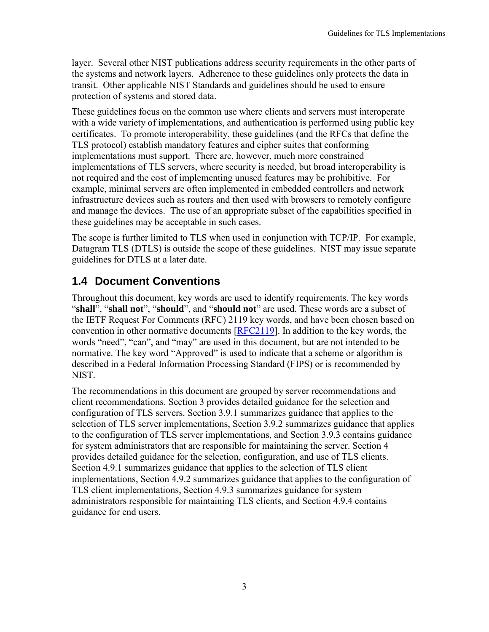layer. Several other NIST publications address security requirements in the other parts of the systems and network layers. Adherence to these guidelines only protects the data in transit. Other applicable NIST Standards and guidelines should be used to ensure protection of systems and stored data.

These guidelines focus on the common use where clients and servers must interoperate with a wide variety of implementations, and authentication is performed using public key certificates. To promote interoperability, these guidelines (and the RFCs that define the TLS protocol) establish mandatory features and cipher suites that conforming implementations must support. There are, however, much more constrained implementations of TLS servers, where security is needed, but broad interoperability is not required and the cost of implementing unused features may be prohibitive. For example, minimal servers are often implemented in embedded controllers and network infrastructure devices such as routers and then used with browsers to remotely configure and manage the devices. The use of an appropriate subset of the capabilities specified in these guidelines may be acceptable in such cases.

The scope is further limited to TLS when used in conjunction with TCP/IP. For example, Datagram TLS (DTLS) is outside the scope of these guidelines. NIST may issue separate guidelines for DTLS at a later date.

### <span id="page-10-0"></span>**1.4 Document Conventions**

Throughout this document, key words are used to identify requirements. The key words "**shall**", "**shall not**", "**should**", and "**should not**" are used. These words are a subset of the IETF Request For Comments (RFC) 2119 key words, and have been chosen based on convention in other normative documents [\[RFC2119\]](#page-63-5). In addition to the key words, the words "need", "can", and "may" are used in this document, but are not intended to be normative. The key word "Approved" is used to indicate that a scheme or algorithm is described in a Federal Information Processing Standard (FIPS) or is recommended by NIST.

The recommendations in this document are grouped by server recommendations and client recommendations. Section [3](#page-16-0) provides detailed guidance for the selection and configuration of TLS servers. Section [3.9.1](#page-34-1) summarizes guidance that applies to the selection of TLS server implementations, Section [3.9.2](#page-34-2) summarizes guidance that applies to the configuration of TLS server implementations, and Section [3.9.3](#page-38-0) contains guidance for system administrators that are responsible for maintaining the server. Section [4](#page-40-0) provides detailed guidance for the selection, configuration, and use of TLS clients. Section [4.9.1](#page-49-0) summarizes guidance that applies to the selection of TLS client implementations, Section [4.9.2](#page-49-1) summarizes guidance that applies to the configuration of TLS client implementations, Section [4.9.3](#page-52-0) summarizes guidance for system administrators responsible for maintaining TLS clients, and Section [4.9.4](#page-52-1) contains guidance for end users.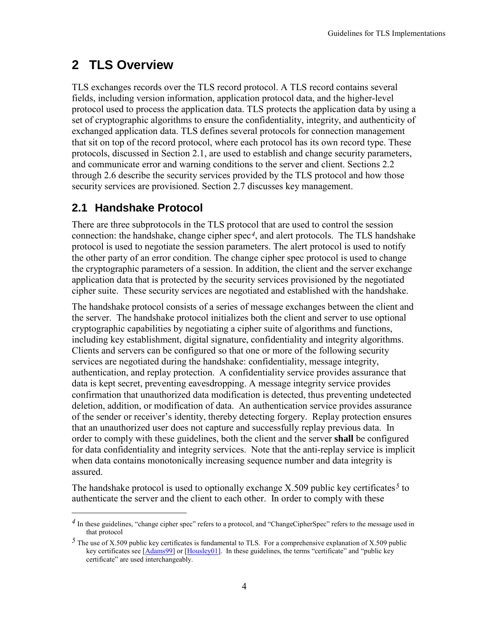# <span id="page-11-0"></span>**2 TLS Overview**

TLS exchanges records over the TLS record protocol. A TLS record contains several fields, including version information, application protocol data, and the higher-level protocol used to process the application data. TLS protects the application data by using a set of cryptographic algorithms to ensure the confidentiality, integrity, and authenticity of exchanged application data. TLS defines several protocols for connection management that sit on top of the record protocol, where each protocol has its own record type. These protocols, discussed in Section [2.1,](#page-11-1) are used to establish and change security parameters, and communicate error and warning conditions to the server and client. Sections [2.2](#page-12-0) through [2.6](#page-14-1) describe the security services provided by the TLS protocol and how those security services are provisioned. Section [2.7](#page-14-2) discusses key management.

### <span id="page-11-1"></span>**2.1 Handshake Protocol**

 $\overline{a}$ 

There are three subprotocols in the TLS protocol that are used to control the session connection: the handshake, change cipher spec*[4](#page-11-2)*, and alert protocols. The TLS handshake protocol is used to negotiate the session parameters. The alert protocol is used to notify the other party of an error condition. The change cipher spec protocol is used to change the cryptographic parameters of a session. In addition, the client and the server exchange application data that is protected by the security services provisioned by the negotiated cipher suite. These security services are negotiated and established with the handshake.

The handshake protocol consists of a series of message exchanges between the client and the server. The handshake protocol initializes both the client and server to use optional cryptographic capabilities by negotiating a cipher suite of algorithms and functions, including key establishment, digital signature, confidentiality and integrity algorithms. Clients and servers can be configured so that one or more of the following security services are negotiated during the handshake: confidentiality, message integrity, authentication, and replay protection. A confidentiality service provides assurance that data is kept secret, preventing eavesdropping. A message integrity service provides confirmation that unauthorized data modification is detected, thus preventing undetected deletion, addition, or modification of data. An authentication service provides assurance of the sender or receiver's identity, thereby detecting forgery. Replay protection ensures that an unauthorized user does not capture and successfully replay previous data. In order to comply with these guidelines, both the client and the server **shall** be configured for data confidentiality and integrity services. Note that the anti-replay service is implicit when data contains monotonically increasing sequence number and data integrity is assured.

The handshake protocol is used to optionally exchange  $X.509$  $X.509$  $X.509$  public key certificates<sup>5</sup> to authenticate the server and the client to each other. In order to comply with these

<span id="page-11-2"></span><sup>&</sup>lt;sup>4</sup> In these guidelines, "change cipher spec" refers to a protocol, and "ChangeCipherSpec" refers to the message used in that protocol

<span id="page-11-3"></span>*<sup>5</sup>* The use of X.509 public key certificates is fundamental to TLS. For a comprehensive explanation of X.509 public key certificates see [\[Adams99\]](#page-62-2) or [\[Housley01\]](#page-63-3). In these guidelines, the terms "certificate" and "public key certificate" are used interchangeably.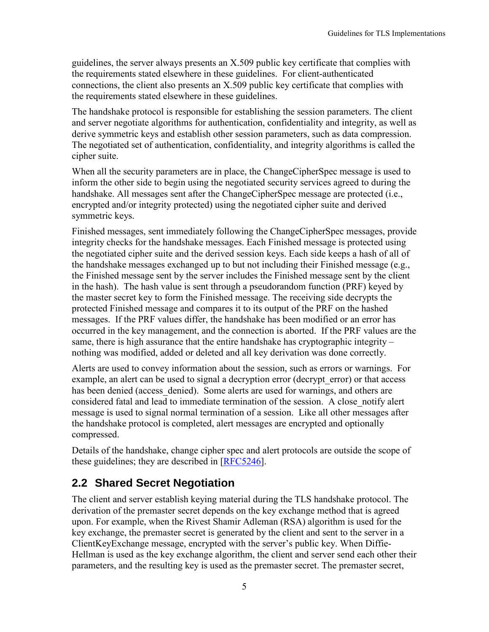guidelines, the server always presents an X.509 public key certificate that complies with the requirements stated elsewhere in these guidelines. For client-authenticated connections, the client also presents an X.509 public key certificate that complies with the requirements stated elsewhere in these guidelines.

The handshake protocol is responsible for establishing the session parameters. The client and server negotiate algorithms for authentication, confidentiality and integrity, as well as derive symmetric keys and establish other session parameters, such as data compression. The negotiated set of authentication, confidentiality, and integrity algorithms is called the cipher suite.

When all the security parameters are in place, the ChangeCipherSpec message is used to inform the other side to begin using the negotiated security services agreed to during the handshake. All messages sent after the ChangeCipherSpec message are protected (i.e., encrypted and/or integrity protected) using the negotiated cipher suite and derived symmetric keys.

Finished messages, sent immediately following the ChangeCipherSpec messages, provide integrity checks for the handshake messages. Each Finished message is protected using the negotiated cipher suite and the derived session keys. Each side keeps a hash of all of the handshake messages exchanged up to but not including their Finished message (e.g., the Finished message sent by the server includes the Finished message sent by the client in the hash). The hash value is sent through a pseudorandom function (PRF) keyed by the master secret key to form the Finished message. The receiving side decrypts the protected Finished message and compares it to its output of the PRF on the hashed messages. If the PRF values differ, the handshake has been modified or an error has occurred in the key management, and the connection is aborted. If the PRF values are the same, there is high assurance that the entire handshake has cryptographic integrity – nothing was modified, added or deleted and all key derivation was done correctly.

Alerts are used to convey information about the session, such as errors or warnings. For example, an alert can be used to signal a decryption error (decrypt error) or that access has been denied (access denied). Some alerts are used for warnings, and others are considered fatal and lead to immediate termination of the session. A close\_notify alert message is used to signal normal termination of a session. Like all other messages after the handshake protocol is completed, alert messages are encrypted and optionally compressed.

Details of the handshake, change cipher spec and alert protocols are outside the scope of these guidelines; they are described in [\[RFC5246\]](#page-64-1).

#### <span id="page-12-0"></span>**2.2 Shared Secret Negotiation**

The client and server establish keying material during the TLS handshake protocol. The derivation of the premaster secret depends on the key exchange method that is agreed upon. For example, when the Rivest Shamir Adleman (RSA) algorithm is used for the key exchange, the premaster secret is generated by the client and sent to the server in a ClientKeyExchange message, encrypted with the server's public key. When Diffie-Hellman is used as the key exchange algorithm, the client and server send each other their parameters, and the resulting key is used as the premaster secret. The premaster secret,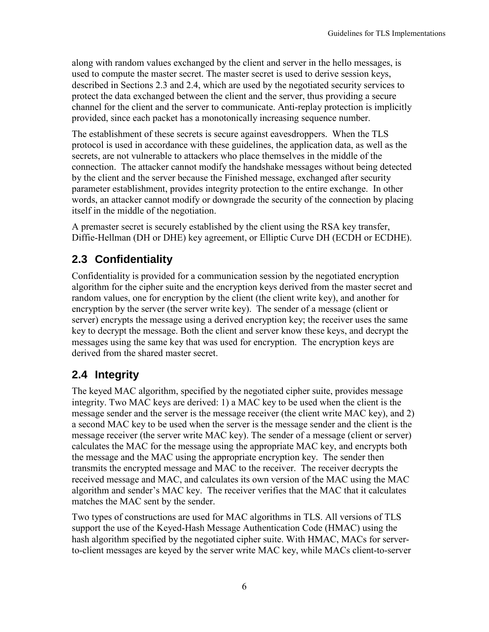along with random values exchanged by the client and server in the hello messages, is used to compute the master secret. The master secret is used to derive session keys, described in Sections [2.3](#page-13-0) and [2.4,](#page-13-1) which are used by the negotiated security services to protect the data exchanged between the client and the server, thus providing a secure channel for the client and the server to communicate. Anti-replay protection is implicitly provided, since each packet has a monotonically increasing sequence number.

The establishment of these secrets is secure against eavesdroppers. When the TLS protocol is used in accordance with these guidelines, the application data, as well as the secrets, are not vulnerable to attackers who place themselves in the middle of the connection. The attacker cannot modify the handshake messages without being detected by the client and the server because the Finished message, exchanged after security parameter establishment, provides integrity protection to the entire exchange. In other words, an attacker cannot modify or downgrade the security of the connection by placing itself in the middle of the negotiation.

A premaster secret is securely established by the client using the RSA key transfer, Diffie-Hellman (DH or DHE) key agreement, or Elliptic Curve DH (ECDH or ECDHE).

### <span id="page-13-0"></span>**2.3 Confidentiality**

Confidentiality is provided for a communication session by the negotiated encryption algorithm for the cipher suite and the encryption keys derived from the master secret and random values, one for encryption by the client (the client write key), and another for encryption by the server (the server write key). The sender of a message (client or server) encrypts the message using a derived encryption key; the receiver uses the same key to decrypt the message. Both the client and server know these keys, and decrypt the messages using the same key that was used for encryption. The encryption keys are derived from the shared master secret.

### <span id="page-13-1"></span>**2.4 Integrity**

The keyed MAC algorithm, specified by the negotiated cipher suite, provides message integrity. Two MAC keys are derived: 1) a MAC key to be used when the client is the message sender and the server is the message receiver (the client write MAC key), and 2) a second MAC key to be used when the server is the message sender and the client is the message receiver (the server write MAC key). The sender of a message (client or server) calculates the MAC for the message using the appropriate MAC key, and encrypts both the message and the MAC using the appropriate encryption key. The sender then transmits the encrypted message and MAC to the receiver. The receiver decrypts the received message and MAC, and calculates its own version of the MAC using the MAC algorithm and sender's MAC key. The receiver verifies that the MAC that it calculates matches the MAC sent by the sender.

Two types of constructions are used for MAC algorithms in TLS. All versions of TLS support the use of the Keyed-Hash Message Authentication Code (HMAC) using the hash algorithm specified by the negotiated cipher suite. With HMAC, MACs for serverto-client messages are keyed by the server write MAC key, while MACs client-to-server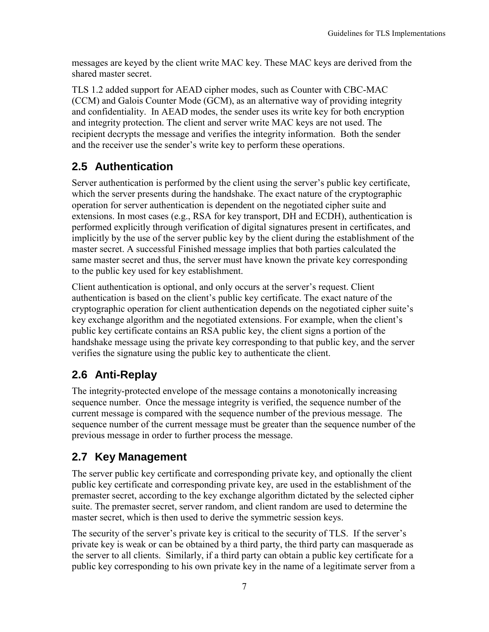messages are keyed by the client write MAC key. These MAC keys are derived from the shared master secret.

TLS 1.2 added support for AEAD cipher modes, such as Counter with CBC-MAC (CCM) and Galois Counter Mode (GCM), as an alternative way of providing integrity and confidentiality. In AEAD modes, the sender uses its write key for both encryption and integrity protection. The client and server write MAC keys are not used. The recipient decrypts the message and verifies the integrity information. Both the sender and the receiver use the sender's write key to perform these operations.

### <span id="page-14-0"></span>**2.5 Authentication**

Server authentication is performed by the client using the server's public key certificate, which the server presents during the handshake. The exact nature of the cryptographic operation for server authentication is dependent on the negotiated cipher suite and extensions. In most cases (e.g., RSA for key transport, DH and ECDH), authentication is performed explicitly through verification of digital signatures present in certificates, and implicitly by the use of the server public key by the client during the establishment of the master secret. A successful Finished message implies that both parties calculated the same master secret and thus, the server must have known the private key corresponding to the public key used for key establishment.

Client authentication is optional, and only occurs at the server's request. Client authentication is based on the client's public key certificate. The exact nature of the cryptographic operation for client authentication depends on the negotiated cipher suite's key exchange algorithm and the negotiated extensions. For example, when the client's public key certificate contains an RSA public key, the client signs a portion of the handshake message using the private key corresponding to that public key, and the server verifies the signature using the public key to authenticate the client.

### <span id="page-14-1"></span>**2.6 Anti-Replay**

The integrity-protected envelope of the message contains a monotonically increasing sequence number. Once the message integrity is verified, the sequence number of the current message is compared with the sequence number of the previous message. The sequence number of the current message must be greater than the sequence number of the previous message in order to further process the message.

### <span id="page-14-2"></span>**2.7 Key Management**

The server public key certificate and corresponding private key, and optionally the client public key certificate and corresponding private key, are used in the establishment of the premaster secret, according to the key exchange algorithm dictated by the selected cipher suite. The premaster secret, server random, and client random are used to determine the master secret, which is then used to derive the symmetric session keys.

The security of the server's private key is critical to the security of TLS. If the server's private key is weak or can be obtained by a third party, the third party can masquerade as the server to all clients. Similarly, if a third party can obtain a public key certificate for a public key corresponding to his own private key in the name of a legitimate server from a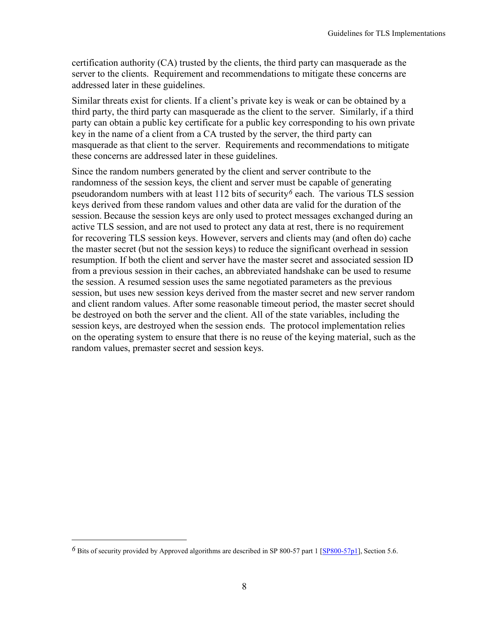certification authority (CA) trusted by the clients, the third party can masquerade as the server to the clients. Requirement and recommendations to mitigate these concerns are addressed later in these guidelines.

Similar threats exist for clients. If a client's private key is weak or can be obtained by a third party, the third party can masquerade as the client to the server. Similarly, if a third party can obtain a public key certificate for a public key corresponding to his own private key in the name of a client from a CA trusted by the server, the third party can masquerade as that client to the server. Requirements and recommendations to mitigate these concerns are addressed later in these guidelines.

Since the random numbers generated by the client and server contribute to the randomness of the session keys, the client and server must be capable of generating pseudorandom numbers with at least 112 bits of security*[6](#page-15-0)* each. The various TLS session keys derived from these random values and other data are valid for the duration of the session. Because the session keys are only used to protect messages exchanged during an active TLS session, and are not used to protect any data at rest, there is no requirement for recovering TLS session keys. However, servers and clients may (and often do) cache the master secret (but not the session keys) to reduce the significant overhead in session resumption. If both the client and server have the master secret and associated session ID from a previous session in their caches, an abbreviated handshake can be used to resume the session. A resumed session uses the same negotiated parameters as the previous session, but uses new session keys derived from the master secret and new server random and client random values. After some reasonable timeout period, the master secret should be destroyed on both the server and the client. All of the state variables, including the session keys, are destroyed when the session ends. The protocol implementation relies on the operating system to ensure that there is no reuse of the keying material, such as the random values, premaster secret and session keys.

 $\overline{a}$ 

<span id="page-15-0"></span>*<sup>6</sup>* Bits of security provided by Approved algorithms are described in SP 800-57 part 1 [\[SP800-57p1\]](#page-66-1), Section 5.6.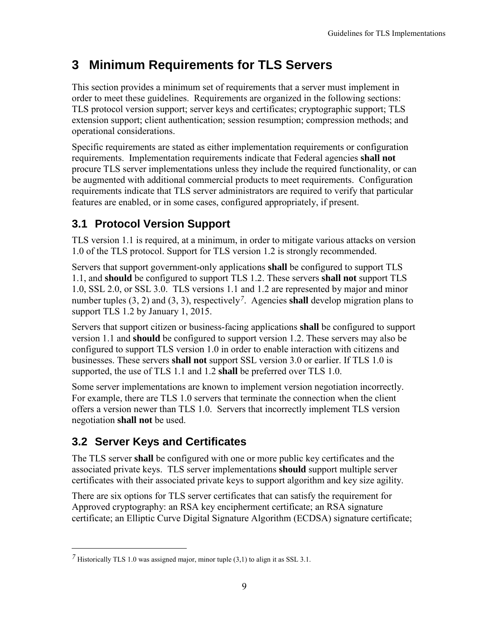## <span id="page-16-0"></span>**3 Minimum Requirements for TLS Servers**

This section provides a minimum set of requirements that a server must implement in order to meet these guidelines. Requirements are organized in the following sections: TLS protocol version support; server keys and certificates; cryptographic support; TLS extension support; client authentication; session resumption; compression methods; and operational considerations.

Specific requirements are stated as either implementation requirements or configuration requirements. Implementation requirements indicate that Federal agencies **shall not** procure TLS server implementations unless they include the required functionality, or can be augmented with additional commercial products to meet requirements. Configuration requirements indicate that TLS server administrators are required to verify that particular features are enabled, or in some cases, configured appropriately, if present.

### <span id="page-16-1"></span>**3.1 Protocol Version Support**

TLS version 1.1 is required, at a minimum, in order to mitigate various attacks on version 1.0 of the TLS protocol. Support for TLS version 1.2 is strongly recommended.

Servers that support government-only applications **shall** be configured to support TLS 1.1, and **should** be configured to support TLS 1.2. These servers **shall not** support TLS 1.0, SSL 2.0, or SSL 3.0. TLS versions 1.1 and 1.2 are represented by major and minor number tuples (3, 2) and (3, 3), respectively*[7](#page-16-3)*. Agencies **shall** develop migration plans to support TLS 1.2 by January 1, 2015.

Servers that support citizen or business-facing applications **shall** be configured to support version 1.1 and **should** be configured to support version 1.2. These servers may also be configured to support TLS version 1.0 in order to enable interaction with citizens and businesses. These servers **shall not** support SSL version 3.0 or earlier. If TLS 1.0 is supported, the use of TLS 1.1 and 1.2 **shall** be preferred over TLS 1.0.

Some server implementations are known to implement version negotiation incorrectly. For example, there are TLS 1.0 servers that terminate the connection when the client offers a version newer than TLS 1.0. Servers that incorrectly implement TLS version negotiation **shall not** be used.

### <span id="page-16-2"></span>**3.2 Server Keys and Certificates**

 $\overline{a}$ 

The TLS server **shall** be configured with one or more public key certificates and the associated private keys. TLS server implementations **should** support multiple server certificates with their associated private keys to support algorithm and key size agility.

There are six options for TLS server certificates that can satisfy the requirement for Approved cryptography: an RSA key encipherment certificate; an RSA signature certificate; an Elliptic Curve Digital Signature Algorithm (ECDSA) signature certificate;

<span id="page-16-3"></span>*<sup>7</sup>* Historically TLS 1.0 was assigned major, minor tuple (3,1) to align it as SSL 3.1.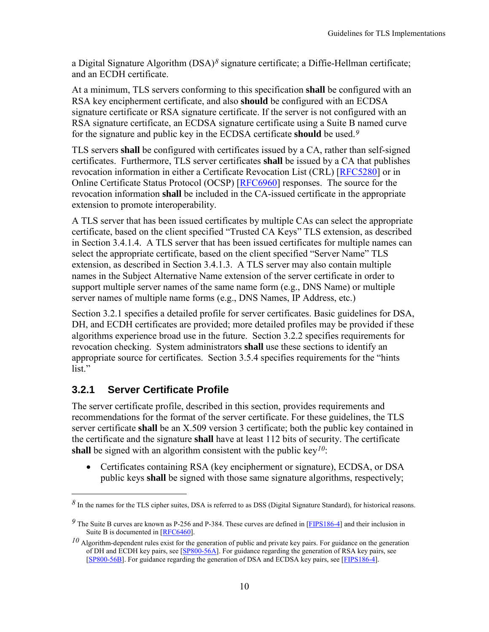a Digital Signature Algorithm (DSA)*[8](#page-17-1)* signature certificate; a Diffie-Hellman certificate; and an ECDH certificate.

At a minimum, TLS servers conforming to this specification **shall** be configured with an RSA key encipherment certificate, and also **should** be configured with an ECDSA signature certificate or RSA signature certificate. If the server is not configured with an RSA signature certificate, an ECDSA signature certificate using a Suite B named curve for the signature and public key in the ECDSA certificate **should** be used.*[9](#page-17-2)*

TLS servers **shall** be configured with certificates issued by a CA, rather than self-signed certificates. Furthermore, TLS server certificates **shall** be issued by a CA that publishes revocation information in either a Certificate Revocation List (CRL) [\[RFC5280\]](#page-64-2) or in Online Certificate Status Protocol (OCSP) [\[RFC6960\]](#page-65-1) responses. The source for the revocation information **shall** be included in the CA-issued certificate in the appropriate extension to promote interoperability.

A TLS server that has been issued certificates by multiple CAs can select the appropriate certificate, based on the client specified "Trusted CA Keys" TLS extension, as described in Section [3.4.1.4.](#page-28-1) A TLS server that has been issued certificates for multiple names can select the appropriate certificate, based on the client specified "Server Name" TLS extension, as described in Section [3.4.1.3.](#page-28-2) A TLS server may also contain multiple names in the Subject Alternative Name extension of the server certificate in order to support multiple server names of the same name form (e.g., DNS Name) or multiple server names of multiple name forms (e.g., DNS Names, IP Address, etc.)

Section [3.2.1](#page-17-0) specifies a detailed profile for server certificates. Basic guidelines for DSA, DH, and ECDH certificates are provided; more detailed profiles may be provided if these algorithms experience broad use in the future. Section [3.2.2](#page-20-0) specifies requirements for revocation checking. System administrators **shall** use these sections to identify an appropriate source for certificates. Section [3.5.4](#page-32-1) specifies requirements for the "hints list."

#### <span id="page-17-0"></span>**3.2.1 Server Certificate Profile**

 $\overline{a}$ 

The server certificate profile, described in this section, provides requirements and recommendations for the format of the server certificate. For these guidelines, the TLS server certificate **shall** be an X.509 version 3 certificate; both the public key contained in the certificate and the signature **shall** have at least 112 bits of security. The certificate **shall** be signed with an algorithm consistent with the public key*[10](#page-17-3)*:

• Certificates containing RSA (key encipherment or signature), ECDSA, or DSA public keys **shall** be signed with those same signature algorithms, respectively;

<span id="page-17-1"></span>*<sup>8</sup>* In the names for the TLS cipher suites, DSA is referred to as DSS (Digital Signature Standard), for historical reasons.

<span id="page-17-2"></span>*<sup>9</sup>* The Suite B curves are known as P-256 and P-384. These curves are defined in [\[FIPS186-4\]](#page-62-4) and their inclusion in Suite B is documented in [\[RFC6460\]](#page-65-2).

<span id="page-17-3"></span>*<sup>10</sup>* Algorithm-dependent rules exist for the generation of public and private key pairs. For guidance on the generation of DH and ECDH key pairs, see [\[SP800-56A\]](#page-66-2). For guidance regarding the generation of RSA key pairs, see [\[SP800-56B\]](#page-66-3). For guidance regarding the generation of DSA and ECDSA key pairs, see [\[FIPS186-4\]](#page-62-4).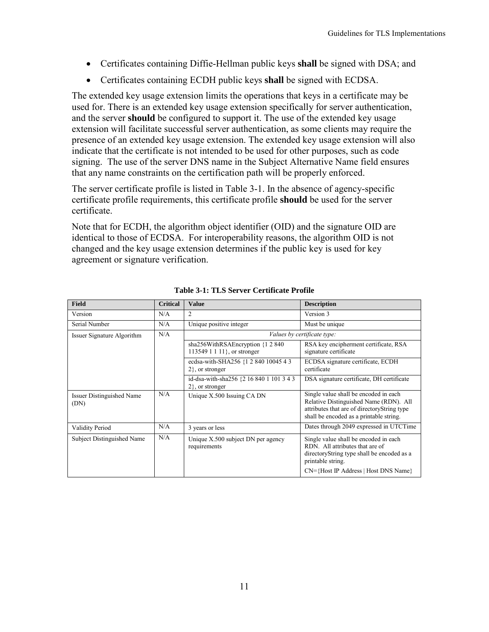- Certificates containing Diffie-Hellman public keys **shall** be signed with DSA; and
- Certificates containing ECDH public keys **shall** be signed with ECDSA.

The extended key usage extension limits the operations that keys in a certificate may be used for. There is an extended key usage extension specifically for server authentication, and the server **should** be configured to support it. The use of the extended key usage extension will facilitate successful server authentication, as some clients may require the presence of an extended key usage extension. The extended key usage extension will also indicate that the certificate is not intended to be used for other purposes, such as code signing. The use of the server DNS name in the Subject Alternative Name field ensures that any name constraints on the certification path will be properly enforced.

The server certificate profile is listed in [Table 3-1.](#page-18-0) In the absence of agency-specific certificate profile requirements, this certificate profile **should** be used for the server certificate.

Note that for ECDH, the algorithm object identifier (OID) and the signature OID are identical to those of ECDSA. For interoperability reasons, the algorithm OID is not changed and the key usage extension determines if the public key is used for key agreement or signature verification.

<span id="page-18-0"></span>

| <b>Field</b>                      | <b>Critical</b> | <b>Value</b>                                                       | <b>Description</b>                                                                                                                                                                  |  |
|-----------------------------------|-----------------|--------------------------------------------------------------------|-------------------------------------------------------------------------------------------------------------------------------------------------------------------------------------|--|
| Version                           | N/A             | 2                                                                  | Version 3                                                                                                                                                                           |  |
| Serial Number                     | N/A             | Unique positive integer                                            | Must be unique                                                                                                                                                                      |  |
| Issuer Signature Algorithm        | N/A             | Values by certificate type:                                        |                                                                                                                                                                                     |  |
|                                   |                 | sha256WithRSAEncryption {1 2 840}<br>113549 $1 1 11$ , or stronger | RSA key encipherment certificate, RSA<br>signature certificate                                                                                                                      |  |
|                                   |                 | ecdsa-with-SHA256 {1 2 840 10045 4 3<br>$2$ , or stronger          | ECDSA signature certificate, ECDH<br>certificate                                                                                                                                    |  |
|                                   |                 | id-dsa-with-sha256 {2 16 840 1 101 3 4 3<br>$2$ , or stronger      | DSA signature certificate, DH certificate                                                                                                                                           |  |
| Issuer Distinguished Name<br>(DN) | N/A             | Unique X.500 Issuing CA DN                                         | Single value shall be encoded in each<br>Relative Distinguished Name (RDN). All<br>attributes that are of directoryString type<br>shall be encoded as a printable string.           |  |
| <b>Validity Period</b>            | N/A             | 3 years or less                                                    | Dates through 2049 expressed in UTCTime                                                                                                                                             |  |
| Subject Distinguished Name        | N/A             | Unique X.500 subject DN per agency<br>requirements                 | Single value shall be encoded in each<br>RDN. All attributes that are of<br>directoryString type shall be encoded as a<br>printable string.<br>CN={Host IP Address   Host DNS Name} |  |

**Table 3-1: TLS Server Certificate Profile**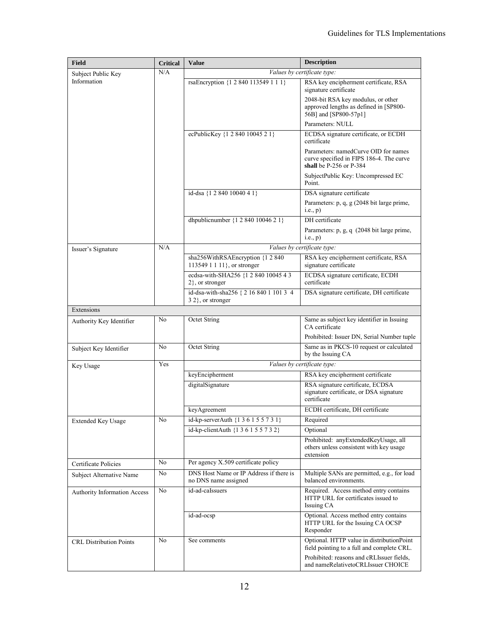| <b>Field</b>                        | <b>Critical</b> | <b>Value</b>                                                    | <b>Description</b>                                                                                                                   |
|-------------------------------------|-----------------|-----------------------------------------------------------------|--------------------------------------------------------------------------------------------------------------------------------------|
| Subject Public Key                  | N/A             |                                                                 | Values by certificate type:                                                                                                          |
| Information                         |                 | rsaEncryption {1 2 840 113549 1 1 1}                            | RSA key encipherment certificate, RSA<br>signature certificate                                                                       |
|                                     |                 |                                                                 | 2048-bit RSA key modulus, or other<br>approved lengths as defined in [SP800-<br>56B] and [SP800-57p1]                                |
|                                     |                 |                                                                 | Parameters: NULL                                                                                                                     |
|                                     |                 | ecPublicKey {1 2 840 10045 2 1}                                 | ECDSA signature certificate, or ECDH<br>certificate                                                                                  |
|                                     |                 |                                                                 | Parameters: namedCurve OID for names<br>curve specified in FIPS 186-4. The curve<br>shall be $P-256$ or $P-384$                      |
|                                     |                 |                                                                 | SubjectPublic Key: Uncompressed EC<br>Point.                                                                                         |
|                                     |                 | id-dsa {1 2 840 10040 4 1}                                      | DSA signature certificate                                                                                                            |
|                                     |                 |                                                                 | Parameters: p, q, g (2048 bit large prime,<br>i.e., p)                                                                               |
|                                     |                 | dhpublicnumber {1 2 840 10046 2 1}                              | DH certificate                                                                                                                       |
|                                     |                 |                                                                 | Parameters: p, g, q (2048 bit large prime,<br>i.e., p)                                                                               |
| Issuer's Signature                  | N/A             |                                                                 | Values by certificate type:                                                                                                          |
|                                     |                 | sha256WithRSAEncryption {1 2 840<br>113549 1 1 11}, or stronger | RSA key encipherment certificate, RSA<br>signature certificate                                                                       |
|                                     |                 | ecdsa-with-SHA256 {1 2 840 10045 4 3<br>$2$ , or stronger       | ECDSA signature certificate, ECDH<br>certificate                                                                                     |
|                                     |                 | id-dsa-with-sha256 { 2 16 840 1 101 3 4<br>$32$ , or stronger   | DSA signature certificate, DH certificate                                                                                            |
| Extensions                          |                 |                                                                 |                                                                                                                                      |
| Authority Key Identifier            | N <sub>0</sub>  | Octet String                                                    | Same as subject key identifier in Issuing<br>CA certificate                                                                          |
|                                     |                 |                                                                 | Prohibited: Issuer DN, Serial Number tuple                                                                                           |
| Subject Key Identifier              | No              | Octet String                                                    | Same as in PKCS-10 request or calculated<br>by the Issuing CA                                                                        |
| Key Usage                           | Yes             |                                                                 | Values by certificate type:                                                                                                          |
|                                     |                 | keyEncipherment                                                 | RSA key encipherment certificate                                                                                                     |
|                                     |                 | digitalSignature                                                | RSA signature certificate, ECDSA<br>signature certificate, or DSA signature<br>certificate                                           |
|                                     |                 | keyAgreement                                                    | ECDH certificate, DH certificate                                                                                                     |
| <b>Extended Key Usage</b>           | No              | id-kp-serverAuth ${136155731}$                                  | Required                                                                                                                             |
|                                     |                 | id-kp-clientAuth {1 3 6 1 5 5 7 3 2}                            | Optional                                                                                                                             |
|                                     |                 |                                                                 | Prohibited: anyExtendedKeyUsage, all<br>others unless consistent with key usage<br>extension                                         |
| Certificate Policies                | No              | Per agency X.509 certificate policy                             |                                                                                                                                      |
| Subject Alternative Name            | No              | DNS Host Name or IP Address if there is<br>no DNS name assigned | Multiple SANs are permitted, e.g., for load<br>balanced environments.                                                                |
| <b>Authority Information Access</b> | No              | id-ad-caIssuers                                                 | Required. Access method entry contains<br>HTTP URL for certificates issued to<br>Issuing CA                                          |
|                                     |                 | id-ad-ocsp                                                      | Optional. Access method entry contains<br>HTTP URL for the Issuing CA OCSP<br>Responder                                              |
| <b>CRL Distribution Points</b>      | N <sub>0</sub>  | See comments                                                    | Optional. HTTP value in distributionPoint<br>field pointing to a full and complete CRL.<br>Prohibited: reasons and cRLIssuer fields, |
|                                     |                 |                                                                 | and nameRelativetoCRLIssuer CHOICE                                                                                                   |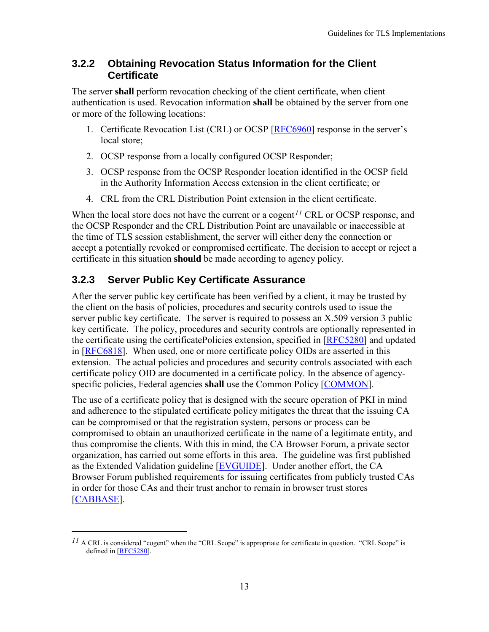#### <span id="page-20-0"></span>**3.2.2 Obtaining Revocation Status Information for the Client Certificate**

The server **shall** perform revocation checking of the client certificate, when client authentication is used. Revocation information **shall** be obtained by the server from one or more of the following locations:

- 1. Certificate Revocation List (CRL) or OCSP [\[RFC6960\]](#page-65-1) response in the server's local store;
- 2. OCSP response from a locally configured OCSP Responder;
- 3. OCSP response from the OCSP Responder location identified in the OCSP field in the Authority Information Access extension in the client certificate; or
- 4. CRL from the CRL Distribution Point extension in the client certificate.

When the local store does not have the current or a cogent*[11](#page-20-2)* CRL or OCSP response, and the OCSP Responder and the CRL Distribution Point are unavailable or inaccessible at the time of TLS session establishment, the server will either deny the connection or accept a potentially revoked or compromised certificate. The decision to accept or reject a certificate in this situation **should** be made according to agency policy.

### <span id="page-20-1"></span>**3.2.3 Server Public Key Certificate Assurance**

 $\overline{a}$ 

After the server public key certificate has been verified by a client, it may be trusted by the client on the basis of policies, procedures and security controls used to issue the server public key certificate. The server is required to possess an X.509 version 3 public key certificate. The policy, procedures and security controls are optionally represented in the certificate using the certificatePolicies extension, specified in [\[RFC5280\]](#page-64-2) and updated in [\[RFC6818\]](#page-65-3). When used, one or more certificate policy OIDs are asserted in this extension. The actual policies and procedures and security controls associated with each certificate policy OID are documented in a certificate policy. In the absence of agencyspecific policies, Federal agencies **shall** use the Common Policy [\[COMMON\]](#page-62-5).

The use of a certificate policy that is designed with the secure operation of PKI in mind and adherence to the stipulated certificate policy mitigates the threat that the issuing CA can be compromised or that the registration system, persons or process can be compromised to obtain an unauthorized certificate in the name of a legitimate entity, and thus compromise the clients. With this in mind, the CA Browser Forum, a private sector organization, has carried out some efforts in this area. The guideline was first published as the Extended Validation guideline [\[EVGUIDE\]](#page-62-6). Under another effort, the CA Browser Forum published requirements for issuing certificates from publicly trusted CAs in order for those CAs and their trust anchor to remain in browser trust stores [\[CABBASE\]](#page-62-7).

<span id="page-20-2"></span> $^{11}$  A CRL is considered "cogent" when the "CRL Scope" is appropriate for certificate in question. "CRL Scope" is defined in [\[RFC5280\]](#page-64-2).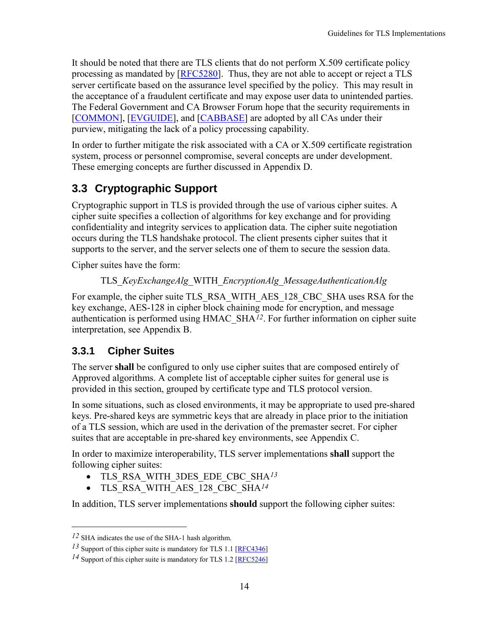It should be noted that there are TLS clients that do not perform X.509 certificate policy processing as mandated by [\[RFC5280\]](#page-64-2). Thus, they are not able to accept or reject a TLS server certificate based on the assurance level specified by the policy. This may result in the acceptance of a fraudulent certificate and may expose user data to unintended parties. The Federal Government and CA Browser Forum hope that the security requirements in [\[COMMON\]](#page-62-5), [\[EVGUIDE\]](#page-62-6), and [\[CABBASE\]](#page-62-7) are adopted by all CAs under their purview, mitigating the lack of a policy processing capability.

In order to further mitigate the risk associated with a CA or X.509 certificate registration system, process or personnel compromise, several concepts are under development. These emerging concepts are further discussed in [Appendix D.](#page-59-0)

### <span id="page-21-0"></span>**3.3 Cryptographic Support**

Cryptographic support in TLS is provided through the use of various cipher suites. A cipher suite specifies a collection of algorithms for key exchange and for providing confidentiality and integrity services to application data. The cipher suite negotiation occurs during the TLS handshake protocol. The client presents cipher suites that it supports to the server, and the server selects one of them to secure the session data.

Cipher suites have the form:

TLS\_*KeyExchangeAlg*\_WITH\_*EncryptionAlg\_MessageAuthenticationAlg*

For example, the cipher suite TLS\_RSA\_WITH\_AES\_128\_CBC\_SHA uses RSA for the key exchange, AES-128 in cipher block chaining mode for encryption, and message authentication is performed using HMAC\_SHA*[12](#page-21-2)*. For further information on cipher suite interpretation, see [Appendix B.](#page-55-0)

### <span id="page-21-1"></span>**3.3.1 Cipher Suites**

The server **shall** be configured to only use cipher suites that are composed entirely of Approved algorithms. A complete list of acceptable cipher suites for general use is provided in this section, grouped by certificate type and TLS protocol version.

In some situations, such as closed environments, it may be appropriate to used pre-shared keys. Pre-shared keys are symmetric keys that are already in place prior to the initiation of a TLS session, which are used in the derivation of the premaster secret. For cipher suites that are acceptable in pre-shared key environments, see [Appendix C.](#page-57-0)

In order to maximize interoperability, TLS server implementations **shall** support the following cipher suites:

- TLS\_RSA\_WITH\_3DES\_EDE\_CBC\_SHA*[13](#page-21-3)*
- TLS\_RSA\_WITH\_AES\_128\_CBC\_SHA*[14](#page-21-4)*

In addition, TLS server implementations **should** support the following cipher suites:

 $\overline{a}$ 

<span id="page-21-2"></span>*<sup>12</sup>* SHA indicates the use of the SHA-1 hash algorithm.

<span id="page-21-3"></span><sup>13</sup> Support of this cipher suite is mandatory for TLS 1.1 [\[RFC4346\]](#page-64-0)

<span id="page-21-4"></span>*<sup>14</sup>* Support of this cipher suite is mandatory for TLS 1.2 [\[RFC5246\]](#page-64-1)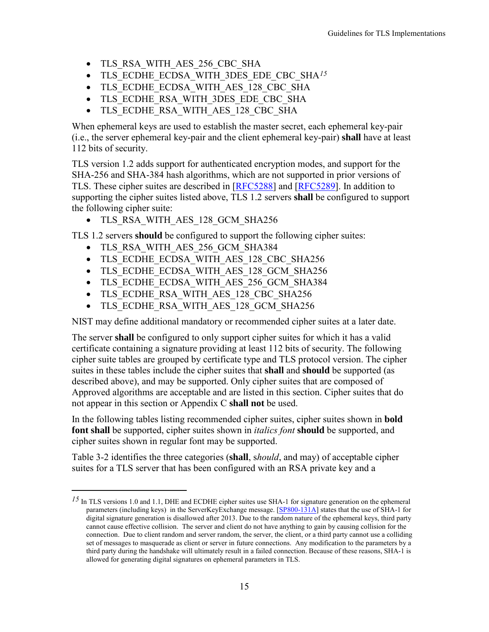- TLS RSA\_WITH\_AES\_256\_CBC\_SHA
- TLS\_ECDHE\_ECDSA\_WITH\_3DES\_EDE\_CBC\_SHA*[15](#page-22-0)*
- TLS ECDHE\_ECDSA\_WITH\_AES\_128\_CBC\_SHA
- TLS\_ECDHE\_RSA\_WITH\_3DES\_EDE\_CBC\_SHA
- TLS\_ECDHE\_RSA\_WITH\_AES\_128\_CBC\_SHA

When ephemeral keys are used to establish the master secret, each ephemeral key-pair (i.e., the server ephemeral key-pair and the client ephemeral key-pair) **shall** have at least 112 bits of security.

TLS version 1.2 adds support for authenticated encryption modes, and support for the SHA-256 and SHA-384 hash algorithms, which are not supported in prior versions of TLS. These cipher suites are described in [\[RFC5288\]](#page-64-3) and [\[RFC5289\]](#page-64-4). In addition to supporting the cipher suites listed above, TLS 1.2 servers **shall** be configured to support the following cipher suite:

• TLS\_RSA\_WITH\_AES\_128\_GCM\_SHA256

TLS 1.2 servers **should** be configured to support the following cipher suites:

• TLS\_RSA\_WITH\_AES\_256\_GCM\_SHA384

 $\overline{a}$ 

- TLS ECDHE\_ECDSA\_WITH\_AES\_128\_CBC\_SHA256
- TLS ECDHE\_ECDSA\_WITH\_AES\_128\_GCM\_SHA256
- TLS ECDHE\_ECDSA\_WITH\_AES\_256\_GCM\_SHA384
- TLS\_ECDHE\_RSA\_WITH\_AES\_128\_CBC\_SHA256
- TLS\_ECDHE\_RSA\_WITH\_AES\_128\_GCM\_SHA256

NIST may define additional mandatory or recommended cipher suites at a later date.

The server **shall** be configured to only support cipher suites for which it has a valid certificate containing a signature providing at least 112 bits of security. The following cipher suite tables are grouped by certificate type and TLS protocol version. The cipher suites in these tables include the cipher suites that **shall** and **should** be supported (as described above), and may be supported. Only cipher suites that are composed of Approved algorithms are acceptable and are listed in this section. Cipher suites that do not appear in this section or [Appendix C](#page-57-0) **shall not** be used.

In the following tables listing recommended cipher suites, cipher suites shown in **bold font shall** be supported, cipher suites shown in *italics font* **should** be supported, and cipher suites shown in regular font may be supported.

[Table 3-2](#page-23-0) identifies the three categories (**shall**, s*hould*, and may) of acceptable cipher suites for a TLS server that has been configured with an RSA private key and a

<span id="page-22-0"></span>*<sup>15</sup>* In TLS versions 1.0 and 1.1, DHE and ECDHE cipher suites use SHA-1 for signature generation on the ephemeral parameters (including keys) in the ServerKeyExchange message. [\[SP800-131A\]](#page-66-4) states that the use of SHA-1 for digital signature generation is disallowed after 2013. Due to the random nature of the ephemeral keys, third party cannot cause effective collision. The server and client do not have anything to gain by causing collision for the connection. Due to client random and server random, the server, the client, or a third party cannot use a colliding set of messages to masquerade as client or server in future connections. Any modification to the parameters by a third party during the handshake will ultimately result in a failed connection. Because of these reasons, SHA-1 is allowed for generating digital signatures on ephemeral parameters in TLS.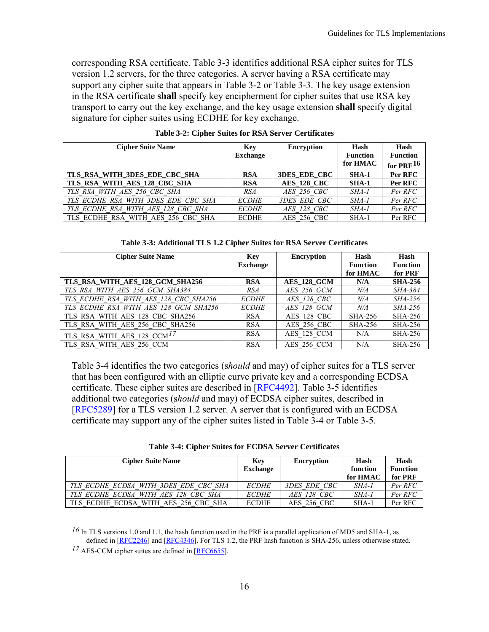corresponding RSA certificate. [Table 3-3](#page-23-1) identifies additional RSA cipher suites for TLS version 1.2 servers, for the three categories. A server having a RSA certificate may support any cipher suite that appears in [Table 3-2](#page-23-0) or [Table 3-3.](#page-23-1) The key usage extension in the RSA certificate **shall** specify key encipherment for cipher suites that use RSA key transport to carry out the key exchange, and the key usage extension **shall** specify digital signature for cipher suites using ECDHE for key exchange.

<span id="page-23-0"></span>

| <b>Cipher Suite Name</b>            | Key             | <b>Encryption</b>   | Hash            | Hash                  |
|-------------------------------------|-----------------|---------------------|-----------------|-----------------------|
|                                     | <b>Exchange</b> |                     | <b>Function</b> | <b>Function</b>       |
|                                     |                 |                     | for HMAC        | for PRF <sup>16</sup> |
| TLS RSA WITH 3DES EDE CBC SHA       | <b>RSA</b>      | <b>3DES EDE CBC</b> | $SHA-1$         | Per RFC               |
| TLS RSA WITH AES 128 CBC SHA        | <b>RSA</b>      | AES 128 CBC         | $SHA-1$         | Per RFC               |
| TLS RSA WITH AES 256 CBC SHA        | <b>RSA</b>      | AES 256 CBC         | $SHA-I$         | Per RFC               |
| TLS ECDHE RSA WITH 3DES EDE CBC SHA | <b>ECDHE</b>    | 3DES EDE CBC        | <i>SHA-1</i>    | Per RFC               |
| TLS ECDHE RSA WITH AES 128 CBC SHA  | <b>ECDHE</b>    | AES 128 CBC         | <i>SHA-1</i>    | Per RFC               |
| TLS ECDHE RSA WITH AES 256 CBC SHA  | <b>ECDHE</b>    | AES 256 CBC         | $SHA-1$         | Per RFC               |

**Table 3-2: Cipher Suites for RSA Server Certificates** 

| Table 3-3: Additional TLS 1.2 Cipher Suites for RSA Server Certificates |
|-------------------------------------------------------------------------|
|-------------------------------------------------------------------------|

<span id="page-23-1"></span>

| <b>Cipher Suite Name</b>               | Key             | <b>Encryption</b>  | Hash            | Hash            |
|----------------------------------------|-----------------|--------------------|-----------------|-----------------|
|                                        | <b>Exchange</b> |                    | <b>Function</b> | <b>Function</b> |
|                                        |                 |                    | for HMAC        | for PRF         |
| TLS RSA WITH AES 128 GCM SHA256        | <b>RSA</b>      | AES 128 GCM        | N/A             | <b>SHA-256</b>  |
| TLS RSA WITH AES 256 GCM SHA384        | <b>RSA</b>      | AES 256 GCM        | $N\!/\!A$       | <i>SHA-384</i>  |
| TLS ECDHE RSA WITH AES 128 CBC SHA256  | <b>ECDHE</b>    | <b>AES 128 CBC</b> | $N\!/\!A$       | <i>SHA-256</i>  |
| TLS ECDHE RSA WITH AES 128 GCM SHA256  | <b>ECDHE</b>    | AES 128 GCM        | N/A             | <i>SHA-256</i>  |
| TLS RSA WITH AES 128 CBC SHA256        | <b>RSA</b>      | <b>AES 128 CBC</b> | SHA-256         | <b>SHA-256</b>  |
| TLS RSA WITH AES 256 CBC SHA256        | <b>RSA</b>      | <b>AES 256 CBC</b> | <b>SHA-256</b>  | <b>SHA-256</b>  |
| TLS RSA WITH AES 128 CCM <sup>17</sup> | <b>RSA</b>      | AES 128 CCM        | N/A             | <b>SHA-256</b>  |
| TLS RSA WITH AES 256 CCM               | <b>RSA</b>      | AES 256 CCM        | N/A             | <b>SHA-256</b>  |

[Table 3-4](#page-23-2) identifies the two categories (s*hould* and may) of cipher suites for a TLS server that has been configured with an elliptic curve private key and a corresponding ECDSA certificate. These cipher suites are described in [\[RFC4492\]](#page-64-5). [Table 3-5](#page-24-0) identifies additional two categories (s*hould* and may) of ECDSA cipher suites, described in [\[RFC5289\]](#page-64-4) for a TLS version 1.2 server. A server that is configured with an ECDSA certificate may support any of the cipher suites listed in [Table 3-4](#page-23-2) or [Table 3-5.](#page-24-0)

<span id="page-23-2"></span>

| <b>Cipher Suite Name</b>              | Key<br><b>Exchange</b> | <b>Encryption</b> | Hash<br>function<br>for HMAC | Hash<br><b>Function</b><br>for PRF |
|---------------------------------------|------------------------|-------------------|------------------------------|------------------------------------|
| TLS ECDHE ECDSA WITH 3DES EDE CBC SHA | <b>ECDHE</b>           | 3DES EDE CBC      | SHA-1                        | Per RFC                            |
| TLS ECDHE ECDSA WITH AES 128 CBC SHA  | <b>ECDHE</b>           | AES 128 CBC       | SHA-1                        | Per RFC                            |
| TLS ECDHE ECDSA WITH AES 256 CBC SHA  | <b>ECDHE</b>           | AES 256 CBC       | SHA-1                        | Per RFC                            |

**Table 3-4: Cipher Suites for ECDSA Server Certificates** 

<span id="page-23-3"></span>*16* In TLS versions 1.0 and 1.1, the hash function used in the PRF is a parallel application of MD5 and SHA-1, as defined in [\[RFC2246\]](#page-63-0) and [\[RFC4346\]](#page-64-0). For TLS 1.2, the PRF hash function is SHA-256, unless otherwise stated.

 $\overline{a}$ 

<span id="page-23-4"></span>*<sup>17</sup>* AES-CCM cipher suites are defined in [\[RFC6655\]](#page-65-4).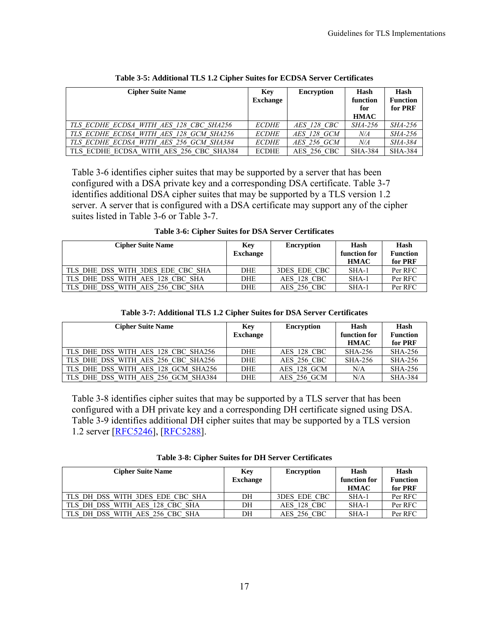<span id="page-24-0"></span>

| <b>Cipher Suite Name</b>                | Key<br><b>Exchange</b> | <b>Encryption</b>  | Hash<br>function<br>for<br><b>HMAC</b> | Hash<br><b>Function</b><br>for PRF |
|-----------------------------------------|------------------------|--------------------|----------------------------------------|------------------------------------|
| TLS ECDHE ECDSA WITH AES 128 CBC SHA256 | <b>ECDHE</b>           | AES 128 CBC        | <i>SHA-256</i>                         | <i>SHA-256</i>                     |
| TLS ECDHE ECDSA WITH AES 128 GCM SHA256 | <b>ECDHE</b>           | AES 128 GCM        | N/A                                    | <i>SHA-256</i>                     |
| TLS ECDHE ECDSA WITH AES 256 GCM SHA384 | <b>ECDHE</b>           | AES 256 GCM        | N/A                                    | SHA-384                            |
| TLS ECDHE ECDSA WITH AES 256 CBC SHA384 | <b>ECDHE</b>           | <b>AES 256 CBC</b> | <b>SHA-384</b>                         | <b>SHA-384</b>                     |

| Table 3-5: Additional TLS 1.2 Cipher Suites for ECDSA Server Certificates |
|---------------------------------------------------------------------------|
|---------------------------------------------------------------------------|

[Table 3-6](#page-24-1) identifies cipher suites that may be supported by a server that has been configured with a DSA private key and a corresponding DSA certificate. [Table 3-7](#page-24-2) identifies additional DSA cipher suites that may be supported by a TLS version 1.2 server. A server that is configured with a DSA certificate may support any of the cipher suites listed in [Table 3-6](#page-24-1) or [Table 3-7.](#page-24-2)

|  | Table 3-6: Cipher Suites for DSA Server Certificates |  |
|--|------------------------------------------------------|--|
|  |                                                      |  |

<span id="page-24-1"></span>

| <b>Cipher Suite Name</b>          | Key             | <b>Encryption</b>  | Hash         | Hash            |
|-----------------------------------|-----------------|--------------------|--------------|-----------------|
|                                   | <b>Exchange</b> |                    | function for | <b>Function</b> |
|                                   |                 |                    | <b>HMAC</b>  | for PRF         |
| TLS DHE DSS WITH 3DES EDE CBC SHA | <b>DHE</b>      | 3DES EDE CBC       | $SHA-1$      | Per RFC         |
| TLS DHE DSS WITH AES 128 CBC SHA  | DHE             | AES 128 CBC        | $SHA-1$      | Per RFC         |
| TLS DHE DSS WITH AES 256 CBC SHA  | DHE             | <b>AES 256 CBC</b> | $SHA-1$      | Per RFC         |

| Table 3-7: Additional TLS 1.2 Cipher Suites for DSA Server Certificates |
|-------------------------------------------------------------------------|
|-------------------------------------------------------------------------|

<span id="page-24-2"></span>

| <b>Cipher Suite Name</b>            | Key             | <b>Encryption</b> | Hash         | Hash            |
|-------------------------------------|-----------------|-------------------|--------------|-----------------|
|                                     | <b>Exchange</b> |                   | function for | <b>Function</b> |
|                                     |                 |                   | <b>HMAC</b>  | for PRF         |
| TLS DHE DSS WITH AES 128 CBC SHA256 | <b>DHE</b>      | AES 128 CBC       | SHA-256      | <b>SHA-256</b>  |
| TLS DHE DSS WITH AES 256 CBC SHA256 | <b>DHE</b>      | AES 256 CBC       | SHA-256      | <b>SHA-256</b>  |
| TLS DHE DSS WITH AES 128 GCM SHA256 | <b>DHE</b>      | AES 128 GCM       | N/A          | <b>SHA-256</b>  |
| TLS DHE DSS WITH AES 256 GCM SHA384 | <b>DHE</b>      | AES 256 GCM       | N/A          | <b>SHA-384</b>  |

[Table 3-8](#page-24-3) identifies cipher suites that may be supported by a TLS server that has been configured with a DH private key and a corresponding DH certificate signed using DSA. [Table 3-9](#page-25-0) identifies additional DH cipher suites that may be supported by a TLS version 1.2 server [\[RFC5246\]](#page-64-1), [\[RFC5288\]](#page-64-3).

|  |  |  |  |  |  |  | Table 3-8: Cipher Suites for DH Server Certificates |
|--|--|--|--|--|--|--|-----------------------------------------------------|
|--|--|--|--|--|--|--|-----------------------------------------------------|

<span id="page-24-3"></span>

| <b>Cipher Suite Name</b>               | Key | <b>Encryption</b>  | Hash         | Hash            |
|----------------------------------------|-----|--------------------|--------------|-----------------|
| <b>Exchange</b>                        |     |                    | function for | <b>Function</b> |
|                                        |     |                    | <b>HMAC</b>  | for PRF         |
| TLS DH DSS WITH 3DES EDE CBC SHA       | DH  | 3DES EDE CBC       | $SHA-1$      | Per RFC         |
| TLS DH DSS WITH AES 128 CBC SHA        | DH  | AES 128 CBC        | $SHA-1$      | Per RFC         |
| DSS.<br>WITH AES 256 CBC SHA<br>TLS DH | DH  | <b>AES 256 CBC</b> | $SHA-1$      | Per RFC         |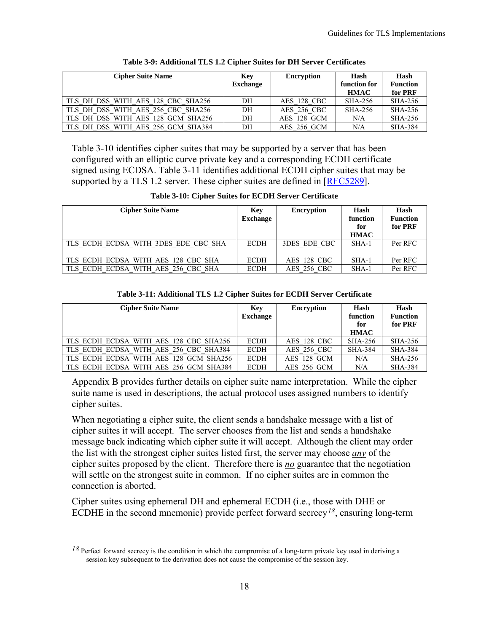<span id="page-25-0"></span>

| <b>Cipher Suite Name</b>           | Key<br><b>Exchange</b> | <b>Encryption</b>  | Hash<br>function for<br><b>HMAC</b> | Hash<br><b>Function</b><br>for PRF |
|------------------------------------|------------------------|--------------------|-------------------------------------|------------------------------------|
| TLS DH DSS WITH AES 128 CBC SHA256 | DH                     | AES 128 CBC        | SHA-256                             | <b>SHA-256</b>                     |
| TLS DH DSS WITH AES 256 CBC SHA256 | DH                     | <b>AES 256 CBC</b> | SHA-256                             | <b>SHA-256</b>                     |
| TLS DH DSS WITH AES 128 GCM SHA256 | DH                     | AES 128 GCM        | N/A                                 | <b>SHA-256</b>                     |
| TLS DH DSS WITH AES 256 GCM SHA384 | DH                     | AES 256 GCM        | N/A                                 | <b>SHA-384</b>                     |

| Table 3-9: Additional TLS 1.2 Cipher Suites for DH Server Certificates |  |
|------------------------------------------------------------------------|--|
|------------------------------------------------------------------------|--|

[Table 3-10](#page-25-1) identifies cipher suites that may be supported by a server that has been configured with an elliptic curve private key and a corresponding ECDH certificate signed using ECDSA. [Table 3-11](#page-25-2) identifies additional ECDH cipher suites that may be supported by a TLS 1.2 server. These cipher suites are defined in [\[RFC5289\]](#page-64-4).

**Table 3-10: Cipher Suites for ECDH Server Certificate**

<span id="page-25-1"></span>

| <b>Cipher Suite Name</b>             | Key<br><b>Exchange</b> | <b>Encryption</b> | Hash<br>function<br>for<br><b>HMAC</b> | Hash<br><b>Function</b><br>for PRF |
|--------------------------------------|------------------------|-------------------|----------------------------------------|------------------------------------|
| TLS ECDH ECDSA WITH 3DES EDE CBC SHA | <b>ECDH</b>            | 3DES EDE CBC      | $SHA-1$                                | Per RFC                            |
| TLS ECDH ECDSA WITH AES 128 CBC SHA  | <b>ECDH</b>            | AES 128 CBC       | $SHA-1$                                | Per RFC                            |
| TLS ECDH ECDSA WITH AES 256 CBC SHA  | <b>ECDH</b>            | AES 256 CBC       | $SHA-1$                                | Per RFC                            |

| Table 3-11: Additional TLS 1.2 Cipher Suites for ECDH Server Certificate |  |  |  |  |  |  |
|--------------------------------------------------------------------------|--|--|--|--|--|--|
|--------------------------------------------------------------------------|--|--|--|--|--|--|

<span id="page-25-2"></span>

| <b>Cipher Suite Name</b>               | Key<br><b>Exchange</b> | <b>Encryption</b>  | Hash<br>function<br>for<br><b>HMAC</b> | Hash<br><b>Function</b><br>for PRF |
|----------------------------------------|------------------------|--------------------|----------------------------------------|------------------------------------|
| TLS ECDH ECDSA WITH AES 128 CBC SHA256 | <b>ECDH</b>            | AES 128 CBC        | SHA-256                                | <b>SHA-256</b>                     |
| TLS ECDH ECDSA WITH AES 256 CBC SHA384 | <b>ECDH</b>            | <b>AES 256 CBC</b> | <b>SHA-384</b>                         | <b>SHA-384</b>                     |
| TLS ECDH ECDSA WITH AES 128 GCM SHA256 | <b>ECDH</b>            | AES 128 GCM        | N/A                                    | <b>SHA-256</b>                     |
| TLS ECDH ECDSA WITH AES 256 GCM SHA384 | <b>ECDH</b>            | AES 256 GCM        | N/A                                    | <b>SHA-384</b>                     |

[Appendix B](#page-55-0) provides further details on cipher suite name interpretation. While the cipher suite name is used in descriptions, the actual protocol uses assigned numbers to identify cipher suites.

When negotiating a cipher suite, the client sends a handshake message with a list of cipher suites it will accept. The server chooses from the list and sends a handshake message back indicating which cipher suite it will accept. Although the client may order the list with the strongest cipher suites listed first, the server may choose *any* of the cipher suites proposed by the client. Therefore there is *no* guarantee that the negotiation will settle on the strongest suite in common. If no cipher suites are in common the connection is aborted.

Cipher suites using ephemeral DH and ephemeral ECDH (i.e., those with DHE or ECDHE in the second mnemonic) provide perfect forward secrecy*[18](#page-25-3)*, ensuring long-term

 $\overline{a}$ 

<span id="page-25-3"></span>*<sup>18</sup>* Perfect forward secrecy is the condition in which the compromise of a long-term private key used in deriving a session key subsequent to the derivation does not cause the compromise of the session key.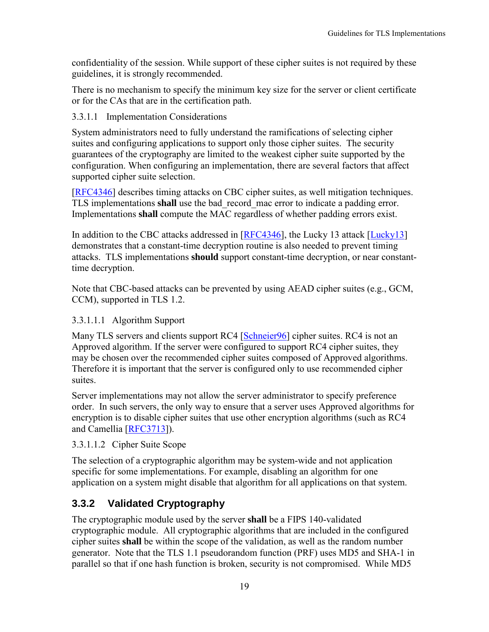confidentiality of the session. While support of these cipher suites is not required by these guidelines, it is strongly recommended.

There is no mechanism to specify the minimum key size for the server or client certificate or for the CAs that are in the certification path.

#### <span id="page-26-1"></span>3.3.1.1 Implementation Considerations

System administrators need to fully understand the ramifications of selecting cipher suites and configuring applications to support only those cipher suites. The security guarantees of the cryptography are limited to the weakest cipher suite supported by the configuration. When configuring an implementation, there are several factors that affect supported cipher suite selection.

[\[RFC4346\]](#page-64-0) describes timing attacks on CBC cipher suites, as well mitigation techniques. TLS implementations **shall** use the bad\_record\_mac error to indicate a padding error. Implementations **shall** compute the MAC regardless of whether padding errors exist.

In addition to the CBC attacks addressed in [\[RFC4346\]](#page-64-0), the Lucky 13 attack [\[Lucky13\]](#page-63-6) demonstrates that a constant-time decryption routine is also needed to prevent timing attacks. TLS implementations **should** support constant-time decryption, or near constanttime decryption.

Note that CBC-based attacks can be prevented by using AEAD cipher suites (e.g., GCM, CCM), supported in TLS 1.2.

#### 3.3.1.1.1 Algorithm Support

Many TLS servers and clients support RC4 [\[Schneier96\]](#page-66-5) cipher suites. RC4 is not an Approved algorithm. If the server were configured to support RC4 cipher suites, they may be chosen over the recommended cipher suites composed of Approved algorithms. Therefore it is important that the server is configured only to use recommended cipher suites.

Server implementations may not allow the server administrator to specify preference order. In such servers, the only way to ensure that a server uses Approved algorithms for encryption is to disable cipher suites that use other encryption algorithms (such as RC4 and Camellia [\[RFC3713\]](#page-64-6)).

#### 3.3.1.1.2 Cipher Suite Scope

The selection of a cryptographic algorithm may be system-wide and not application specific for some implementations. For example, disabling an algorithm for one application on a system might disable that algorithm for all applications on that system.

#### <span id="page-26-0"></span>**3.3.2 Validated Cryptography**

The cryptographic module used by the server **shall** be a FIPS 140-validated cryptographic module. All cryptographic algorithms that are included in the configured cipher suites **shall** be within the scope of the validation, as well as the random number generator. Note that the TLS 1.1 pseudorandom function (PRF) uses MD5 and SHA-1 in parallel so that if one hash function is broken, security is not compromised. While MD5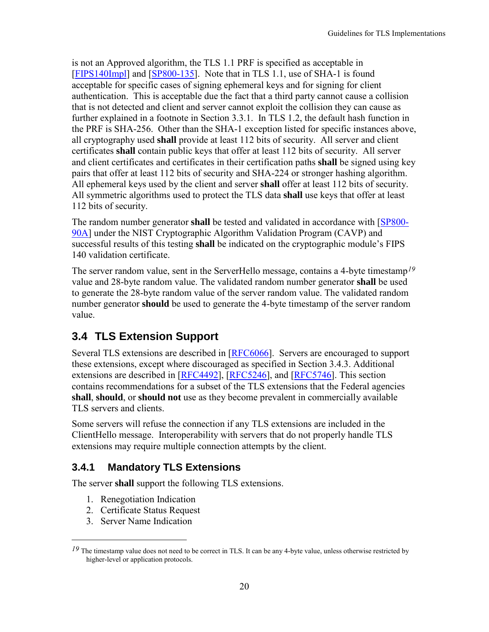is not an Approved algorithm, the TLS 1.1 PRF is specified as acceptable in [\[FIPS140Impl\]](#page-62-3) and [\[SP800-135\]](#page-66-6). Note that in TLS 1.1, use of SHA-1 is found acceptable for specific cases of signing ephemeral keys and for signing for client authentication. This is acceptable due the fact that a third party cannot cause a collision that is not detected and client and server cannot exploit the collision they can cause as further explained in a footnote in Section [3.3.1.](#page-21-1) In TLS 1.2, the default hash function in the PRF is SHA-256. Other than the SHA-1 exception listed for specific instances above, all cryptography used **shall** provide at least 112 bits of security. All server and client certificates **shall** contain public keys that offer at least 112 bits of security. All server and client certificates and certificates in their certification paths **shall** be signed using key pairs that offer at least 112 bits of security and SHA-224 or stronger hashing algorithm. All ephemeral keys used by the client and server **shall** offer at least 112 bits of security. All symmetric algorithms used to protect the TLS data **shall** use keys that offer at least 112 bits of security.

The random number generator **shall** be tested and validated in accordance with [\[SP800-](#page-66-7) [90A\]](#page-66-7) under the NIST Cryptographic Algorithm Validation Program (CAVP) and successful results of this testing **shall** be indicated on the cryptographic module's FIPS 140 validation certificate.

The server random value, sent in the ServerHello message, contains a 4-byte timestamp*[19](#page-27-2)* value and 28-byte random value. The validated random number generator **shall** be used to generate the 28-byte random value of the server random value. The validated random number generator **should** be used to generate the 4-byte timestamp of the server random value.

### <span id="page-27-0"></span>**3.4 TLS Extension Support**

Several TLS extensions are described in [\[RFC6066\]](#page-65-5). Servers are encouraged to support these extensions, except where discouraged as specified in Section [3.4.3.](#page-29-0) Additional extensions are described in [\[RFC4492\]](#page-64-5), [\[RFC5246\]](#page-64-1), and [\[RFC5746\]](#page-65-6). This section contains recommendations for a subset of the TLS extensions that the Federal agencies **shall**, **should**, or **should not** use as they become prevalent in commercially available TLS servers and clients.

Some servers will refuse the connection if any TLS extensions are included in the ClientHello message. Interoperability with servers that do not properly handle TLS extensions may require multiple connection attempts by the client.

#### <span id="page-27-1"></span>**3.4.1 Mandatory TLS Extensions**

The server **shall** support the following TLS extensions.

- 1. Renegotiation Indication
- 2. Certificate Status Request
- 3. Server Name Indication

 $\overline{a}$ 

<span id="page-27-2"></span><sup>&</sup>lt;sup>19</sup> The timestamp value does not need to be correct in TLS. It can be any 4-byte value, unless otherwise restricted by higher-level or application protocols.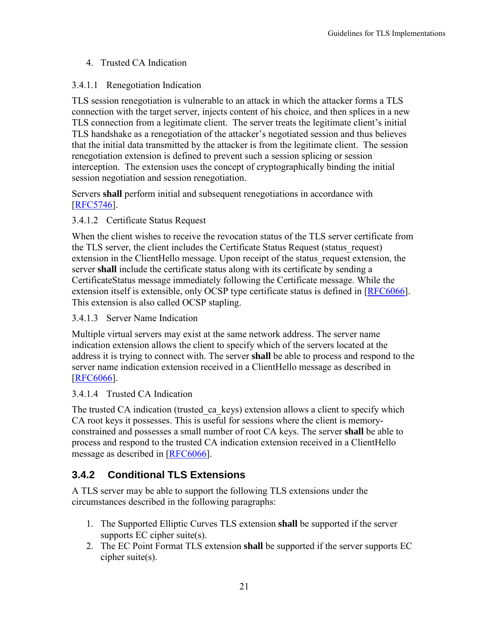#### 4. Trusted CA Indication

#### <span id="page-28-4"></span>3.4.1.1 Renegotiation Indication

TLS session renegotiation is vulnerable to an attack in which the attacker forms a TLS connection with the target server, injects content of his choice, and then splices in a new TLS connection from a legitimate client. The server treats the legitimate client's initial TLS handshake as a renegotiation of the attacker's negotiated session and thus believes that the initial data transmitted by the attacker is from the legitimate client. The session renegotiation extension is defined to prevent such a session splicing or session interception. The extension uses the concept of cryptographically binding the initial session negotiation and session renegotiation.

Servers **shall** perform initial and subsequent renegotiations in accordance with [\[RFC5746\]](#page-65-6).

#### <span id="page-28-3"></span>3.4.1.2 Certificate Status Request

When the client wishes to receive the revocation status of the TLS server certificate from the TLS server, the client includes the Certificate Status Request (status\_request) extension in the ClientHello message. Upon receipt of the status\_request extension, the server **shall** include the certificate status along with its certificate by sending a CertificateStatus message immediately following the Certificate message. While the extension itself is extensible, only OCSP type certificate status is defined in [\[RFC6066\]](#page-65-5). This extension is also called OCSP stapling.

#### <span id="page-28-2"></span>3.4.1.3 Server Name Indication

Multiple virtual servers may exist at the same network address. The server name indication extension allows the client to specify which of the servers located at the address it is trying to connect with. The server **shall** be able to process and respond to the server name indication extension received in a ClientHello message as described in [\[RFC6066\]](#page-65-5).

#### <span id="page-28-1"></span>3.4.1.4 Trusted CA Indication

The trusted CA indication (trusted ca\_keys) extension allows a client to specify which CA root keys it possesses. This is useful for sessions where the client is memoryconstrained and possesses a small number of root CA keys. The server **shall** be able to process and respond to the trusted CA indication extension received in a ClientHello message as described in [\[RFC6066\]](#page-65-5).

#### <span id="page-28-0"></span>**3.4.2 Conditional TLS Extensions**

A TLS server may be able to support the following TLS extensions under the circumstances described in the following paragraphs:

- 1. The Supported Elliptic Curves TLS extension **shall** be supported if the server supports EC cipher suite(s).
- 2. The EC Point Format TLS extension **shall** be supported if the server supports EC cipher suite(s).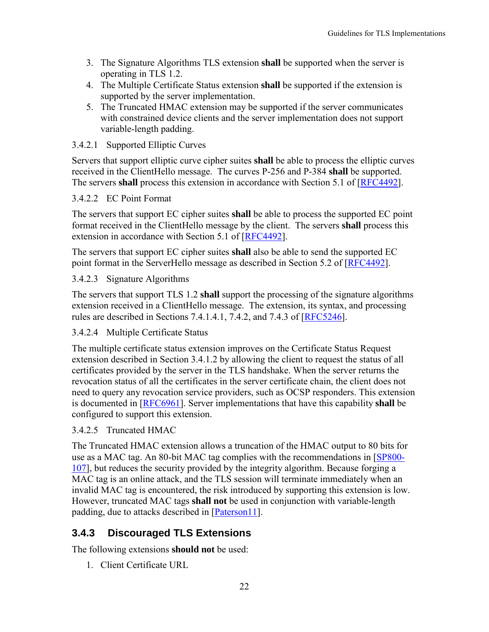- 3. The Signature Algorithms TLS extension **shall** be supported when the server is operating in TLS 1.2.
- 4. The Multiple Certificate Status extension **shall** be supported if the extension is supported by the server implementation.
- 5. The Truncated HMAC extension may be supported if the server communicates with constrained device clients and the server implementation does not support variable-length padding.

#### 3.4.2.1 Supported Elliptic Curves

Servers that support elliptic curve cipher suites **shall** be able to process the elliptic curves received in the ClientHello message. The curves P-256 and P-384 **shall** be supported. The servers **shall** process this extension in accordance with Section 5.1 of [\[RFC4492\]](#page-64-5).

#### 3.4.2.2 EC Point Format

The servers that support EC cipher suites **shall** be able to process the supported EC point format received in the ClientHello message by the client. The servers **shall** process this extension in accordance with Section 5.1 of [\[RFC4492\]](#page-64-5).

The servers that support EC cipher suites **shall** also be able to send the supported EC point format in the ServerHello message as described in Section 5.2 of [\[RFC4492\]](#page-64-5).

#### 3.4.2.3 Signature Algorithms

The servers that support TLS 1.2 **shall** support the processing of the signature algorithms extension received in a ClientHello message. The extension, its syntax, and processing rules are described in Sections 7.4.1.4.1, 7.4.2, and 7.4.3 of [\[RFC5246\]](#page-64-1).

#### <span id="page-29-2"></span>3.4.2.4 Multiple Certificate Status

The multiple certificate status extension improves on the Certificate Status Request extension described in Section [3.4.1.2](#page-28-3) by allowing the client to request the status of all certificates provided by the server in the TLS handshake. When the server returns the revocation status of all the certificates in the server certificate chain, the client does not need to query any revocation service providers, such as OCSP responders. This extension is documented in [\[RFC6961\]](#page-65-7). Server implementations that have this capability **shall** be configured to support this extension.

#### <span id="page-29-1"></span>3.4.2.5 Truncated HMAC

The Truncated HMAC extension allows a truncation of the HMAC output to 80 bits for use as a MAC tag. An 80-bit MAC tag complies with the recommendations in [\[SP800-](#page-66-8) [107\]](#page-66-8), but reduces the security provided by the integrity algorithm. Because forging a MAC tag is an online attack, and the TLS session will terminate immediately when an invalid MAC tag is encountered, the risk introduced by supporting this extension is low. However, truncated MAC tags **shall not** be used in conjunction with variable-length padding, due to attacks described in [\[Paterson11\]](#page-63-7).

#### <span id="page-29-0"></span>**3.4.3 Discouraged TLS Extensions**

The following extensions **should not** be used:

1. Client Certificate URL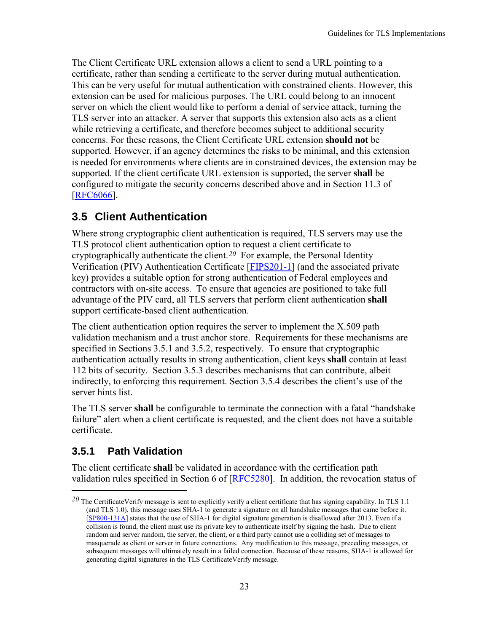The Client Certificate URL extension allows a client to send a URL pointing to a certificate, rather than sending a certificate to the server during mutual authentication. This can be very useful for mutual authentication with constrained clients. However, this extension can be used for malicious purposes. The URL could belong to an innocent server on which the client would like to perform a denial of service attack, turning the TLS server into an attacker. A server that supports this extension also acts as a client while retrieving a certificate, and therefore becomes subject to additional security concerns. For these reasons, the Client Certificate URL extension **should not** be supported. However, if an agency determines the risks to be minimal, and this extension is needed for environments where clients are in constrained devices, the extension may be supported. If the client certificate URL extension is supported, the server **shall** be configured to mitigate the security concerns described above and in Section 11.3 of [\[RFC6066\]](#page-65-5).

### <span id="page-30-0"></span>**3.5 Client Authentication**

Where strong cryptographic client authentication is required, TLS servers may use the TLS protocol client authentication option to request a client certificate to cryptographically authenticate the client.*[20](#page-30-2)* For example, the Personal Identity Verification (PIV) Authentication Certificate [\[FIPS201-1\]](#page-63-8) (and the associated private key) provides a suitable option for strong authentication of Federal employees and contractors with on-site access. To ensure that agencies are positioned to take full advantage of the PIV card, all TLS servers that perform client authentication **shall** support certificate-based client authentication.

The client authentication option requires the server to implement the X.509 path validation mechanism and a trust anchor store. Requirements for these mechanisms are specified in Sections [3.5.1](#page-30-1) and [3.5.2,](#page-31-0) respectively. To ensure that cryptographic authentication actually results in strong authentication, client keys **shall** contain at least 112 bits of security. Section [3.5.3](#page-32-0) describes mechanisms that can contribute, albeit indirectly, to enforcing this requirement. Section [3.5.4](#page-32-1) describes the client's use of the server hints list.

The TLS server **shall** be configurable to terminate the connection with a fatal "handshake failure" alert when a client certificate is requested, and the client does not have a suitable certificate.

#### <span id="page-30-1"></span>**3.5.1 Path Validation**

 $\overline{a}$ 

The client certificate **shall** be validated in accordance with the certification path validation rules specified in Section 6 of [\[RFC5280\]](#page-64-2). In addition, the revocation status of

<span id="page-30-2"></span><sup>20</sup> The CertificateVerify message is sent to explicitly verify a client certificate that has signing capability. In TLS 1.1 (and TLS 1.0), this message uses SHA-1 to generate a signature on all handshake messages that came before it. [\[SP800-131A\]](#page-66-4) states that the use of SHA-1 for digital signature generation is disallowed after 2013. Even if a collision is found, the client must use its private key to authenticate itself by signing the hash. Due to client random and server random, the server, the client, or a third party cannot use a colliding set of messages to masquerade as client or server in future connections. Any modification to this message, preceding messages, or subsequent messages will ultimately result in a failed connection. Because of these reasons, SHA-1 is allowed for generating digital signatures in the TLS CertificateVerify message.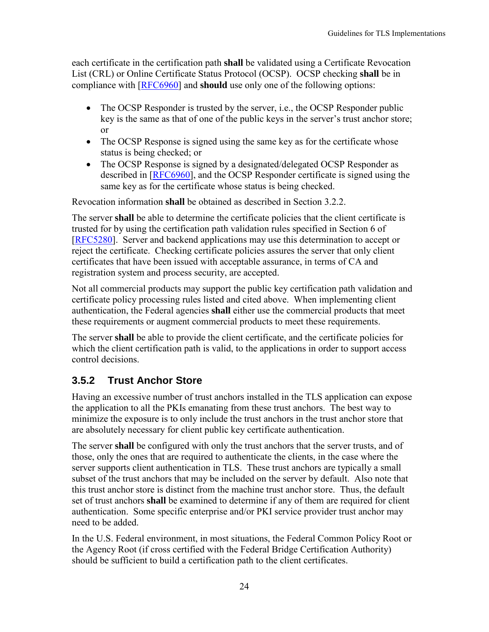each certificate in the certification path **shall** be validated using a Certificate Revocation List (CRL) or Online Certificate Status Protocol (OCSP). OCSP checking **shall** be in compliance with [\[RFC6960\]](#page-65-1) and **should** use only one of the following options:

- The OCSP Responder is trusted by the server, i.e., the OCSP Responder public key is the same as that of one of the public keys in the server's trust anchor store; or
- The OCSP Response is signed using the same key as for the certificate whose status is being checked; or
- The OCSP Response is signed by a designated/delegated OCSP Responder as described in [\[RFC6960\]](#page-65-1), and the OCSP Responder certificate is signed using the same key as for the certificate whose status is being checked.

Revocation information **shall** be obtained as described in Section [3.2.2.](#page-20-0)

The server **shall** be able to determine the certificate policies that the client certificate is trusted for by using the certification path validation rules specified in Section 6 of [\[RFC5280\]](#page-64-2). Server and backend applications may use this determination to accept or reject the certificate. Checking certificate policies assures the server that only client certificates that have been issued with acceptable assurance, in terms of CA and registration system and process security, are accepted.

Not all commercial products may support the public key certification path validation and certificate policy processing rules listed and cited above. When implementing client authentication, the Federal agencies **shall** either use the commercial products that meet these requirements or augment commercial products to meet these requirements.

The server **shall** be able to provide the client certificate, and the certificate policies for which the client certification path is valid, to the applications in order to support access control decisions.

#### <span id="page-31-0"></span>**3.5.2 Trust Anchor Store**

Having an excessive number of trust anchors installed in the TLS application can expose the application to all the PKIs emanating from these trust anchors. The best way to minimize the exposure is to only include the trust anchors in the trust anchor store that are absolutely necessary for client public key certificate authentication.

The server **shall** be configured with only the trust anchors that the server trusts, and of those, only the ones that are required to authenticate the clients, in the case where the server supports client authentication in TLS. These trust anchors are typically a small subset of the trust anchors that may be included on the server by default. Also note that this trust anchor store is distinct from the machine trust anchor store. Thus, the default set of trust anchors **shall** be examined to determine if any of them are required for client authentication. Some specific enterprise and/or PKI service provider trust anchor may need to be added.

In the U.S. Federal environment, in most situations, the Federal Common Policy Root or the Agency Root (if cross certified with the Federal Bridge Certification Authority) should be sufficient to build a certification path to the client certificates.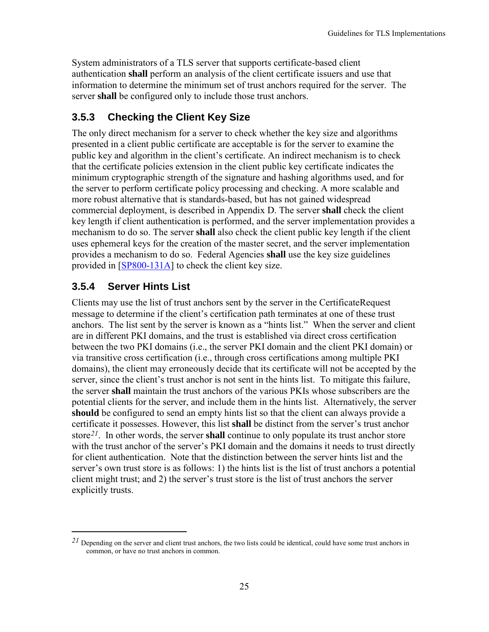System administrators of a TLS server that supports certificate-based client authentication **shall** perform an analysis of the client certificate issuers and use that information to determine the minimum set of trust anchors required for the server. The server **shall** be configured only to include those trust anchors.

#### <span id="page-32-0"></span>**3.5.3 Checking the Client Key Size**

The only direct mechanism for a server to check whether the key size and algorithms presented in a client public certificate are acceptable is for the server to examine the public key and algorithm in the client's certificate. An indirect mechanism is to check that the certificate policies extension in the client public key certificate indicates the minimum cryptographic strength of the signature and hashing algorithms used, and for the server to perform certificate policy processing and checking. A more scalable and more robust alternative that is standards-based, but has not gained widespread commercial deployment, is described in [Appendix D.](#page-59-0) The server **shall** check the client key length if client authentication is performed, and the server implementation provides a mechanism to do so. The server **shall** also check the client public key length if the client uses ephemeral keys for the creation of the master secret, and the server implementation provides a mechanism to do so. Federal Agencies **shall** use the key size guidelines provided in [\[SP800-131A\]](#page-66-4) to check the client key size.

#### <span id="page-32-1"></span>**3.5.4 Server Hints List**

 $\overline{a}$ 

Clients may use the list of trust anchors sent by the server in the CertificateRequest message to determine if the client's certification path terminates at one of these trust anchors. The list sent by the server is known as a "hints list." When the server and client are in different PKI domains, and the trust is established via direct cross certification between the two PKI domains (i.e., the server PKI domain and the client PKI domain) or via transitive cross certification (i.e., through cross certifications among multiple PKI domains), the client may erroneously decide that its certificate will not be accepted by the server, since the client's trust anchor is not sent in the hints list. To mitigate this failure, the server **shall** maintain the trust anchors of the various PKIs whose subscribers are the potential clients for the server, and include them in the hints list. Alternatively, the server **should** be configured to send an empty hints list so that the client can always provide a certificate it possesses. However, this list **shall** be distinct from the server's trust anchor store*[21](#page-32-2)*. In other words, the server **shall** continue to only populate its trust anchor store with the trust anchor of the server's PKI domain and the domains it needs to trust directly for client authentication. Note that the distinction between the server hints list and the server's own trust store is as follows: 1) the hints list is the list of trust anchors a potential client might trust; and 2) the server's trust store is the list of trust anchors the server explicitly trusts.

<span id="page-32-2"></span><sup>2&</sup>lt;sup>1</sup> Depending on the server and client trust anchors, the two lists could be identical, could have some trust anchors in common, or have no trust anchors in common.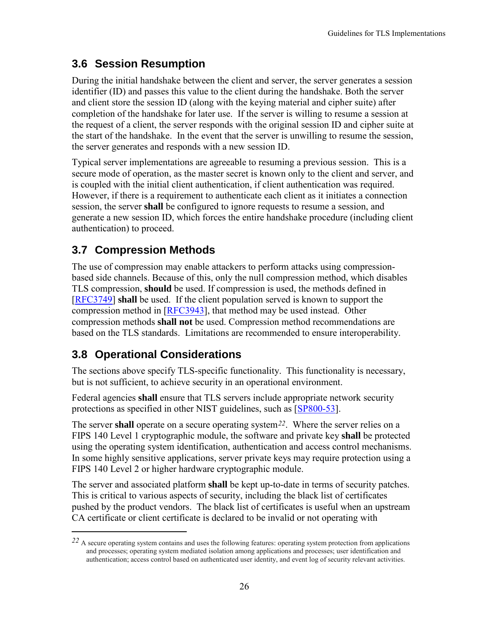### <span id="page-33-0"></span>**3.6 Session Resumption**

During the initial handshake between the client and server, the server generates a session identifier (ID) and passes this value to the client during the handshake. Both the server and client store the session ID (along with the keying material and cipher suite) after completion of the handshake for later use. If the server is willing to resume a session at the request of a client, the server responds with the original session ID and cipher suite at the start of the handshake. In the event that the server is unwilling to resume the session, the server generates and responds with a new session ID.

Typical server implementations are agreeable to resuming a previous session. This is a secure mode of operation, as the master secret is known only to the client and server, and is coupled with the initial client authentication, if client authentication was required. However, if there is a requirement to authenticate each client as it initiates a connection session, the server **shall** be configured to ignore requests to resume a session, and generate a new session ID, which forces the entire handshake procedure (including client authentication) to proceed.

### <span id="page-33-1"></span>**3.7 Compression Methods**

The use of compression may enable attackers to perform attacks using compressionbased side channels. Because of this, only the null compression method, which disables TLS compression, **should** be used. If compression is used, the methods defined in [\[RFC3749\]](#page-64-7) **shall** be used. If the client population served is known to support the compression method in [\[RFC3943\]](#page-64-8), that method may be used instead. Other compression methods **shall not** be used. Compression method recommendations are based on the TLS standards. Limitations are recommended to ensure interoperability.

### <span id="page-33-2"></span>**3.8 Operational Considerations**

 $\overline{a}$ 

The sections above specify TLS-specific functionality. This functionality is necessary, but is not sufficient, to achieve security in an operational environment.

Federal agencies **shall** ensure that TLS servers include appropriate network security protections as specified in other NIST guidelines, such as [\[SP800-53\]](#page-66-9).

The server **shall** operate on a secure operating system*[22](#page-33-3)*. Where the server relies on a FIPS 140 Level 1 cryptographic module, the software and private key **shall** be protected using the operating system identification, authentication and access control mechanisms. In some highly sensitive applications, server private keys may require protection using a FIPS 140 Level 2 or higher hardware cryptographic module.

The server and associated platform **shall** be kept up-to-date in terms of security patches. This is critical to various aspects of security, including the black list of certificates pushed by the product vendors. The black list of certificates is useful when an upstream CA certificate or client certificate is declared to be invalid or not operating with

<span id="page-33-3"></span>*<sup>22</sup>* A secure operating system contains and uses the following features: operating system protection from applications and processes; operating system mediated isolation among applications and processes; user identification and authentication; access control based on authenticated user identity, and event log of security relevant activities.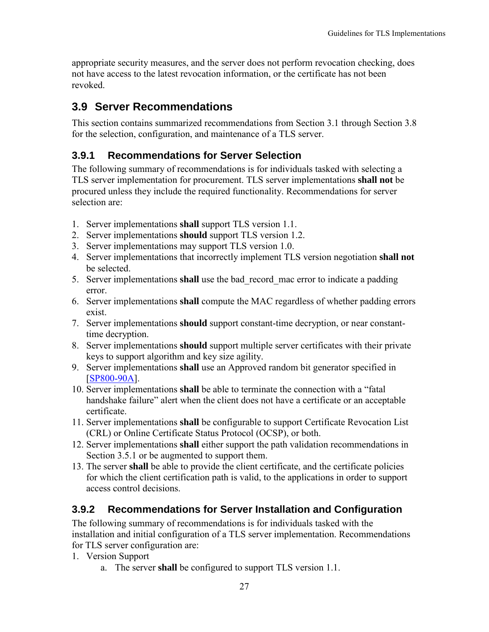appropriate security measures, and the server does not perform revocation checking, does not have access to the latest revocation information, or the certificate has not been revoked.

### <span id="page-34-0"></span>**3.9 Server Recommendations**

This section contains summarized recommendations from Section [3.1](#page-16-1) through Section [3.8](#page-33-2) for the selection, configuration, and maintenance of a TLS server.

#### <span id="page-34-1"></span>**3.9.1 Recommendations for Server Selection**

The following summary of recommendations is for individuals tasked with selecting a TLS server implementation for procurement. TLS server implementations **shall not** be procured unless they include the required functionality. Recommendations for server selection are:

- 1. Server implementations **shall** support TLS version 1.1.
- 2. Server implementations **should** support TLS version 1.2.
- 3. Server implementations may support TLS version 1.0.
- 4. Server implementations that incorrectly implement TLS version negotiation **shall not** be selected.
- 5. Server implementations **shall** use the bad\_record\_mac error to indicate a padding error.
- 6. Server implementations **shall** compute the MAC regardless of whether padding errors exist.
- 7. Server implementations **should** support constant-time decryption, or near constanttime decryption.
- 8. Server implementations **should** support multiple server certificates with their private keys to support algorithm and key size agility.
- 9. Server implementations **shall** use an Approved random bit generator specified in [\[SP800-90A\]](#page-66-7).
- 10. Server implementations **shall** be able to terminate the connection with a "fatal handshake failure" alert when the client does not have a certificate or an acceptable certificate.
- 11. Server implementations **shall** be configurable to support Certificate Revocation List (CRL) or Online Certificate Status Protocol (OCSP), or both.
- 12. Server implementations **shall** either support the path validation recommendations in Section [3.5.1](#page-30-1) or be augmented to support them.
- 13. The server **shall** be able to provide the client certificate, and the certificate policies for which the client certification path is valid, to the applications in order to support access control decisions.

#### <span id="page-34-2"></span>**3.9.2 Recommendations for Server Installation and Configuration**

The following summary of recommendations is for individuals tasked with the installation and initial configuration of a TLS server implementation. Recommendations for TLS server configuration are:

- 1. Version Support
	- a. The server **shall** be configured to support TLS version 1.1.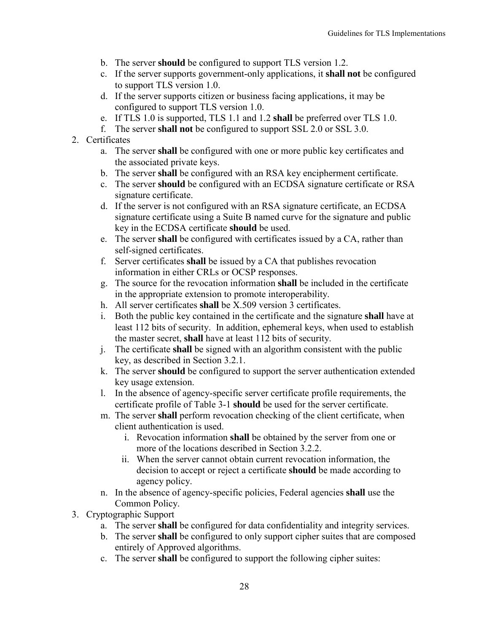- b. The server **should** be configured to support TLS version 1.2.
- c. If the server supports government-only applications, it **shall not** be configured to support TLS version 1.0.
- d. If the server supports citizen or business facing applications, it may be configured to support TLS version 1.0.
- e. If TLS 1.0 is supported, TLS 1.1 and 1.2 **shall** be preferred over TLS 1.0.
- f. The server **shall not** be configured to support SSL 2.0 or SSL 3.0.
- 2. Certificates
	- a. The server **shall** be configured with one or more public key certificates and the associated private keys.
	- b. The server **shall** be configured with an RSA key encipherment certificate.
	- c. The server **should** be configured with an ECDSA signature certificate or RSA signature certificate.
	- d. If the server is not configured with an RSA signature certificate, an ECDSA signature certificate using a Suite B named curve for the signature and public key in the ECDSA certificate **should** be used.
	- e. The server **shall** be configured with certificates issued by a CA, rather than self-signed certificates.
	- f. Server certificates **shall** be issued by a CA that publishes revocation information in either CRLs or OCSP responses.
	- g. The source for the revocation information **shall** be included in the certificate in the appropriate extension to promote interoperability.
	- h. All server certificates **shall** be X.509 version 3 certificates.
	- i. Both the public key contained in the certificate and the signature **shall** have at least 112 bits of security. In addition, ephemeral keys, when used to establish the master secret, **shall** have at least 112 bits of security.
	- j. The certificate **shall** be signed with an algorithm consistent with the public key, as described in Section [3.2.1.](#page-17-0)
	- k. The server **should** be configured to support the server authentication extended key usage extension.
	- l. In the absence of agency-specific server certificate profile requirements, the certificate profile of [Table 3-1](#page-18-0) **should** be used for the server certificate.
	- m. The server **shall** perform revocation checking of the client certificate, when client authentication is used.
		- i. Revocation information **shall** be obtained by the server from one or more of the locations described in Section [3.2.2.](#page-20-0)
		- ii. When the server cannot obtain current revocation information, the decision to accept or reject a certificate **should** be made according to agency policy.
	- n. In the absence of agency-specific policies, Federal agencies **shall** use the Common Policy.
- 3. Cryptographic Support
	- a. The server **shall** be configured for data confidentiality and integrity services.
	- b. The server **shall** be configured to only support cipher suites that are composed entirely of Approved algorithms.
	- c. The server **shall** be configured to support the following cipher suites: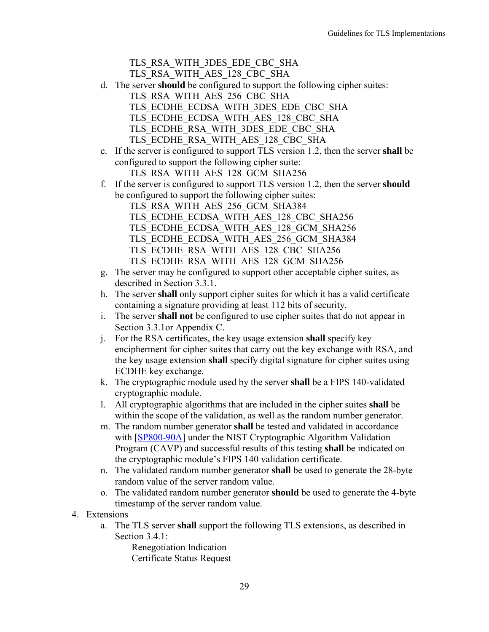TLS\_RSA\_WITH\_3DES\_EDE\_CBC\_SHA

- TLS\_RSA\_WITH\_AES\_128\_CBC\_SHA
- d. The server **should** be configured to support the following cipher suites:
	- TLS\_RSA\_WITH\_AES\_256\_CBC\_SHA TLS\_ECDHE\_ECDSA\_WITH\_3DES\_EDE\_CBC\_SHA TLS\_ECDHE\_ECDSA\_WITH\_AES\_128\_CBC\_SHA TLS\_ECDHE\_RSA\_WITH\_3DES\_EDE\_CBC\_SHA TLS\_ECDHE\_RSA\_WITH\_AES\_128\_CBC\_SHA
- e. If the server is configured to support TLS version 1.2, then the server **shall** be configured to support the following cipher suite: TLS\_RSA\_WITH\_AES\_128\_GCM\_SHA256
- f. If the server is configured to support TLS version 1.2, then the server **should** be configured to support the following cipher suites:

TLS\_RSA\_WITH\_AES\_256\_GCM\_SHA384 TLS\_ECDHE\_ECDSA\_WITH\_AES\_128\_CBC\_SHA256 TLS\_ECDHE\_ECDSA\_WITH\_AES\_128\_GCM\_SHA256 TLS\_ECDHE\_ECDSA\_WITH\_AES\_256\_GCM\_SHA384 TLS\_ECDHE\_RSA\_WITH\_AES\_128\_CBC\_SHA256 TLS\_ECDHE\_RSA\_WITH\_AES\_128\_GCM\_SHA256

- g. The server may be configured to support other acceptable cipher suites, as described in Section [3.3.1.](#page-21-1)
- h. The server **shall** only support cipher suites for which it has a valid certificate containing a signature providing at least 112 bits of security.
- i. The server **shall not** be configured to use cipher suites that do not appear in Section [3.3.1o](#page-21-1)r [Appendix C.](#page-57-0)
- j. For the RSA certificates, the key usage extension **shall** specify key encipherment for cipher suites that carry out the key exchange with RSA, and the key usage extension **shall** specify digital signature for cipher suites using ECDHE key exchange.
- k. The cryptographic module used by the server **shall** be a FIPS 140-validated cryptographic module.
- l. All cryptographic algorithms that are included in the cipher suites **shall** be within the scope of the validation, as well as the random number generator.
- m. The random number generator **shall** be tested and validated in accordance with [\[SP800-90A\]](#page-66-7) under the NIST Cryptographic Algorithm Validation Program (CAVP) and successful results of this testing **shall** be indicated on the cryptographic module's FIPS 140 validation certificate.
- n. The validated random number generator **shall** be used to generate the 28-byte random value of the server random value.
- o. The validated random number generator **should** be used to generate the 4-byte timestamp of the server random value.
- 4. Extensions
	- a. The TLS server **shall** support the following TLS extensions, as described in Section [3.4.1:](#page-27-1)

Renegotiation Indication Certificate Status Request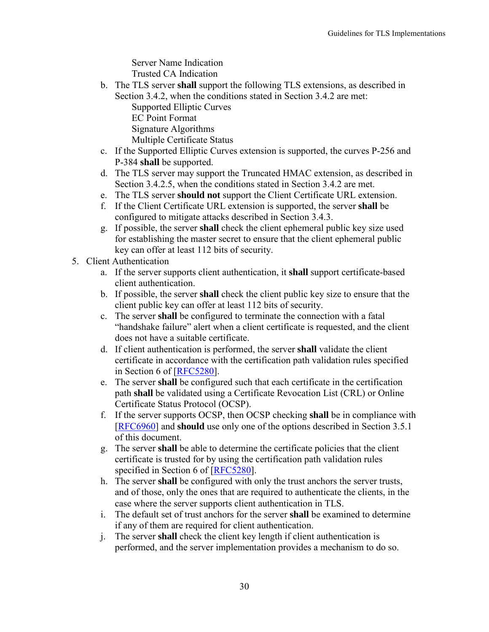Server Name Indication Trusted CA Indication

- b. The TLS server **shall** support the following TLS extensions, as described in Section [3.4.2,](#page-28-0) when the conditions stated in Section [3.4.2](#page-28-0) are met:
	- Supported Elliptic Curves
	- EC Point Format
	- Signature Algorithms
	- Multiple Certificate Status
- c. If the Supported Elliptic Curves extension is supported, the curves P-256 and P-384 **shall** be supported.
- d. The TLS server may support the Truncated HMAC extension, as described in Section [3.4.2.5,](#page-29-1) when the conditions stated in Section [3.4.2](#page-28-0) are met.
- e. The TLS server **should not** support the Client Certificate URL extension.
- f. If the Client Certificate URL extension is supported, the server **shall** be configured to mitigate attacks described in Section [3.4.3.](#page-29-0)
- g. If possible, the server **shall** check the client ephemeral public key size used for establishing the master secret to ensure that the client ephemeral public key can offer at least 112 bits of security.
- 5. Client Authentication
	- a. If the server supports client authentication, it **shall** support certificate-based client authentication.
	- b. If possible, the server **shall** check the client public key size to ensure that the client public key can offer at least 112 bits of security.
	- c. The server **shall** be configured to terminate the connection with a fatal "handshake failure" alert when a client certificate is requested, and the client does not have a suitable certificate.
	- d. If client authentication is performed, the server **shall** validate the client certificate in accordance with the certification path validation rules specified in Section 6 of [\[RFC5280\]](#page-64-2).
	- e. The server **shall** be configured such that each certificate in the certification path **shall** be validated using a Certificate Revocation List (CRL) or Online Certificate Status Protocol (OCSP).
	- f. If the server supports OCSP, then OCSP checking **shall** be in compliance with [\[RFC6960\]](#page-65-1) and **should** use only one of the options described in Section [3.5.1](#page-30-1) of this document.
	- g. The server **shall** be able to determine the certificate policies that the client certificate is trusted for by using the certification path validation rules specified in Section 6 of [\[RFC5280\]](#page-64-2).
	- h. The server **shall** be configured with only the trust anchors the server trusts, and of those, only the ones that are required to authenticate the clients, in the case where the server supports client authentication in TLS.
	- i. The default set of trust anchors for the server **shall** be examined to determine if any of them are required for client authentication.
	- j. The server **shall** check the client key length if client authentication is performed, and the server implementation provides a mechanism to do so.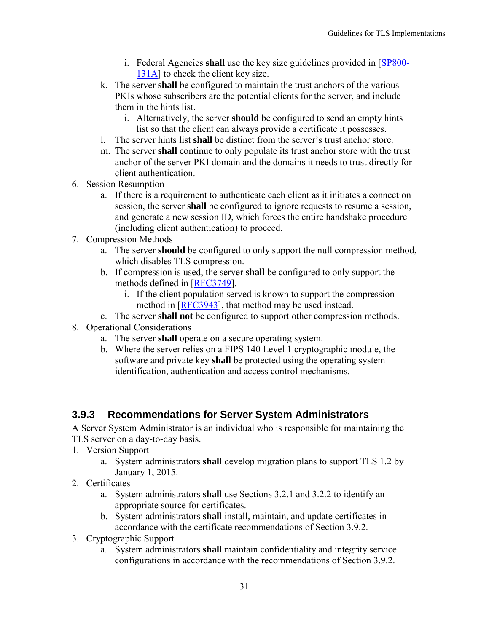- i. Federal Agencies **shall** use the key size guidelines provided in [\[SP800-](#page-66-4) [131A\]](#page-66-4) to check the client key size.
- k. The server **shall** be configured to maintain the trust anchors of the various PKIs whose subscribers are the potential clients for the server, and include them in the hints list.
	- i. Alternatively, the server **should** be configured to send an empty hints list so that the client can always provide a certificate it possesses.
- l. The server hints list **shall** be distinct from the server's trust anchor store.
- m. The server **shall** continue to only populate its trust anchor store with the trust anchor of the server PKI domain and the domains it needs to trust directly for client authentication.
- 6. Session Resumption
	- a. If there is a requirement to authenticate each client as it initiates a connection session, the server **shall** be configured to ignore requests to resume a session, and generate a new session ID, which forces the entire handshake procedure (including client authentication) to proceed.
- 7. Compression Methods
	- a. The server **should** be configured to only support the null compression method, which disables TLS compression.
	- b. If compression is used, the server **shall** be configured to only support the methods defined in [\[RFC3749\]](#page-64-7).
		- i. If the client population served is known to support the compression method in [\[RFC3943\]](#page-64-8), that method may be used instead.
	- c. The server **shall not** be configured to support other compression methods.
- 8. Operational Considerations
	- a. The server **shall** operate on a secure operating system.
	- b. Where the server relies on a FIPS 140 Level 1 cryptographic module, the software and private key **shall** be protected using the operating system identification, authentication and access control mechanisms.

#### <span id="page-38-0"></span>**3.9.3 Recommendations for Server System Administrators**

A Server System Administrator is an individual who is responsible for maintaining the TLS server on a day-to-day basis.

- 1. Version Support
	- a. System administrators **shall** develop migration plans to support TLS 1.2 by January 1, 2015.
- 2. Certificates
	- a. System administrators **shall** use Sections [3.2.1](#page-17-0) and [3.2.2](#page-20-0) to identify an appropriate source for certificates.
	- b. System administrators **shall** install, maintain, and update certificates in accordance with the certificate recommendations of Section [3.9.2.](#page-34-2)
- 3. Cryptographic Support
	- a. System administrators **shall** maintain confidentiality and integrity service configurations in accordance with the recommendations of Section [3.9.2.](#page-34-2)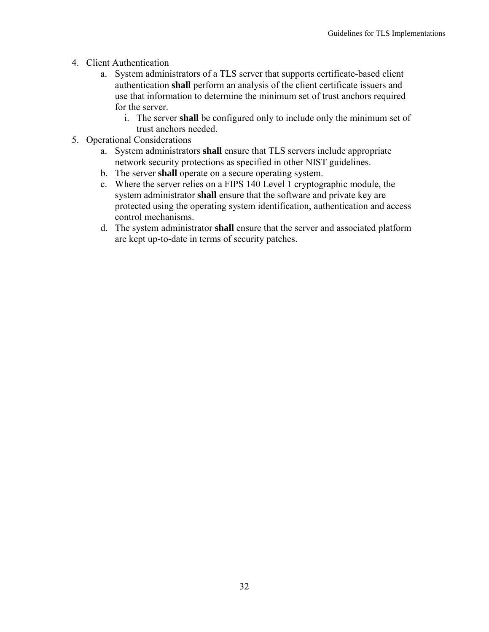- 4. Client Authentication
	- a. System administrators of a TLS server that supports certificate-based client authentication **shall** perform an analysis of the client certificate issuers and use that information to determine the minimum set of trust anchors required for the server.
		- i. The server **shall** be configured only to include only the minimum set of trust anchors needed.
- 5. Operational Considerations
	- a. System administrators **shall** ensure that TLS servers include appropriate network security protections as specified in other NIST guidelines.
	- b. The server **shall** operate on a secure operating system.
	- c. Where the server relies on a FIPS 140 Level 1 cryptographic module, the system administrator **shall** ensure that the software and private key are protected using the operating system identification, authentication and access control mechanisms.
	- d. The system administrator **shall** ensure that the server and associated platform are kept up-to-date in terms of security patches.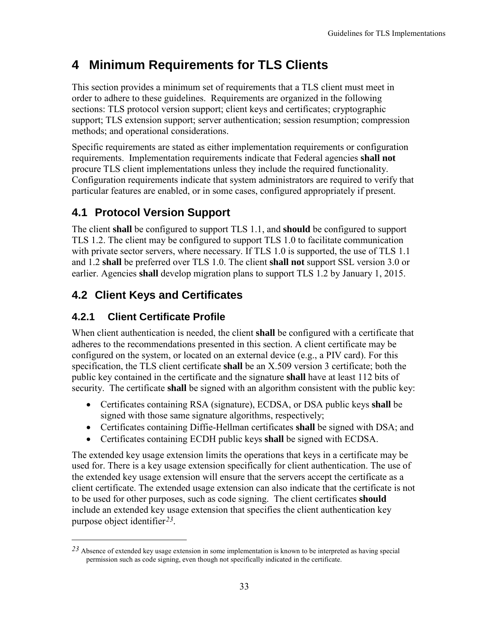## <span id="page-40-0"></span>**4 Minimum Requirements for TLS Clients**

This section provides a minimum set of requirements that a TLS client must meet in order to adhere to these guidelines. Requirements are organized in the following sections: TLS protocol version support; client keys and certificates; cryptographic support; TLS extension support; server authentication; session resumption; compression methods; and operational considerations.

Specific requirements are stated as either implementation requirements or configuration requirements. Implementation requirements indicate that Federal agencies **shall not** procure TLS client implementations unless they include the required functionality. Configuration requirements indicate that system administrators are required to verify that particular features are enabled, or in some cases, configured appropriately if present.

### <span id="page-40-1"></span>**4.1 Protocol Version Support**

The client **shall** be configured to support TLS 1.1, and **should** be configured to support TLS 1.2. The client may be configured to support TLS 1.0 to facilitate communication with private sector servers, where necessary. If TLS 1.0 is supported, the use of TLS 1.1 and 1.2 **shall** be preferred over TLS 1.0. The client **shall not** support SSL version 3.0 or earlier. Agencies **shall** develop migration plans to support TLS 1.2 by January 1, 2015.

### <span id="page-40-2"></span>**4.2 Client Keys and Certificates**

### <span id="page-40-3"></span>**4.2.1 Client Certificate Profile**

 $\overline{a}$ 

When client authentication is needed, the client **shall** be configured with a certificate that adheres to the recommendations presented in this section. A client certificate may be configured on the system, or located on an external device (e.g., a PIV card). For this specification, the TLS client certificate **shall** be an X.509 version 3 certificate; both the public key contained in the certificate and the signature **shall** have at least 112 bits of security. The certificate **shall** be signed with an algorithm consistent with the public key:

- Certificates containing RSA (signature), ECDSA, or DSA public keys **shall** be signed with those same signature algorithms, respectively;
- Certificates containing Diffie-Hellman certificates **shall** be signed with DSA; and
- Certificates containing ECDH public keys **shall** be signed with ECDSA.

The extended key usage extension limits the operations that keys in a certificate may be used for. There is a key usage extension specifically for client authentication. The use of the extended key usage extension will ensure that the servers accept the certificate as a client certificate. The extended usage extension can also indicate that the certificate is not to be used for other purposes, such as code signing. The client certificates **should** include an extended key usage extension that specifies the client authentication key purpose object identifier*[23](#page-40-4)*.

<span id="page-40-4"></span>*<sup>23</sup>* Absence of extended key usage extension in some implementation is known to be interpreted as having special permission such as code signing, even though not specifically indicated in the certificate.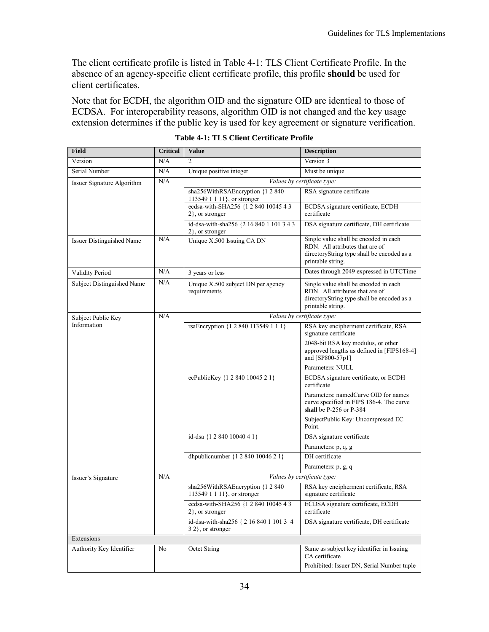The client certificate profile is listed in [Table 4-1: TLS Client Certificate Profile.](#page-41-0) In the absence of an agency-specific client certificate profile, this profile **should** be used for client certificates.

Note that for ECDH, the algorithm OID and the signature OID are identical to those of ECDSA. For interoperability reasons, algorithm OID is not changed and the key usage extension determines if the public key is used for key agreement or signature verification.

<span id="page-41-0"></span>

| <b>Field</b>               | <b>Critical</b> | <b>Value</b>                                                      | <b>Description</b>                                                                                                                          |
|----------------------------|-----------------|-------------------------------------------------------------------|---------------------------------------------------------------------------------------------------------------------------------------------|
| Version                    | N/A             | 2                                                                 | Version 3                                                                                                                                   |
| Serial Number              | N/A             | Unique positive integer                                           | Must be unique                                                                                                                              |
| Issuer Signature Algorithm | N/A             |                                                                   | Values by certificate type:                                                                                                                 |
|                            |                 | sha256WithRSAEncryption {1 2 840<br>113549 1 1 11}, or stronger   | RSA signature certificate                                                                                                                   |
|                            |                 | ecdsa-with-SHA256 {1 2 840 10045 4 3<br>$2$ , or stronger         | ECDSA signature certificate, ECDH<br>certificate                                                                                            |
|                            |                 | id-dsa-with-sha256 {2 16 840 1 101 3 4 3<br>$2$ , or stronger     | DSA signature certificate, DH certificate                                                                                                   |
| Issuer Distinguished Name  | N/A             | Unique X.500 Issuing CA DN                                        | Single value shall be encoded in each<br>RDN. All attributes that are of<br>directoryString type shall be encoded as a<br>printable string. |
| Validity Period            | N/A             | 3 years or less                                                   | Dates through 2049 expressed in UTCTime                                                                                                     |
| Subject Distinguished Name | N/A             | Unique X.500 subject DN per agency<br>requirements                | Single value shall be encoded in each<br>RDN. All attributes that are of<br>directoryString type shall be encoded as a<br>printable string. |
| Subject Public Key         | N/A             |                                                                   | Values by certificate type:                                                                                                                 |
| Information                |                 | rsaEncryption {1 2 840 113549 1 1 1}                              | RSA key encipherment certificate, RSA<br>signature certificate                                                                              |
|                            |                 |                                                                   | 2048-bit RSA key modulus, or other<br>approved lengths as defined in [FIPS168-4]<br>and [SP800-57p1]                                        |
|                            |                 |                                                                   | Parameters: NULL                                                                                                                            |
|                            |                 | ecPublicKey {1 2 840 10045 2 1}                                   | ECDSA signature certificate, or ECDH<br>certificate                                                                                         |
|                            |                 |                                                                   | Parameters: namedCurve OID for names<br>curve specified in FIPS 186-4. The curve<br>shall be $P-256$ or $P-384$                             |
|                            |                 |                                                                   | SubjectPublic Key: Uncompressed EC<br>Point.                                                                                                |
|                            |                 | id-dsa {1 2 840 10040 4 1}                                        | DSA signature certificate                                                                                                                   |
|                            |                 |                                                                   | Parameters: p, q, g                                                                                                                         |
|                            |                 | dhpublicnumber {1 2 840 10046 2 1}                                | DH certificate                                                                                                                              |
|                            |                 |                                                                   | Parameters: p, g, q                                                                                                                         |
| Issuer's Signature         | N/A             |                                                                   | Values by certificate type:                                                                                                                 |
|                            |                 | sha256WithRSAEncryption {1 2 840<br>113549 $1 1 11$ , or stronger | RSA key encipherment certificate, RSA<br>signature certificate                                                                              |
|                            |                 | ecdsa-with-SHA256 {1 2 840 10045 4 3<br>$2$ , or stronger         | ECDSA signature certificate, ECDH<br>certificate                                                                                            |
|                            |                 | id-dsa-with-sha256 { 2 16 840 1 101 3 4<br>3 2}, or stronger      | DSA signature certificate, DH certificate                                                                                                   |
| Extensions                 |                 |                                                                   |                                                                                                                                             |
| Authority Key Identifier   | No              | Octet String                                                      | Same as subject key identifier in Issuing<br>CA certificate                                                                                 |
|                            |                 |                                                                   | Prohibited: Issuer DN, Serial Number tuple                                                                                                  |

**Table 4-1: TLS Client Certificate Profile**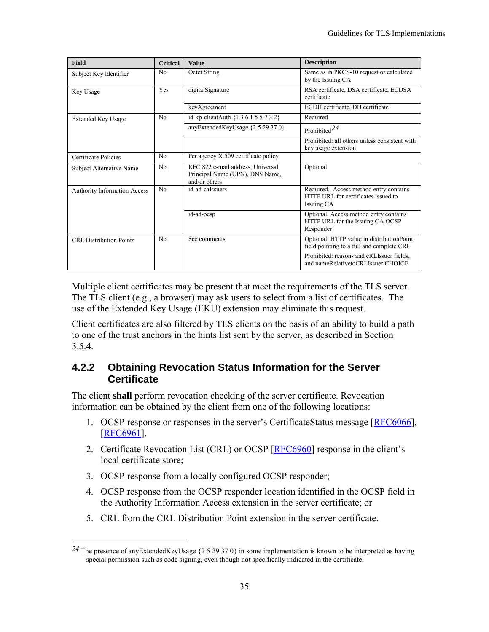| <b>Field</b>                        | <b>Critical</b> | <b>Value</b>                                                                          | <b>Description</b>                                                                          |
|-------------------------------------|-----------------|---------------------------------------------------------------------------------------|---------------------------------------------------------------------------------------------|
| Subject Key Identifier              | N <sub>0</sub>  | Octet String                                                                          | Same as in PKCS-10 request or calculated<br>by the Issuing CA                               |
| Key Usage                           | Yes             | digitalSignature                                                                      | RSA certificate, DSA certificate, ECDSA<br>certificate                                      |
|                                     |                 | keyAgreement                                                                          | ECDH certificate, DH certificate                                                            |
| <b>Extended Key Usage</b>           | N <sub>0</sub>  | id-kp-clientAuth {1 3 6 1 5 5 7 3 2}                                                  | Required                                                                                    |
|                                     |                 | anyExtendedKeyUsage {2 5 29 37 0}                                                     | Prohibited <sup>24</sup>                                                                    |
|                                     |                 |                                                                                       | Prohibited: all others unless consistent with<br>key usage extension                        |
| Certificate Policies                | N <sub>0</sub>  | Per agency X.509 certificate policy                                                   |                                                                                             |
| Subject Alternative Name            | N <sub>0</sub>  | RFC 822 e-mail address, Universal<br>Principal Name (UPN), DNS Name,<br>and/or others | Optional                                                                                    |
| <b>Authority Information Access</b> | N <sub>0</sub>  | id-ad-calssuers                                                                       | Required. Access method entry contains<br>HTTP URL for certificates issued to<br>Issuing CA |
|                                     |                 | id-ad-ocsp                                                                            | Optional. Access method entry contains<br>HTTP URL for the Issuing CA OCSP<br>Responder     |
| <b>CRL</b> Distribution Points      | No              | See comments                                                                          | Optional: HTTP value in distributionPoint<br>field pointing to a full and complete CRL.     |
|                                     |                 |                                                                                       | Prohibited: reasons and cRLIssuer fields.<br>and nameRelativetoCRLIssuer CHOICE             |

Multiple client certificates may be present that meet the requirements of the TLS server. The TLS client (e.g., a browser) may ask users to select from a list of certificates. The use of the Extended Key Usage (EKU) extension may eliminate this request.

Client certificates are also filtered by TLS clients on the basis of an ability to build a path to one of the trust anchors in the hints list sent by the server, as described in Section [3.5.4.](#page-32-1)

#### <span id="page-42-0"></span>**4.2.2 Obtaining Revocation Status Information for the Server Certificate**

The client **shall** perform revocation checking of the server certificate. Revocation information can be obtained by the client from one of the following locations:

- 1. OCSP response or responses in the server's CertificateStatus message [\[RFC6066\]](#page-65-5), [\[RFC6961\]](#page-65-7).
- 2. Certificate Revocation List (CRL) or OCSP [\[RFC6960\]](#page-65-1) response in the client's local certificate store;
- 3. OCSP response from a locally configured OCSP responder;

 $\overline{a}$ 

- 4. OCSP response from the OCSP responder location identified in the OCSP field in the Authority Information Access extension in the server certificate; or
- 5. CRL from the CRL Distribution Point extension in the server certificate.

<span id="page-42-1"></span>*<sup>24</sup>* The presence of anyExtendedKeyUsage {2 5 29 37 0} in some implementation is known to be interpreted as having special permission such as code signing, even though not specifically indicated in the certificate.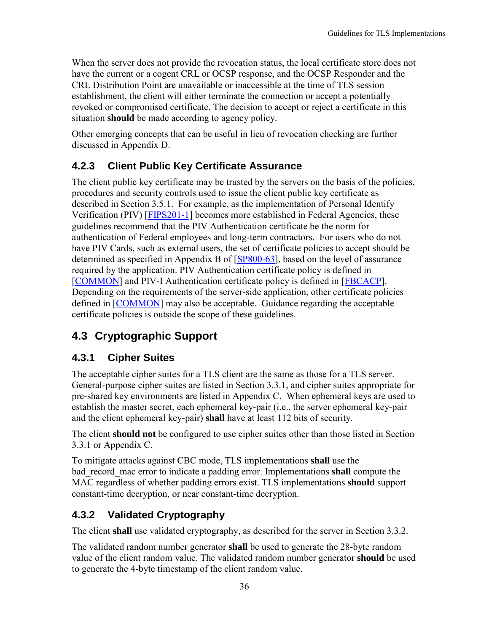When the server does not provide the revocation status, the local certificate store does not have the current or a cogent CRL or OCSP response, and the OCSP Responder and the CRL Distribution Point are unavailable or inaccessible at the time of TLS session establishment, the client will either terminate the connection or accept a potentially revoked or compromised certificate. The decision to accept or reject a certificate in this situation **should** be made according to agency policy.

Other emerging concepts that can be useful in lieu of revocation checking are further discussed in [Appendix D.](#page-59-0)

### <span id="page-43-0"></span>**4.2.3 Client Public Key Certificate Assurance**

The client public key certificate may be trusted by the servers on the basis of the policies, procedures and security controls used to issue the client public key certificate as described in Section [3.5.1.](#page-30-1) For example, as the implementation of Personal Identify Verification (PIV) [\[FIPS201-1\]](#page-63-8) becomes more established in Federal Agencies, these guidelines recommend that the PIV Authentication certificate be the norm for authentication of Federal employees and long-term contractors. For users who do not have PIV Cards, such as external users, the set of certificate policies to accept should be determined as specified in Appendix B of [\[SP800-63\]](#page-66-10), based on the level of assurance required by the application. PIV Authentication certificate policy is defined in [\[COMMON\]](#page-62-5) and PIV-I Authentication certificate policy is defined in [\[FBCACP\]](#page-62-8). Depending on the requirements of the server-side application, other certificate policies defined in [\[COMMON\]](#page-62-5) may also be acceptable. Guidance regarding the acceptable certificate policies is outside the scope of these guidelines.

### <span id="page-43-1"></span>**4.3 Cryptographic Support**

#### <span id="page-43-2"></span>**4.3.1 Cipher Suites**

The acceptable cipher suites for a TLS client are the same as those for a TLS server. General-purpose cipher suites are listed in Section [3.3.1,](#page-21-1) and cipher suites appropriate for pre-shared key environments are listed in [Appendix C.](#page-57-0) When ephemeral keys are used to establish the master secret, each ephemeral key-pair (i.e., the server ephemeral key-pair and the client ephemeral key-pair) **shall** have at least 112 bits of security.

The client **should not** be configured to use cipher suites other than those listed in Section [3.3.1](#page-21-1) or [Appendix C.](#page-57-0)

To mitigate attacks against CBC mode, TLS implementations **shall** use the bad record mac error to indicate a padding error. Implementations **shall** compute the MAC regardless of whether padding errors exist. TLS implementations **should** support constant-time decryption, or near constant-time decryption.

#### <span id="page-43-3"></span>**4.3.2 Validated Cryptography**

The client **shall** use validated cryptography, as described for the server in Section [3.3.2.](#page-26-0)

The validated random number generator **shall** be used to generate the 28-byte random value of the client random value. The validated random number generator **should** be used to generate the 4-byte timestamp of the client random value.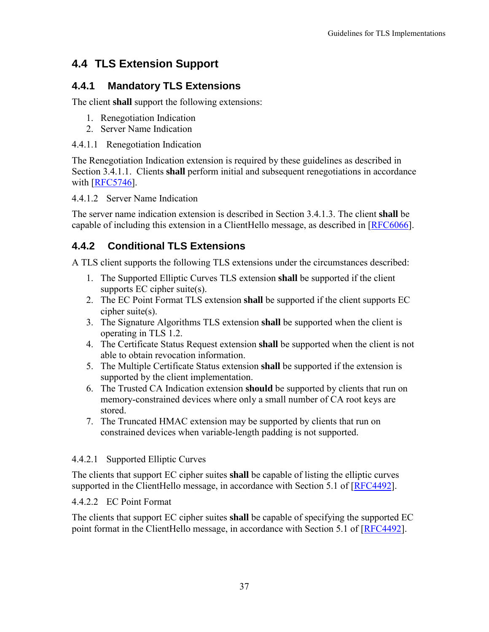### <span id="page-44-0"></span>**4.4 TLS Extension Support**

#### <span id="page-44-1"></span>**4.4.1 Mandatory TLS Extensions**

The client **shall** support the following extensions:

- 1. Renegotiation Indication
- 2. Server Name Indication

#### 4.4.1.1 Renegotiation Indication

The Renegotiation Indication extension is required by these guidelines as described in Section [3.4.1.1.](#page-28-4) Clients **shall** perform initial and subsequent renegotiations in accordance with  $[REC5746]$ .

#### 4.4.1.2 Server Name Indication

The server name indication extension is described in Section [3.4.1.3.](#page-28-2) The client **shall** be capable of including this extension in a ClientHello message, as described in [\[RFC6066\]](#page-65-5).

#### <span id="page-44-2"></span>**4.4.2 Conditional TLS Extensions**

A TLS client supports the following TLS extensions under the circumstances described:

- 1. The Supported Elliptic Curves TLS extension **shall** be supported if the client supports EC cipher suite(s).
- 2. The EC Point Format TLS extension **shall** be supported if the client supports EC cipher suite(s).
- 3. The Signature Algorithms TLS extension **shall** be supported when the client is operating in TLS 1.2.
- 4. The Certificate Status Request extension **shall** be supported when the client is not able to obtain revocation information.
- 5. The Multiple Certificate Status extension **shall** be supported if the extension is supported by the client implementation.
- 6. The Trusted CA Indication extension **should** be supported by clients that run on memory-constrained devices where only a small number of CA root keys are stored.
- 7. The Truncated HMAC extension may be supported by clients that run on constrained devices when variable-length padding is not supported.

#### 4.4.2.1 Supported Elliptic Curves

The clients that support EC cipher suites **shall** be capable of listing the elliptic curves supported in the ClientHello message, in accordance with Section 5.1 of [\[RFC4492\]](#page-64-5).

#### 4.4.2.2 EC Point Format

The clients that support EC cipher suites **shall** be capable of specifying the supported EC point format in the ClientHello message, in accordance with Section 5.1 of [\[RFC4492\]](#page-64-5).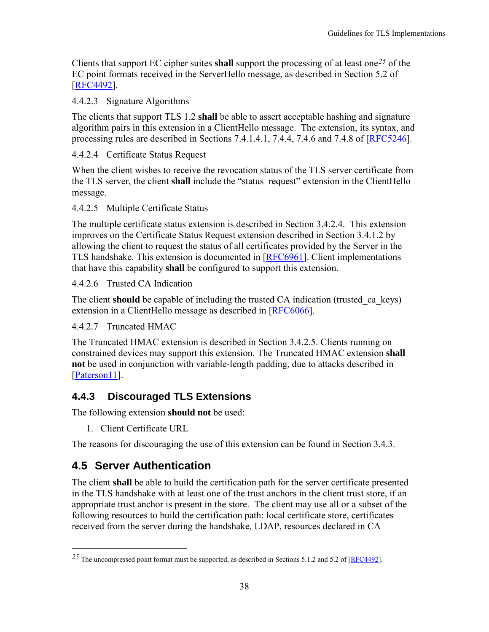Clients that support EC cipher suites **shall** support the processing of at least one*[25](#page-45-2)* of the EC point formats received in the ServerHello message, as described in Section 5.2 of [\[RFC4492\]](#page-64-5).

#### 4.4.2.3 Signature Algorithms

The clients that support TLS 1.2 **shall** be able to assert acceptable hashing and signature algorithm pairs in this extension in a ClientHello message. The extension, its syntax, and processing rules are described in Sections 7.4.1.4.1, 7.4.4, 7.4.6 and 7.4.8 of [\[RFC5246\]](#page-64-1).

#### 4.4.2.4 Certificate Status Request

When the client wishes to receive the revocation status of the TLS server certificate from the TLS server, the client **shall** include the "status\_request" extension in the ClientHello message.

#### 4.4.2.5 Multiple Certificate Status

The multiple certificate status extension is described in Section [3.4.2.4.](#page-29-2) This extension improves on the Certificate Status Request extension described in Section [3.4.1.2](#page-28-3) by allowing the client to request the status of all certificates provided by the Server in the TLS handshake. This extension is documented in [\[RFC6961\]](#page-65-7). Client implementations that have this capability **shall** be configured to support this extension.

<span id="page-45-3"></span>4.4.2.6 Trusted CA Indication

The client **should** be capable of including the trusted CA indication (trusted ca keys) extension in a ClientHello message as described in [\[RFC6066\]](#page-65-5).

#### <span id="page-45-4"></span>4.4.2.7 Truncated HMAC

The Truncated HMAC extension is described in Section [3.4.2.5.](#page-29-1) Clients running on constrained devices may support this extension. The Truncated HMAC extension **shall not** be used in conjunction with variable-length padding, due to attacks described in [\[Paterson11\]](#page-63-7).

#### <span id="page-45-0"></span>**4.4.3 Discouraged TLS Extensions**

The following extension **should not** be used:

1. Client Certificate URL

The reasons for discouraging the use of this extension can be found in Section [3.4.3.](#page-29-0)

### <span id="page-45-1"></span>**4.5 Server Authentication**

 $\overline{a}$ 

The client **shall** be able to build the certification path for the server certificate presented in the TLS handshake with at least one of the trust anchors in the client trust store, if an appropriate trust anchor is present in the store. The client may use all or a subset of the following resources to build the certification path: local certificate store, certificates received from the server during the handshake, LDAP, resources declared in CA

<span id="page-45-2"></span>*<sup>25</sup>* The uncompressed point format must be supported, as described in Sections 5.1.2 and 5.2 of [\[RFC4492\]](#page-64-5).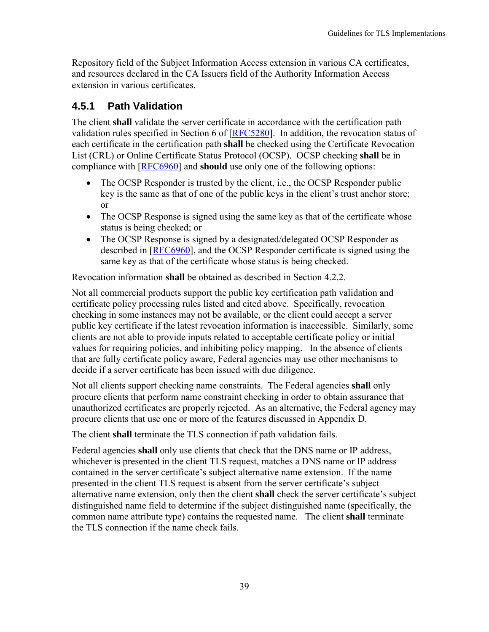Repository field of the Subject Information Access extension in various CA certificates, and resources declared in the CA Issuers field of the Authority Information Access extension in various certificates.

#### <span id="page-46-0"></span>**4.5.1 Path Validation**

The client **shall** validate the server certificate in accordance with the certification path validation rules specified in Section 6 of [\[RFC5280\]](#page-64-2). In addition, the revocation status of each certificate in the certification path **shall** be checked using the Certificate Revocation List (CRL) or Online Certificate Status Protocol (OCSP). OCSP checking **shall** be in compliance with [\[RFC6960\]](#page-65-1) and **should** use only one of the following options:

- The OCSP Responder is trusted by the client, i.e., the OCSP Responder public key is the same as that of one of the public keys in the client's trust anchor store; or
- The OCSP Response is signed using the same key as that of the certificate whose status is being checked; or
- The OCSP Response is signed by a designated/delegated OCSP Responder as described in [\[RFC6960\]](#page-65-1), and the OCSP Responder certificate is signed using the same key as that of the certificate whose status is being checked.

Revocation information **shall** be obtained as described in Section [4.2.2.](#page-42-0)

Not all commercial products support the public key certification path validation and certificate policy processing rules listed and cited above. Specifically, revocation checking in some instances may not be available, or the client could accept a server public key certificate if the latest revocation information is inaccessible. Similarly, some clients are not able to provide inputs related to acceptable certificate policy or initial values for requiring policies, and inhibiting policy mapping. In the absence of clients that are fully certificate policy aware, Federal agencies may use other mechanisms to decide if a server certificate has been issued with due diligence.

Not all clients support checking name constraints. The Federal agencies **shall** only procure clients that perform name constraint checking in order to obtain assurance that unauthorized certificates are properly rejected. As an alternative, the Federal agency may procure clients that use one or more of the features discussed in [Appendix D.](#page-59-0)

The client **shall** terminate the TLS connection if path validation fails.

Federal agencies **shall** only use clients that check that the DNS name or IP address, whichever is presented in the client TLS request, matches a DNS name or IP address contained in the server certificate's subject alternative name extension. If the name presented in the client TLS request is absent from the server certificate's subject alternative name extension, only then the client **shall** check the server certificate's subject distinguished name field to determine if the subject distinguished name (specifically, the common name attribute type) contains the requested name. The client **shall** terminate the TLS connection if the name check fails.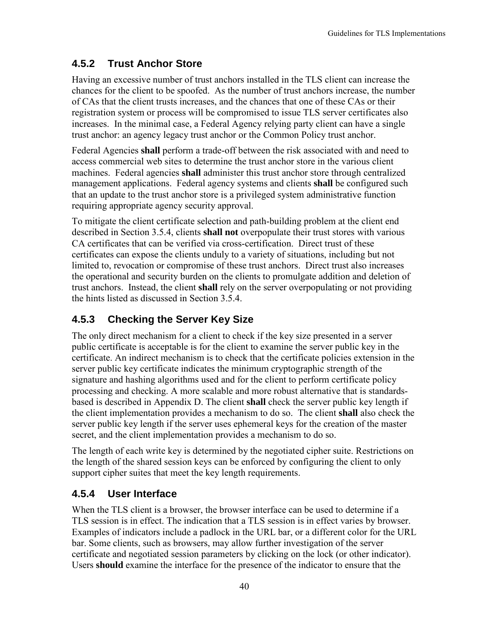#### <span id="page-47-0"></span>**4.5.2 Trust Anchor Store**

Having an excessive number of trust anchors installed in the TLS client can increase the chances for the client to be spoofed. As the number of trust anchors increase, the number of CAs that the client trusts increases, and the chances that one of these CAs or their registration system or process will be compromised to issue TLS server certificates also increases. In the minimal case, a Federal Agency relying party client can have a single trust anchor: an agency legacy trust anchor or the Common Policy trust anchor.

Federal Agencies **shall** perform a trade-off between the risk associated with and need to access commercial web sites to determine the trust anchor store in the various client machines. Federal agencies **shall** administer this trust anchor store through centralized management applications. Federal agency systems and clients **shall** be configured such that an update to the trust anchor store is a privileged system administrative function requiring appropriate agency security approval.

To mitigate the client certificate selection and path-building problem at the client end described in Section [3.5.4,](#page-32-1) clients **shall not** overpopulate their trust stores with various CA certificates that can be verified via cross-certification. Direct trust of these certificates can expose the clients unduly to a variety of situations, including but not limited to, revocation or compromise of these trust anchors. Direct trust also increases the operational and security burden on the clients to promulgate addition and deletion of trust anchors. Instead, the client **shall** rely on the server overpopulating or not providing the hints listed as discussed in Section [3.5.4.](#page-32-1)

#### <span id="page-47-1"></span>**4.5.3 Checking the Server Key Size**

The only direct mechanism for a client to check if the key size presented in a server public certificate is acceptable is for the client to examine the server public key in the certificate. An indirect mechanism is to check that the certificate policies extension in the server public key certificate indicates the minimum cryptographic strength of the signature and hashing algorithms used and for the client to perform certificate policy processing and checking. A more scalable and more robust alternative that is standardsbased is described in [Appendix D.](#page-59-0) The client **shall** check the server public key length if the client implementation provides a mechanism to do so. The client **shall** also check the server public key length if the server uses ephemeral keys for the creation of the master secret, and the client implementation provides a mechanism to do so.

The length of each write key is determined by the negotiated cipher suite. Restrictions on the length of the shared session keys can be enforced by configuring the client to only support cipher suites that meet the key length requirements.

#### <span id="page-47-2"></span>**4.5.4 User Interface**

When the TLS client is a browser, the browser interface can be used to determine if a TLS session is in effect. The indication that a TLS session is in effect varies by browser. Examples of indicators include a padlock in the URL bar, or a different color for the URL bar. Some clients, such as browsers, may allow further investigation of the server certificate and negotiated session parameters by clicking on the lock (or other indicator). Users **should** examine the interface for the presence of the indicator to ensure that the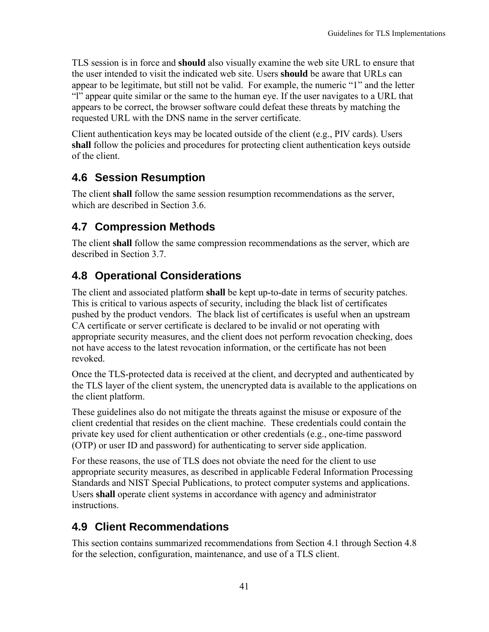TLS session is in force and **should** also visually examine the web site URL to ensure that the user intended to visit the indicated web site. Users **should** be aware that URLs can appear to be legitimate, but still not be valid. For example, the numeric "1" and the letter "l" appear quite similar or the same to the human eye. If the user navigates to a URL that appears to be correct, the browser software could defeat these threats by matching the requested URL with the DNS name in the server certificate.

Client authentication keys may be located outside of the client (e.g., PIV cards). Users **shall** follow the policies and procedures for protecting client authentication keys outside of the client.

### <span id="page-48-0"></span>**4.6 Session Resumption**

The client **shall** follow the same session resumption recommendations as the server, which are described in Section [3.6.](#page-33-0)

### <span id="page-48-1"></span>**4.7 Compression Methods**

The client **shall** follow the same compression recommendations as the server, which are described in Section [3.7.](#page-33-1)

### <span id="page-48-2"></span>**4.8 Operational Considerations**

The client and associated platform **shall** be kept up-to-date in terms of security patches. This is critical to various aspects of security, including the black list of certificates pushed by the product vendors. The black list of certificates is useful when an upstream CA certificate or server certificate is declared to be invalid or not operating with appropriate security measures, and the client does not perform revocation checking, does not have access to the latest revocation information, or the certificate has not been revoked.

Once the TLS-protected data is received at the client, and decrypted and authenticated by the TLS layer of the client system, the unencrypted data is available to the applications on the client platform.

These guidelines also do not mitigate the threats against the misuse or exposure of the client credential that resides on the client machine. These credentials could contain the private key used for client authentication or other credentials (e.g., one-time password (OTP) or user ID and password) for authenticating to server side application.

For these reasons, the use of TLS does not obviate the need for the client to use appropriate security measures, as described in applicable Federal Information Processing Standards and NIST Special Publications, to protect computer systems and applications. Users **shall** operate client systems in accordance with agency and administrator instructions.

### <span id="page-48-3"></span>**4.9 Client Recommendations**

This section contains summarized recommendations from Section [4.1](#page-40-1) through Section [4.8](#page-48-2) for the selection, configuration, maintenance, and use of a TLS client.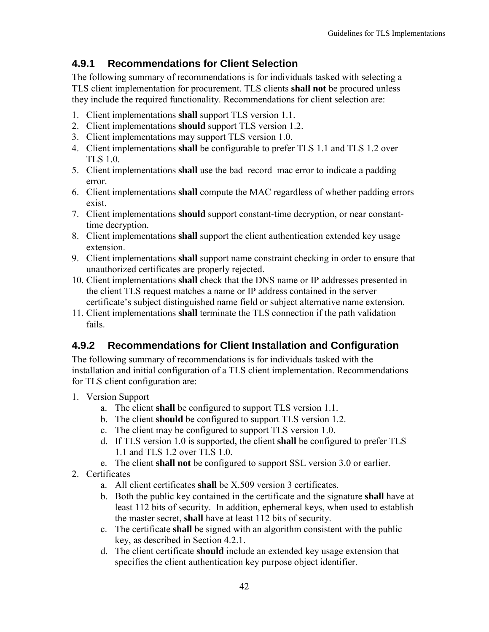#### <span id="page-49-0"></span>**4.9.1 Recommendations for Client Selection**

The following summary of recommendations is for individuals tasked with selecting a TLS client implementation for procurement. TLS clients **shall not** be procured unless they include the required functionality. Recommendations for client selection are:

- 1. Client implementations **shall** support TLS version 1.1.
- 2. Client implementations **should** support TLS version 1.2.
- 3. Client implementations may support TLS version 1.0.
- 4. Client implementations **shall** be configurable to prefer TLS 1.1 and TLS 1.2 over TLS 1.0.
- 5. Client implementations **shall** use the bad\_record\_mac error to indicate a padding error.
- 6. Client implementations **shall** compute the MAC regardless of whether padding errors exist.
- 7. Client implementations **should** support constant-time decryption, or near constanttime decryption.
- 8. Client implementations **shall** support the client authentication extended key usage extension.
- 9. Client implementations **shall** support name constraint checking in order to ensure that unauthorized certificates are properly rejected.
- 10. Client implementations **shall** check that the DNS name or IP addresses presented in the client TLS request matches a name or IP address contained in the server certificate's subject distinguished name field or subject alternative name extension.
- 11. Client implementations **shall** terminate the TLS connection if the path validation fails.

#### <span id="page-49-1"></span>**4.9.2 Recommendations for Client Installation and Configuration**

The following summary of recommendations is for individuals tasked with the installation and initial configuration of a TLS client implementation. Recommendations for TLS client configuration are:

- 1. Version Support
	- a. The client **shall** be configured to support TLS version 1.1.
	- b. The client **should** be configured to support TLS version 1.2.
	- c. The client may be configured to support TLS version 1.0.
	- d. If TLS version 1.0 is supported, the client **shall** be configured to prefer TLS 1.1 and TLS 1.2 over TLS 1.0.
	- e. The client **shall not** be configured to support SSL version 3.0 or earlier.
- 2. Certificates
	- a. All client certificates **shall** be X.509 version 3 certificates.
	- b. Both the public key contained in the certificate and the signature **shall** have at least 112 bits of security. In addition, ephemeral keys, when used to establish the master secret, **shall** have at least 112 bits of security.
	- c. The certificate **shall** be signed with an algorithm consistent with the public key, as described in Section [4.2.1.](#page-40-3)
	- d. The client certificate **should** include an extended key usage extension that specifies the client authentication key purpose object identifier.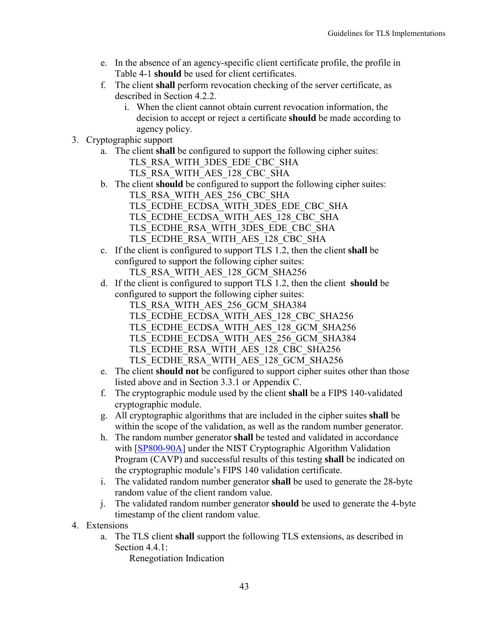- e. In the absence of an agency-specific client certificate profile, the profile in [Table 4-1](#page-41-0) **should** be used for client certificates.
- f. The client **shall** perform revocation checking of the server certificate, as described in Section [4.2.2.](#page-42-0)
	- i. When the client cannot obtain current revocation information, the decision to accept or reject a certificate **should** be made according to agency policy.
- 3. Cryptographic support
	- a. The client **shall** be configured to support the following cipher suites: TLS\_RSA\_WITH\_3DES\_EDE\_CBC\_SHA TLS\_RSA\_WITH\_AES\_128\_CBC\_SHA
	- b. The client **should** be configured to support the following cipher suites:
		- TLS\_RSA\_WITH\_AES\_256\_CBC\_SHA TLS\_ECDHE\_ECDSA\_WITH\_3DES\_EDE\_CBC\_SHA
		- TLS\_ECDHE\_ECDSA\_WITH\_AES\_128\_CBC\_SHA
		- TLS\_ECDHE\_RSA\_WITH\_3DES\_EDE\_CBC\_SHA
		- TLS\_ECDHE\_RSA\_WITH\_AES\_128\_CBC\_SHA
	- c. If the client is configured to support TLS 1.2, then the client **shall** be configured to support the following cipher suites:
	- TLS RSA\_WITH\_AES\_128\_GCM\_SHA256 d. If the client is configured to support TLS 1.2, then the client **should** be
		- configured to support the following cipher suites: TLS\_RSA\_WITH\_AES\_256\_GCM\_SHA384 TLS\_ECDHE\_ECDSA\_WITH\_AES\_128\_CBC\_SHA256 TLS\_ECDHE\_ECDSA\_WITH\_AES\_128\_GCM\_SHA256 TLS\_ECDHE\_ECDSA\_WITH\_AES\_256\_GCM\_SHA384 TLS\_ECDHE\_RSA\_WITH\_AES\_128\_CBC\_SHA256 TLS\_ECDHE\_RSA\_WITH\_AES\_128\_GCM\_SHA256
	- e. The client **should not** be configured to support cipher suites other than those listed above and in Section [3.3.1](#page-21-1) or [Appendix C.](#page-57-0)
	- f. The cryptographic module used by the client **shall** be a FIPS 140-validated cryptographic module.
	- g. All cryptographic algorithms that are included in the cipher suites **shall** be within the scope of the validation, as well as the random number generator.
	- h. The random number generator **shall** be tested and validated in accordance with [\[SP800-90A\]](#page-66-7) under the NIST Cryptographic Algorithm Validation Program (CAVP) and successful results of this testing **shall** be indicated on the cryptographic module's FIPS 140 validation certificate.
	- i. The validated random number generator **shall** be used to generate the 28-byte random value of the client random value.
	- j. The validated random number generator **should** be used to generate the 4-byte timestamp of the client random value.
- 4. Extensions
	- a. The TLS client **shall** support the following TLS extensions, as described in Section [4.4.1:](#page-44-1)

Renegotiation Indication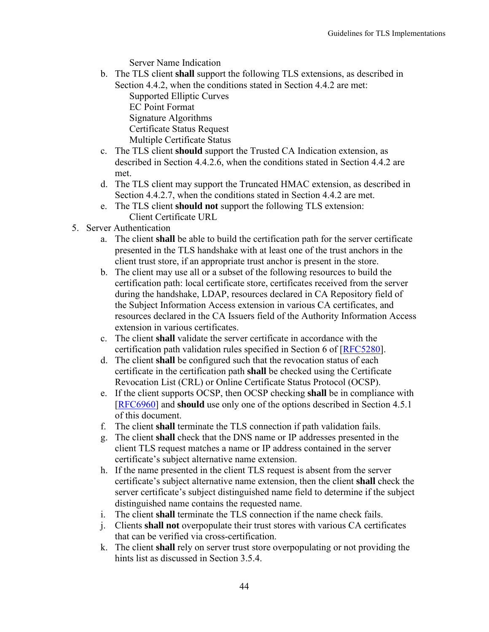Server Name Indication

b. The TLS client **shall** support the following TLS extensions, as described in Section [4.4.2,](#page-44-2) when the conditions stated in Section [4.4.2](#page-44-2) are met:

Supported Elliptic Curves EC Point Format Signature Algorithms Certificate Status Request Multiple Certificate Status

- c. The TLS client **should** support the Trusted CA Indication extension, as described in Section [4.4.2.6,](#page-45-3) when the conditions stated in Section [4.4.2](#page-44-2) are met.
- d. The TLS client may support the Truncated HMAC extension, as described in Section [4.4.2.7,](#page-45-4) when the conditions stated in Section [4.4.2](#page-44-2) are met.
- e. The TLS client **should not** support the following TLS extension: Client Certificate URL
- 5. Server Authentication
	- a. The client **shall** be able to build the certification path for the server certificate presented in the TLS handshake with at least one of the trust anchors in the client trust store, if an appropriate trust anchor is present in the store.
	- b. The client may use all or a subset of the following resources to build the certification path: local certificate store, certificates received from the server during the handshake, LDAP, resources declared in CA Repository field of the Subject Information Access extension in various CA certificates, and resources declared in the CA Issuers field of the Authority Information Access extension in various certificates.
	- c. The client **shall** validate the server certificate in accordance with the certification path validation rules specified in Section 6 of [\[RFC5280\]](#page-64-2).
	- d. The client **shall** be configured such that the revocation status of each certificate in the certification path **shall** be checked using the Certificate Revocation List (CRL) or Online Certificate Status Protocol (OCSP).
	- e. If the client supports OCSP, then OCSP checking **shall** be in compliance with [\[RFC6960\]](#page-65-1) and **should** use only one of the options described in Section [4.5.1](#page-46-0) of this document.
	- f. The client **shall** terminate the TLS connection if path validation fails.
	- g. The client **shall** check that the DNS name or IP addresses presented in the client TLS request matches a name or IP address contained in the server certificate's subject alternative name extension.
	- h. If the name presented in the client TLS request is absent from the server certificate's subject alternative name extension, then the client **shall** check the server certificate's subject distinguished name field to determine if the subject distinguished name contains the requested name.
	- i. The client **shall** terminate the TLS connection if the name check fails.
	- j. Clients **shall not** overpopulate their trust stores with various CA certificates that can be verified via cross-certification.
	- k. The client **shall** rely on server trust store overpopulating or not providing the hints list as discussed in Section [3.5.4.](#page-32-1)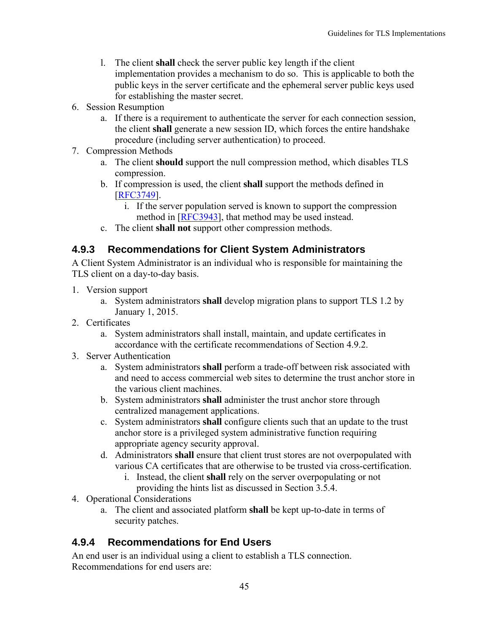- l. The client **shall** check the server public key length if the client implementation provides a mechanism to do so. This is applicable to both the public keys in the server certificate and the ephemeral server public keys used for establishing the master secret.
- 6. Session Resumption
	- a. If there is a requirement to authenticate the server for each connection session, the client **shall** generate a new session ID, which forces the entire handshake procedure (including server authentication) to proceed.
- 7. Compression Methods
	- a. The client **should** support the null compression method, which disables TLS compression.
	- b. If compression is used, the client **shall** support the methods defined in [\[RFC3749\]](#page-64-7).
		- i. If the server population served is known to support the compression method in [\[RFC3943\]](#page-64-8), that method may be used instead.
	- c. The client **shall not** support other compression methods.

#### <span id="page-52-0"></span>**4.9.3 Recommendations for Client System Administrators**

A Client System Administrator is an individual who is responsible for maintaining the TLS client on a day-to-day basis.

- 1. Version support
	- a. System administrators **shall** develop migration plans to support TLS 1.2 by January 1, 2015.
- 2. Certificates
	- a. System administrators shall install, maintain, and update certificates in accordance with the certificate recommendations of Section [4.9.2.](#page-49-1)
- 3. Server Authentication
	- a. System administrators **shall** perform a trade-off between risk associated with and need to access commercial web sites to determine the trust anchor store in the various client machines.
	- b. System administrators **shall** administer the trust anchor store through centralized management applications.
	- c. System administrators **shall** configure clients such that an update to the trust anchor store is a privileged system administrative function requiring appropriate agency security approval.
	- d. Administrators **shall** ensure that client trust stores are not overpopulated with various CA certificates that are otherwise to be trusted via cross-certification.
		- i. Instead, the client **shall** rely on the server overpopulating or not providing the hints list as discussed in Section [3.5.4.](#page-32-1)
- 4. Operational Considerations
	- a. The client and associated platform **shall** be kept up-to-date in terms of security patches.

#### <span id="page-52-1"></span>**4.9.4 Recommendations for End Users**

An end user is an individual using a client to establish a TLS connection. Recommendations for end users are: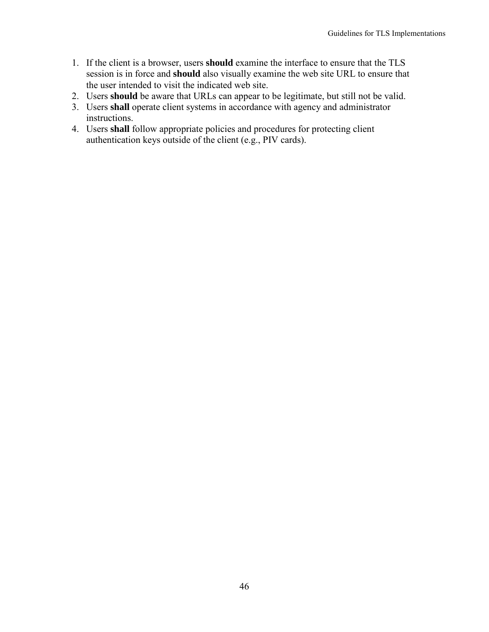- 1. If the client is a browser, users **should** examine the interface to ensure that the TLS session is in force and **should** also visually examine the web site URL to ensure that the user intended to visit the indicated web site.
- 2. Users **should** be aware that URLs can appear to be legitimate, but still not be valid.
- 3. Users **shall** operate client systems in accordance with agency and administrator instructions.
- 4. Users **shall** follow appropriate policies and procedures for protecting client authentication keys outside of the client (e.g., PIV cards).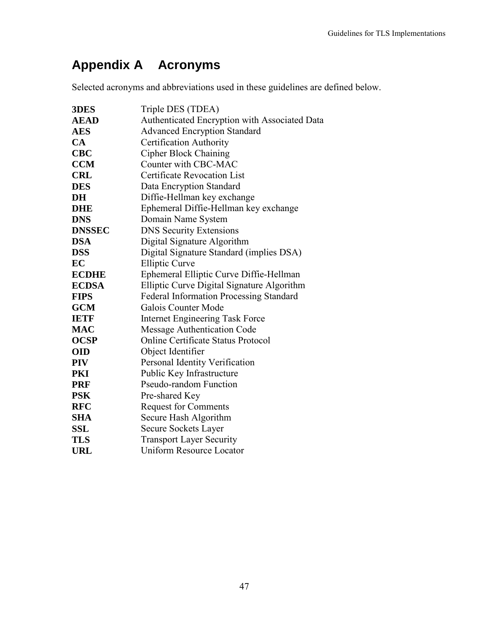# <span id="page-54-0"></span>**Appendix A Acronyms**

Selected acronyms and abbreviations used in these guidelines are defined below.

| 3DES          | Triple DES (TDEA)                             |  |  |  |
|---------------|-----------------------------------------------|--|--|--|
| <b>AEAD</b>   | Authenticated Encryption with Associated Data |  |  |  |
| <b>AES</b>    | <b>Advanced Encryption Standard</b>           |  |  |  |
| CA            | <b>Certification Authority</b>                |  |  |  |
| <b>CBC</b>    | <b>Cipher Block Chaining</b>                  |  |  |  |
| <b>CCM</b>    | Counter with CBC-MAC                          |  |  |  |
| <b>CRL</b>    | <b>Certificate Revocation List</b>            |  |  |  |
| <b>DES</b>    | Data Encryption Standard                      |  |  |  |
| DH            | Diffie-Hellman key exchange                   |  |  |  |
| <b>DHE</b>    | Ephemeral Diffie-Hellman key exchange         |  |  |  |
| <b>DNS</b>    | Domain Name System                            |  |  |  |
| <b>DNSSEC</b> | <b>DNS Security Extensions</b>                |  |  |  |
| <b>DSA</b>    | Digital Signature Algorithm                   |  |  |  |
| <b>DSS</b>    | Digital Signature Standard (implies DSA)      |  |  |  |
| EC            | <b>Elliptic Curve</b>                         |  |  |  |
| <b>ECDHE</b>  | Ephemeral Elliptic Curve Diffie-Hellman       |  |  |  |
| <b>ECDSA</b>  | Elliptic Curve Digital Signature Algorithm    |  |  |  |
| <b>FIPS</b>   | Federal Information Processing Standard       |  |  |  |
| <b>GCM</b>    | <b>Galois Counter Mode</b>                    |  |  |  |
| <b>IETF</b>   | <b>Internet Engineering Task Force</b>        |  |  |  |
| <b>MAC</b>    | <b>Message Authentication Code</b>            |  |  |  |
| OCSP          | <b>Online Certificate Status Protocol</b>     |  |  |  |
| <b>OID</b>    | Object Identifier                             |  |  |  |
| <b>PIV</b>    | Personal Identity Verification                |  |  |  |
| PKI           | Public Key Infrastructure                     |  |  |  |
| <b>PRF</b>    | Pseudo-random Function                        |  |  |  |
| <b>PSK</b>    | Pre-shared Key                                |  |  |  |
| <b>RFC</b>    | <b>Request for Comments</b>                   |  |  |  |
| <b>SHA</b>    | Secure Hash Algorithm                         |  |  |  |
| SSL           | Secure Sockets Layer                          |  |  |  |
| TLS           | <b>Transport Layer Security</b>               |  |  |  |
| <b>URL</b>    | <b>Uniform Resource Locator</b>               |  |  |  |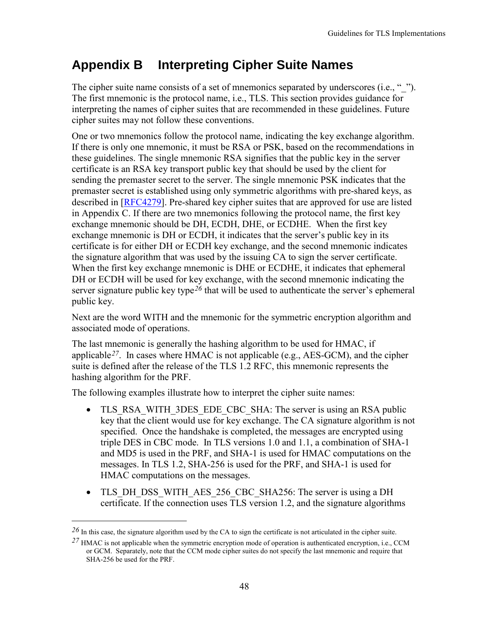# <span id="page-55-0"></span>**Appendix B Interpreting Cipher Suite Names**

The cipher suite name consists of a set of mnemonics separated by underscores (i.e., " $"$ ). The first mnemonic is the protocol name, i.e., TLS. This section provides guidance for interpreting the names of cipher suites that are recommended in these guidelines. Future cipher suites may not follow these conventions.

One or two mnemonics follow the protocol name, indicating the key exchange algorithm. If there is only one mnemonic, it must be RSA or PSK, based on the recommendations in these guidelines. The single mnemonic RSA signifies that the public key in the server certificate is an RSA key transport public key that should be used by the client for sending the premaster secret to the server. The single mnemonic PSK indicates that the premaster secret is established using only symmetric algorithms with pre-shared keys, as described in [\[RFC4279\]](#page-64-9). Pre-shared key cipher suites that are approved for use are listed in [Appendix C.](#page-57-0) If there are two mnemonics following the protocol name, the first key exchange mnemonic should be DH, ECDH, DHE, or ECDHE. When the first key exchange mnemonic is DH or ECDH, it indicates that the server's public key in its certificate is for either DH or ECDH key exchange, and the second mnemonic indicates the signature algorithm that was used by the issuing CA to sign the server certificate. When the first key exchange mnemonic is DHE or ECDHE, it indicates that ephemeral DH or ECDH will be used for key exchange, with the second mnemonic indicating the server signature public key type*[26](#page-55-1)* that will be used to authenticate the server's ephemeral public key.

Next are the word WITH and the mnemonic for the symmetric encryption algorithm and associated mode of operations.

The last mnemonic is generally the hashing algorithm to be used for HMAC, if applicable*[27](#page-55-2)*. In cases where HMAC is not applicable (e.g., AES-GCM), and the cipher suite is defined after the release of the TLS 1.2 RFC, this mnemonic represents the hashing algorithm for the PRF.

The following examples illustrate how to interpret the cipher suite names:

- TLS RSA\_WITH\_3DES\_EDE\_CBC\_SHA: The server is using an RSA public key that the client would use for key exchange. The CA signature algorithm is not specified. Once the handshake is completed, the messages are encrypted using triple DES in CBC mode. In TLS versions 1.0 and 1.1, a combination of SHA-1 and MD5 is used in the PRF, and SHA-1 is used for HMAC computations on the messages. In TLS 1.2, SHA-256 is used for the PRF, and SHA-1 is used for HMAC computations on the messages.
- TLS DH\_DSS\_WITH\_AES\_256\_CBC\_SHA256: The server is using a DH certificate. If the connection uses TLS version 1.2, and the signature algorithms

 $\overline{a}$ 

<span id="page-55-1"></span>*<sup>26</sup>* In this case, the signature algorithm used by the CA to sign the certificate is not articulated in the cipher suite.

<span id="page-55-2"></span>*<sup>27</sup>* HMAC is not applicable when the symmetric encryption mode of operation is authenticated encryption, i.e., CCM or GCM. Separately, note that the CCM mode cipher suites do not specify the last mnemonic and require that SHA-256 be used for the PRF.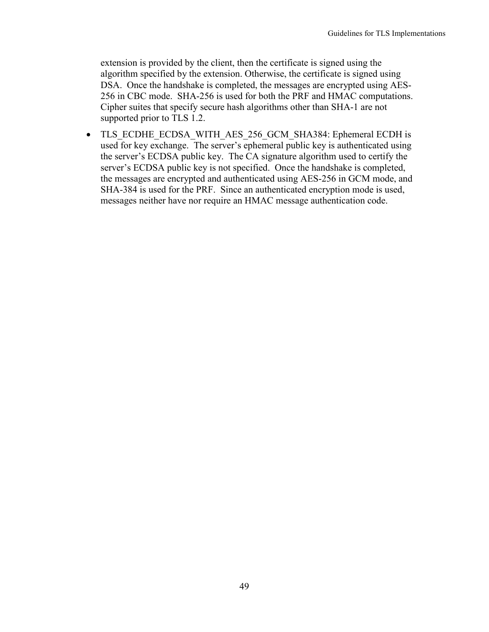extension is provided by the client, then the certificate is signed using the algorithm specified by the extension. Otherwise, the certificate is signed using DSA. Once the handshake is completed, the messages are encrypted using AES-256 in CBC mode. SHA-256 is used for both the PRF and HMAC computations. Cipher suites that specify secure hash algorithms other than SHA-1 are not supported prior to TLS 1.2.

• TLS ECDHE\_ECDSA\_WITH\_AES\_256\_GCM\_SHA384: Ephemeral ECDH is used for key exchange. The server's ephemeral public key is authenticated using the server's ECDSA public key. The CA signature algorithm used to certify the server's ECDSA public key is not specified. Once the handshake is completed, the messages are encrypted and authenticated using AES-256 in GCM mode, and SHA-384 is used for the PRF. Since an authenticated encryption mode is used, messages neither have nor require an HMAC message authentication code.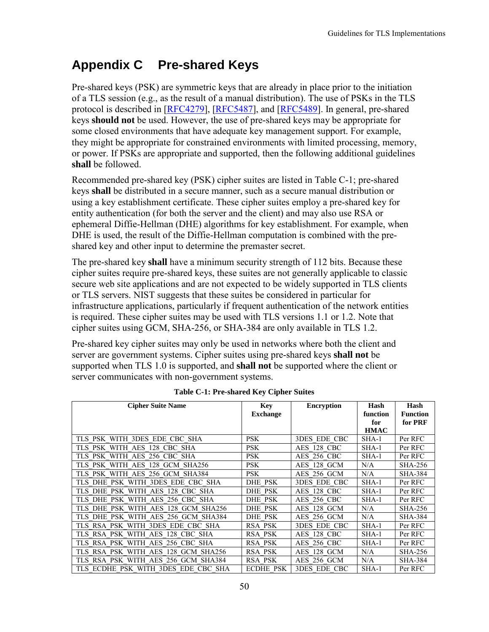# <span id="page-57-0"></span>**Appendix C Pre-shared Keys**

Pre-shared keys (PSK) are symmetric keys that are already in place prior to the initiation of a TLS session (e.g., as the result of a manual distribution). The use of PSKs in the TLS protocol is described in [\[RFC4279\]](#page-64-9), [\[RFC5487\]](#page-65-8), and [\[RFC5489\]](#page-65-9). In general, pre-shared keys **should not** be used. However, the use of pre-shared keys may be appropriate for some closed environments that have adequate key management support. For example, they might be appropriate for constrained environments with limited processing, memory, or power. If PSKs are appropriate and supported, then the following additional guidelines **shall** be followed.

Recommended pre-shared key (PSK) cipher suites are listed in [Table C-1;](#page-57-1) pre-shared keys **shall** be distributed in a secure manner, such as a secure manual distribution or using a key establishment certificate. These cipher suites employ a pre-shared key for entity authentication (for both the server and the client) and may also use RSA or ephemeral Diffie-Hellman (DHE) algorithms for key establishment. For example, when DHE is used, the result of the Diffie-Hellman computation is combined with the preshared key and other input to determine the premaster secret.

The pre-shared key **shall** have a minimum security strength of 112 bits. Because these cipher suites require pre-shared keys, these suites are not generally applicable to classic secure web site applications and are not expected to be widely supported in TLS clients or TLS servers. NIST suggests that these suites be considered in particular for infrastructure applications, particularly if frequent authentication of the network entities is required. These cipher suites may be used with TLS versions 1.1 or 1.2. Note that cipher suites using GCM, SHA-256, or SHA-384 are only available in TLS 1.2.

Pre-shared key cipher suites may only be used in networks where both the client and server are government systems. Cipher suites using pre-shared keys **shall not** be supported when TLS 1.0 is supported, and **shall not** be supported where the client or server communicates with non-government systems.

<span id="page-57-1"></span>

| <b>Cipher Suite Name</b>                                                           | Key<br><b>Exchange</b> | <b>Encryption</b>  | Hash<br>function | Hash<br><b>Function</b> |
|------------------------------------------------------------------------------------|------------------------|--------------------|------------------|-------------------------|
|                                                                                    |                        |                    | for              | for PRF                 |
|                                                                                    |                        |                    | <b>HMAC</b>      |                         |
| TLS PSK WITH 3DES EDE CBC SHA                                                      | <b>PSK</b>             | 3DES EDE CBC       | SHA-1            | Per RFC                 |
| TLS PSK WITH AES<br>128<br>CBC SHA                                                 | PSK                    | AES 128 CBC        | SHA-1            | Per RFC                 |
| TLS PSK WITH AES 256 CBC SHA                                                       | <b>PSK</b>             | <b>AES 256 CBC</b> | SHA-1            | Per RFC                 |
| TLS PSK WITH AES<br>128 GCM SHA256                                                 | PSK                    | AES 128 GCM        | N/A              | SHA-256                 |
| TLS PSK WITH<br>AES 256 GCM SHA384                                                 | <b>PSK</b>             | AES 256 GCM        | N/A              | <b>SHA-384</b>          |
| TLS DHE PSK WITH 3DES EDE CBC SHA                                                  | DHE PSK                | 3DES EDE CBC       | SHA-1            | Per RFC                 |
| TLS DHE PSK WITH AES 128 CBC SHA                                                   | DHE PSK                | AES 128 CBC        | SHA-1            | Per RFC                 |
| TLS DHE PSK WITH AES 256 CBC SHA                                                   | DHE PSK                | <b>AES 256 CBC</b> | SHA-1            | Per RFC                 |
| <b>AES</b><br>128<br><b>DHE</b><br><b>PSK</b><br><b>WITH</b><br>GCM SHA256<br>TLS. | DHE PSK                | AES 128 GCM        | N/A              | SHA-256                 |
| DHE PSK WITH AES 256 GCM SHA384<br>TLS.                                            | DHE PSK                | <b>AES 256 GCM</b> | N/A              | <b>SHA-384</b>          |
| TLS RSA PSK WITH 3DES EDE CBC SHA                                                  | RSA PSK                | 3DES EDE CBC       | $SHA-1$          | Per RFC                 |
| TLS RSA PSK WITH AES 128<br>CBC SHA                                                | RSA PSK                | AES 128 CBC        | SHA-1            | Per RFC                 |
| TLS RSA PSK WITH AES 256 CBC SHA                                                   | RSA PSK                | AES 256 CBC        | SHA-1            | Per RFC                 |
| TLS RSA PSK WITH AES 128 GCM SHA256                                                | <b>RSA PSK</b>         | AES 128 GCM        | N/A              | <b>SHA-256</b>          |
| TLS RSA PSK WITH AES 256 GCM SHA384                                                | RSA PSK                | AES 256 GCM        | N/A              | <b>SHA-384</b>          |
| TLS ECDHE PSK WITH 3DES EDE CBC SHA                                                | <b>ECDHE PSK</b>       | 3DES EDE CBC       | SHA-1            | Per RFC                 |

**Table C-1: Pre-shared Key Cipher Suites**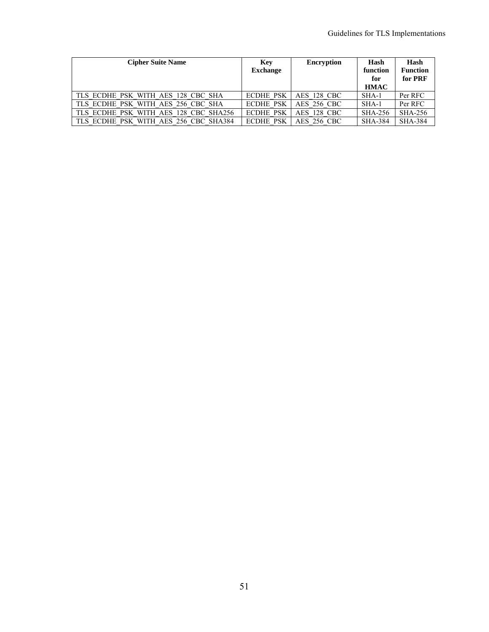| <b>Cipher Suite Name</b>              | Key<br><b>Exchange</b> | <b>Encryption</b>  | Hash<br>function<br>for<br><b>HMAC</b> | Hash<br><b>Function</b><br>for PRF |
|---------------------------------------|------------------------|--------------------|----------------------------------------|------------------------------------|
| TLS ECDHE PSK WITH AES 128 CBC SHA    | <b>ECDHE PSK</b>       | AES 128 CBC        | $SHA-1$                                | Per RFC                            |
| TLS ECDHE PSK WITH AES 256 CBC SHA    | <b>ECDHE PSK</b>       | AES 256 CBC        | $SHA-1$                                | Per RFC                            |
| TLS ECDHE PSK WITH AES 128 CBC SHA256 | <b>ECDHE PSK</b>       | <b>AES 128 CBC</b> | <b>SHA-256</b>                         | <b>SHA-256</b>                     |
| TLS ECDHE PSK WITH AES 256 CBC SHA384 | <b>ECDHE PSK</b>       | AES 256 CBC        | SHA-384                                | <b>SHA-384</b>                     |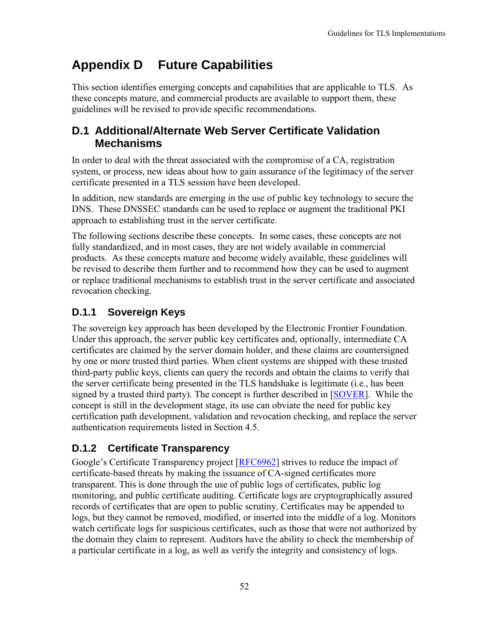# <span id="page-59-0"></span>**Appendix D Future Capabilities**

This section identifies emerging concepts and capabilities that are applicable to TLS. As these concepts mature, and commercial products are available to support them, these guidelines will be revised to provide specific recommendations.

#### <span id="page-59-1"></span>**D.1 Additional/Alternate Web Server Certificate Validation Mechanisms**

In order to deal with the threat associated with the compromise of a CA, registration system, or process, new ideas about how to gain assurance of the legitimacy of the server certificate presented in a TLS session have been developed.

In addition, new standards are emerging in the use of public key technology to secure the DNS. These DNSSEC standards can be used to replace or augment the traditional PKI approach to establishing trust in the server certificate.

The following sections describe these concepts. In some cases, these concepts are not fully standardized, and in most cases, they are not widely available in commercial products. As these concepts mature and become widely available, these guidelines will be revised to describe them further and to recommend how they can be used to augment or replace traditional mechanisms to establish trust in the server certificate and associated revocation checking.

### <span id="page-59-2"></span>**D.1.1 Sovereign Keys**

The sovereign key approach has been developed by the Electronic Frontier Foundation. Under this approach, the server public key certificates and, optionally, intermediate CA certificates are claimed by the server domain holder, and these claims are countersigned by one or more trusted third parties. When client systems are shipped with these trusted third-party public keys, clients can query the records and obtain the claims to verify that the server certificate being presented in the TLS handshake is legitimate (i.e., has been signed by a trusted third party). The concept is further described in [\[SOVER\]](#page-66-11). While the concept is still in the development stage, its use can obviate the need for public key certification path development, validation and revocation checking, and replace the server authentication requirements listed in Section [4.5.](#page-45-1)

#### <span id="page-59-3"></span>**D.1.2 Certificate Transparency**

Google's Certificate Transparency project [\[RFC6962\]](#page-65-10) strives to reduce the impact of certificate-based threats by making the issuance of CA-signed certificates more transparent. This is done through the use of public logs of certificates, public log monitoring, and public certificate auditing. Certificate logs are cryptographically assured records of certificates that are open to public scrutiny. Certificates may be appended to logs, but they cannot be removed, modified, or inserted into the middle of a log. Monitors watch certificate logs for suspicious certificates, such as those that were not authorized by the domain they claim to represent. Auditors have the ability to check the membership of a particular certificate in a log, as well as verify the integrity and consistency of logs.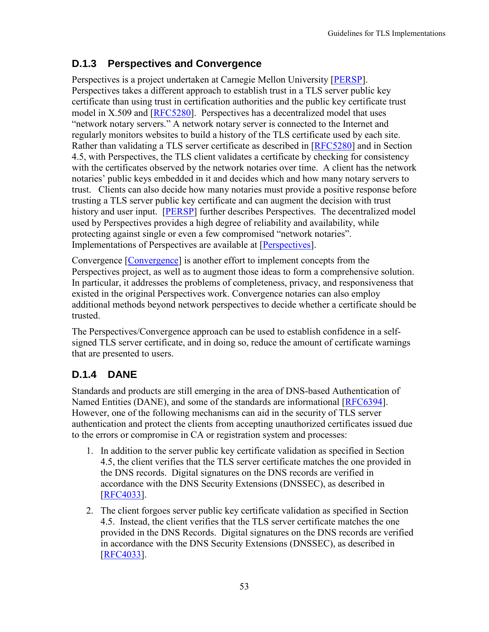#### <span id="page-60-0"></span>**D.1.3 Perspectives and Convergence**

Perspectives is a project undertaken at Carnegie Mellon University [\[PERSP\]](#page-63-9). Perspectives takes a different approach to establish trust in a TLS server public key certificate than using trust in certification authorities and the public key certificate trust model in X.509 and [\[RFC5280\]](#page-64-2). Perspectives has a decentralized model that uses "network notary servers." A network notary server is connected to the Internet and regularly monitors websites to build a history of the TLS certificate used by each site. Rather than validating a TLS server certificate as described in [\[RFC5280\]](#page-64-2) and in Section [4.5,](#page-45-1) with Perspectives, the TLS client validates a certificate by checking for consistency with the certificates observed by the network notaries over time. A client has the network notaries' public keys embedded in it and decides which and how many notary servers to trust. Clients can also decide how many notaries must provide a positive response before trusting a TLS server public key certificate and can augment the decision with trust history and user input. [\[PERSP\]](#page-63-9) further describes Perspectives. The decentralized model used by Perspectives provides a high degree of reliability and availability, while protecting against single or even a few compromised "network notaries". Implementations of Perspectives are available at [\[Perspectives\]](#page-63-10).

Convergence [\[Convergence\]](#page-62-9) is another effort to implement concepts from the Perspectives project, as well as to augment those ideas to form a comprehensive solution. In particular, it addresses the problems of completeness, privacy, and responsiveness that existed in the original Perspectives work. Convergence notaries can also employ additional methods beyond network perspectives to decide whether a certificate should be trusted.

The Perspectives/Convergence approach can be used to establish confidence in a selfsigned TLS server certificate, and in doing so, reduce the amount of certificate warnings that are presented to users.

#### <span id="page-60-1"></span>**D.1.4 DANE**

Standards and products are still emerging in the area of DNS-based Authentication of Named Entities (DANE), and some of the standards are informational [\[RFC6394\]](#page-65-11). However, one of the following mechanisms can aid in the security of TLS server authentication and protect the clients from accepting unauthorized certificates issued due to the errors or compromise in CA or registration system and processes:

- 1. In addition to the server public key certificate validation as specified in Section [4.5,](#page-45-1) the client verifies that the TLS server certificate matches the one provided in the DNS records. Digital signatures on the DNS records are verified in accordance with the DNS Security Extensions (DNSSEC), as described in [\[RFC4033\]](#page-64-10).
- 2. The client forgoes server public key certificate validation as specified in Section [4.5.](#page-45-1) Instead, the client verifies that the TLS server certificate matches the one provided in the DNS Records. Digital signatures on the DNS records are verified in accordance with the DNS Security Extensions (DNSSEC), as described in [\[RFC4033\]](#page-64-10).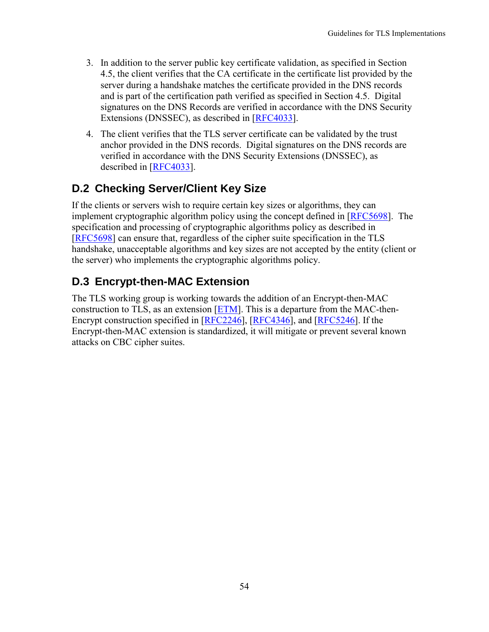- 3. In addition to the server public key certificate validation, as specified in Section [4.5,](#page-45-1) the client verifies that the CA certificate in the certificate list provided by the server during a handshake matches the certificate provided in the DNS records and is part of the certification path verified as specified in Section [4.5.](#page-45-1) Digital signatures on the DNS Records are verified in accordance with the DNS Security Extensions (DNSSEC), as described in [\[RFC4033\]](#page-64-10).
- 4. The client verifies that the TLS server certificate can be validated by the trust anchor provided in the DNS records. Digital signatures on the DNS records are verified in accordance with the DNS Security Extensions (DNSSEC), as described in [\[RFC4033\]](#page-64-10).

### <span id="page-61-0"></span>**D.2 Checking Server/Client Key Size**

If the clients or servers wish to require certain key sizes or algorithms, they can implement cryptographic algorithm policy using the concept defined in [\[RFC5698\]](#page-65-12). The specification and processing of cryptographic algorithms policy as described in [\[RFC5698\]](#page-65-12) can ensure that, regardless of the cipher suite specification in the TLS handshake, unacceptable algorithms and key sizes are not accepted by the entity (client or the server) who implements the cryptographic algorithms policy.

### <span id="page-61-1"></span>**D.3 Encrypt-then-MAC Extension**

The TLS working group is working towards the addition of an Encrypt-then-MAC construction to TLS, as an extension [\[ETM\]](#page-62-10). This is a departure from the MAC-then-Encrypt construction specified in [\[RFC2246\]](#page-63-0), [\[RFC4346\]](#page-64-0), and [\[RFC5246\]](#page-64-1). If the Encrypt-then-MAC extension is standardized, it will mitigate or prevent several known attacks on CBC cipher suites.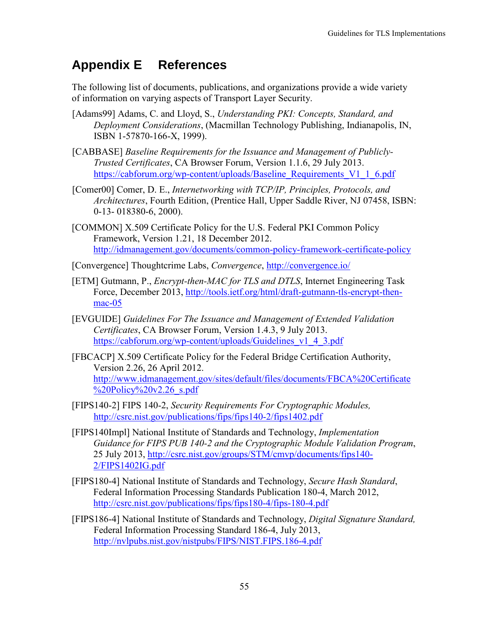### <span id="page-62-0"></span>**Appendix E References**

The following list of documents, publications, and organizations provide a wide variety of information on varying aspects of Transport Layer Security.

- <span id="page-62-2"></span>[Adams99] Adams, C. and Lloyd, S., *Understanding PKI: Concepts, Standard, and Deployment Considerations*, (Macmillan Technology Publishing, Indianapolis, IN, ISBN 1-57870-166-X, 1999).
- <span id="page-62-7"></span>[CABBASE] *Baseline Requirements for the Issuance and Management of Publicly-Trusted Certificates*, CA Browser Forum, Version 1.1.6, 29 July 2013. https://cabforum.org/wp-content/uploads/Baseline\_Requirements\_V1\_1\_6.pdf
- <span id="page-62-1"></span>[Comer00] Comer, D. E., *Internetworking with TCP/IP, Principles, Protocols, and Architectures*, Fourth Edition, (Prentice Hall, Upper Saddle River, NJ 07458, ISBN: 0-13- 018380-6, 2000).
- <span id="page-62-5"></span>[COMMON] X.509 Certificate Policy for the U.S. Federal PKI Common Policy Framework, Version 1.21, 18 December 2012. <http://idmanagement.gov/documents/common-policy-framework-certificate-policy>
- <span id="page-62-9"></span>[Convergence] Thoughtcrime Labs, *Convergence*,<http://convergence.io/>
- <span id="page-62-10"></span>[ETM] Gutmann, P., *Encrypt-then-MAC for TLS and DTLS*, Internet Engineering Task Force, December 2013, [http://tools.ietf.org/html/draft-gutmann-tls-encrypt-then](http://tools.ietf.org/html/draft-gutmann-tls-encrypt-then-mac-05)[mac-05](http://tools.ietf.org/html/draft-gutmann-tls-encrypt-then-mac-05)
- <span id="page-62-6"></span>[EVGUIDE] *Guidelines For The Issuance and Management of Extended Validation Certificates*, CA Browser Forum, Version 1.4.3, 9 July 2013. https://cabforum.org/wp-content/uploads/Guidelines\_v1\_4\_3.pdf
- <span id="page-62-8"></span>[FBCACP] X.509 Certificate Policy for the Federal Bridge Certification Authority, Version 2.26, 26 April 2012. [http://www.idmanagement.gov/sites/default/files/documents/FBCA%20Certificate](http://www.idmanagement.gov/sites/default/files/documents/FBCA%20Certificate%20Policy%20v2.26_s.pdf)  $\frac{\%20 \text{Policy}\%20 \text{v2.26}}{3.6 \text{ pdf}}$
- [FIPS140-2] FIPS 140-2, *Security Requirements For Cryptographic Modules,* <http://csrc.nist.gov/publications/fips/fips140-2/fips1402.pdf>
- <span id="page-62-3"></span>[FIPS140Impl] National Institute of Standards and Technology, *Implementation Guidance for FIPS PUB 140-2 and the Cryptographic Module Validation Program*, 25 July 2013, [http://csrc.nist.gov/groups/STM/cmvp/documents/fips140-](http://csrc.nist.gov/groups/STM/cmvp/documents/fips140-2/FIPS1402IG.pdf) [2/FIPS1402IG.pdf](http://csrc.nist.gov/groups/STM/cmvp/documents/fips140-2/FIPS1402IG.pdf)
- [FIPS180-4] National Institute of Standards and Technology, *Secure Hash Standard*, Federal Information Processing Standards Publication 180-4, March 2012, <http://csrc.nist.gov/publications/fips/fips180-4/fips-180-4.pdf>
- <span id="page-62-4"></span>[FIPS186-4] National Institute of Standards and Technology, *Digital Signature Standard,*  Federal Information Processing Standard 186-4, July 2013, <http://nvlpubs.nist.gov/nistpubs/FIPS/NIST.FIPS.186-4.pdf>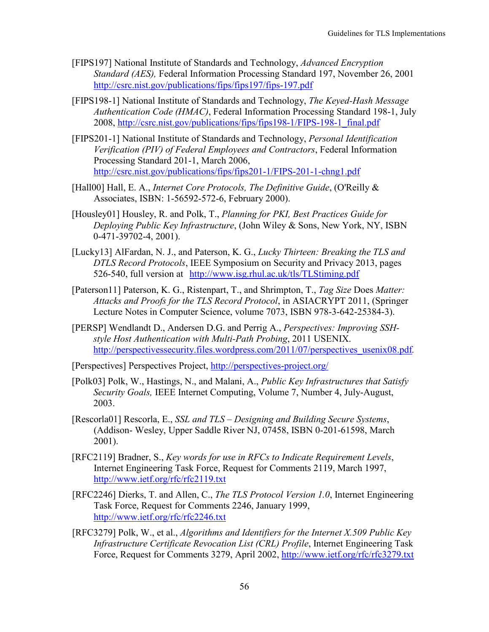- [FIPS197] National Institute of Standards and Technology, *Advanced Encryption Standard (AES),* Federal Information Processing Standard 197, November 26, 2001 <http://csrc.nist.gov/publications/fips/fips197/fips-197.pdf>
- [FIPS198-1] National Institute of Standards and Technology, *The Keyed-Hash Message Authentication Code (HMAC)*, Federal Information Processing Standard 198-1, July 2008, [http://csrc.nist.gov/publications/fips/fips198-1/FIPS-198-1\\_final.pdf](http://csrc.nist.gov/publications/fips/fips198-1/FIPS-198-1_final.pdf)
- <span id="page-63-8"></span>[FIPS201-1] National Institute of Standards and Technology, *Personal Identification Verification (PIV) of Federal Employees and Contractors*, Federal Information Processing Standard 201-1, March 2006, <http://csrc.nist.gov/publications/fips/fips201-1/FIPS-201-1-chng1.pdf>
- <span id="page-63-2"></span>[Hall00] Hall, E. A., *Internet Core Protocols, The Definitive Guide*, (O'Reilly & Associates, ISBN: 1-56592-572-6, February 2000).
- <span id="page-63-3"></span>[Housley01] Housley, R. and Polk, T., *Planning for PKI, Best Practices Guide for Deploying Public Key Infrastructure*, (John Wiley & Sons, New York, NY, ISBN 0-471-39702-4, 2001).
- <span id="page-63-6"></span>[Lucky13] AlFardan, N. J., and Paterson, K. G., *Lucky Thirteen: Breaking the TLS and DTLS Record Protocols*, IEEE Symposium on Security and Privacy 2013, pages 526-540, full version at <http://www.isg.rhul.ac.uk/tls/TLStiming.pdf>
- <span id="page-63-7"></span>[Paterson11] Paterson, K. G., Ristenpart, T., and Shrimpton, T., *Tag Size* Does *Matter: Attacks and Proofs for the TLS Record Protocol*, in ASIACRYPT 2011, (Springer Lecture Notes in Computer Science, volume 7073, ISBN 978-3-642-25384-3).
- <span id="page-63-9"></span>[PERSP] Wendlandt D., Andersen D.G. and Perrig A., *Perspectives: Improving SSHstyle Host Authentication with Multi-Path Probing*, 2011 USENIX. [http://perspectivessecurity.files.wordpress.com/2011/07/perspectives\\_usenix08.pdf](http://perspectivessecurity.files.wordpress.com/2011/07/perspectives_usenix08.pdf)*.*
- <span id="page-63-10"></span>[Perspectives] Perspectives Project,<http://perspectives-project.org/>
- <span id="page-63-4"></span>[Polk03] Polk, W., Hastings, N., and Malani, A., *Public Key Infrastructures that Satisfy Security Goals,* IEEE Internet Computing, Volume 7, Number 4, July-August, 2003.
- <span id="page-63-1"></span>[Rescorla01] Rescorla, E., *SSL and TLS – Designing and Building Secure Systems*, (Addison- Wesley, Upper Saddle River NJ, 07458, ISBN 0-201-61598, March 2001).
- <span id="page-63-5"></span>[RFC2119] Bradner, S., *Key words for use in RFCs to Indicate Requirement Levels*, Internet Engineering Task Force, Request for Comments 2119, March 1997, <http://www.ietf.org/rfc/rfc2119.txt>
- <span id="page-63-0"></span>[RFC2246] Dierks, T. and Allen, C., *The TLS Protocol Version 1.0*, Internet Engineering Task Force, Request for Comments 2246, January 1999, <http://www.ietf.org/rfc/rfc2246.txt>
- [RFC3279] Polk, W., et al., *Algorithms and Identifiers for the Internet X.509 Public Key Infrastructure Certificate Revocation List (CRL) Profile*, Internet Engineering Task Force, Request for Comments 3279, April 2002,<http://www.ietf.org/rfc/rfc3279.txt>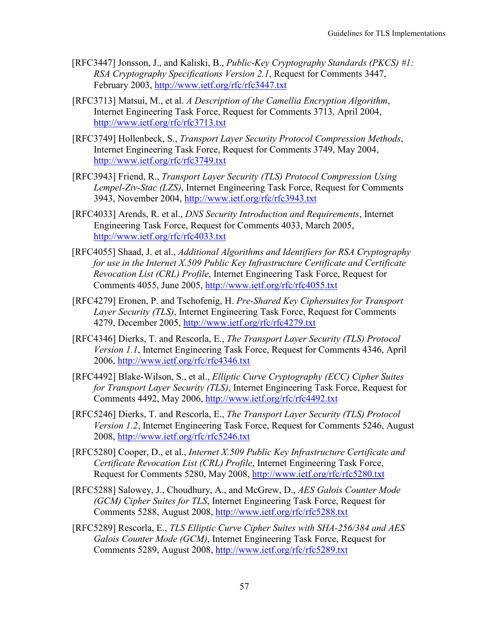- [RFC3447] Jonsson, J., and Kaliski, B., *Public-Key Cryptography Standards (PKCS) #1: RSA Cryptography Specifications Version 2.1*, Request for Comments 3447, February 2003,<http://www.ietf.org/rfc/rfc3447.txt>
- <span id="page-64-6"></span>[RFC3713] Matsui, M., et al. *A Description of the Camellia Encryption Algorithm*, Internet Engineering Task Force, Request for Comments 3713*,* April 2004, <http://www.ietf.org/rfc/rfc3713.txt>
- <span id="page-64-7"></span>[RFC3749] Hollenbeck, S., *Transport Layer Security Protocol Compression Methods*, Internet Engineering Task Force, Request for Comments 3749, May 2004, <http://www.ietf.org/rfc/rfc3749.txt>
- <span id="page-64-8"></span>[RFC3943] Friend, R., *Transport Layer Security (TLS) Protocol Compression Using Lempel-Ziv-Stac (LZS)*, Internet Engineering Task Force, Request for Comments 3943, November 2004,<http://www.ietf.org/rfc/rfc3943.txt>
- <span id="page-64-10"></span>[RFC4033] Arends, R. et al., *DNS Security Introduction and Requirements*, Internet Engineering Task Force, Request for Comments 4033, March 2005, <http://www.ietf.org/rfc/rfc4033.txt>
- [RFC4055] Shaad, J. et al., *Additional Algorithms and Identifiers for RSA Cryptography for use in the Internet X.509 Public Key Infrastructure Certificate and Certificate Revocation List (CRL) Profile*, Internet Engineering Task Force, Request for Comments 4055, June 2005,<http://www.ietf.org/rfc/rfc4055.txt>
- <span id="page-64-9"></span>[RFC4279] Eronen, P. and Tschofenig, H. *Pre-Shared Key Ciphersuites for Transport Layer Security (TLS)*, Internet Engineering Task Force, Request for Comments 4279, December 2005,<http://www.ietf.org/rfc/rfc4279.txt>
- <span id="page-64-0"></span>[RFC4346] Dierks, T. and Rescorla, E., *The Transport Layer Security (TLS) Protocol Version 1.1*, Internet Engineering Task Force, Request for Comments 4346, April 2006,<http://www.ietf.org/rfc/rfc4346.txt>
- <span id="page-64-5"></span>[RFC4492] Blake-Wilson, S., et al., *Elliptic Curve Cryptography (ECC) Cipher Suites for Transport Layer Security (TLS)*, Internet Engineering Task Force, Request for Comments 4492, May 2006,<http://www.ietf.org/rfc/rfc4492.txt>
- <span id="page-64-1"></span>[RFC5246] Dierks, T. and Rescorla, E., *The Transport Layer Security (TLS) Protocol Version 1.2*, Internet Engineering Task Force, Request for Comments 5246, August 2008,<http://www.ietf.org/rfc/rfc5246.txt>
- <span id="page-64-2"></span>[RFC5280] Cooper, D., et al., *Internet X.509 Public Key Infrastructure Certificate and Certificate Revocation List (CRL) Profile*, Internet Engineering Task Force, Request for Comments 5280, May 2008,<http://www.ietf.org/rfc/rfc5280.txt>
- <span id="page-64-3"></span>[RFC5288] Salowey, J., Choudhury, A., and McGrew, D., *AES Galois Counter Mode (GCM) Cipher Suites for TLS*, Internet Engineering Task Force, Request for Comments 5288, August 2008,<http://www.ietf.org/rfc/rfc5288.txt>
- <span id="page-64-4"></span>[RFC5289] Rescorla, E., *TLS Elliptic Curve Cipher Suites with SHA-256/384 and AES Galois Counter Mode (GCM)*, Internet Engineering Task Force, Request for Comments 5289, August 2008,<http://www.ietf.org/rfc/rfc5289.txt>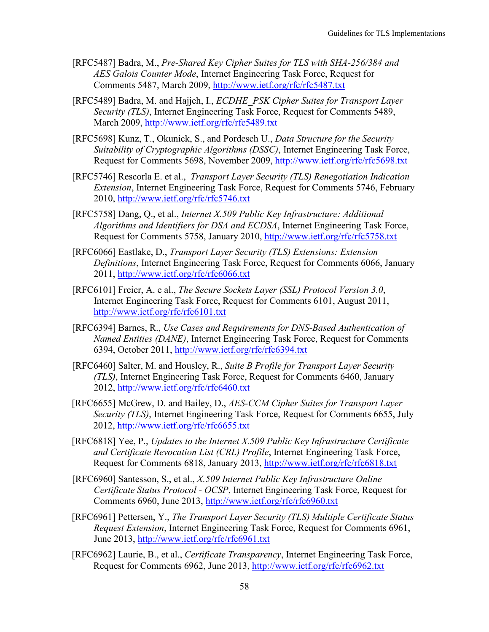- <span id="page-65-8"></span>[RFC5487] Badra, M., *Pre-Shared Key Cipher Suites for TLS with SHA-256/384 and AES Galois Counter Mode*, Internet Engineering Task Force, Request for Comments 5487, March 2009,<http://www.ietf.org/rfc/rfc5487.txt>
- <span id="page-65-9"></span>[RFC5489] Badra, M. and Hajjeh, I., *ECDHE\_PSK Cipher Suites for Transport Layer Security (TLS)*, Internet Engineering Task Force, Request for Comments 5489, March 2009,<http://www.ietf.org/rfc/rfc5489.txt>
- <span id="page-65-12"></span>[RFC5698] Kunz, T., Okunick, S., and Pordesch U., *Data Structure for the Security Suitability of Cryptographic Algorithms (DSSC)*, Internet Engineering Task Force, Request for Comments 5698, November 2009,<http://www.ietf.org/rfc/rfc5698.txt>
- <span id="page-65-6"></span>[RFC5746] Rescorla E. et al., *Transport Layer Security (TLS) Renegotiation Indication Extension*, Internet Engineering Task Force, Request for Comments 5746, February 2010,<http://www.ietf.org/rfc/rfc5746.txt>
- [RFC5758] Dang, Q., et al., *Internet X.509 Public Key Infrastructure: Additional Algorithms and Identifiers for DSA and ECDSA*, Internet Engineering Task Force, Request for Comments 5758, January 2010,<http://www.ietf.org/rfc/rfc5758.txt>
- <span id="page-65-5"></span>[RFC6066] Eastlake, D., *Transport Layer Security (TLS) Extensions: Extension Definitions*, Internet Engineering Task Force, Request for Comments 6066, January 2011,<http://www.ietf.org/rfc/rfc6066.txt>
- <span id="page-65-0"></span>[RFC6101] Freier, A. e al., *The Secure Sockets Layer (SSL) Protocol Version 3.0*, Internet Engineering Task Force, Request for Comments 6101, August 2011, <http://www.ietf.org/rfc/rfc6101.txt>
- <span id="page-65-11"></span>[RFC6394] Barnes, R., *Use Cases and Requirements for DNS-Based Authentication of Named Entities (DANE)*, Internet Engineering Task Force, Request for Comments 6394, October 2011,<http://www.ietf.org/rfc/rfc6394.txt>
- <span id="page-65-2"></span>[RFC6460] Salter, M. and Housley, R., *Suite B Profile for Transport Layer Security (TLS)*, Internet Engineering Task Force, Request for Comments 6460, January 2012,<http://www.ietf.org/rfc/rfc6460.txt>
- <span id="page-65-4"></span>[RFC6655] McGrew, D. and Bailey, D., *AES-CCM Cipher Suites for Transport Layer Security (TLS)*, Internet Engineering Task Force, Request for Comments 6655, July 2012,<http://www.ietf.org/rfc/rfc6655.txt>
- <span id="page-65-3"></span>[RFC6818] Yee, P., *Updates to the Internet X.509 Public Key Infrastructure Certificate and Certificate Revocation List (CRL) Profile*, Internet Engineering Task Force, Request for Comments 6818, January 2013,<http://www.ietf.org/rfc/rfc6818.txt>
- <span id="page-65-1"></span>[RFC6960] Santesson, S., et al., *X.509 Internet Public Key Infrastructure Online Certificate Status Protocol - OCSP*, Internet Engineering Task Force, Request for Comments 6960, June 2013,<http://www.ietf.org/rfc/rfc6960.txt>
- <span id="page-65-7"></span>[RFC6961] Pettersen, Y., *The Transport Layer Security (TLS) Multiple Certificate Status Request Extension*, Internet Engineering Task Force, Request for Comments 6961, June 2013,<http://www.ietf.org/rfc/rfc6961.txt>
- <span id="page-65-10"></span>[RFC6962] Laurie, B., et al., *Certificate Transparency*, Internet Engineering Task Force, Request for Comments 6962, June 2013,<http://www.ietf.org/rfc/rfc6962.txt>